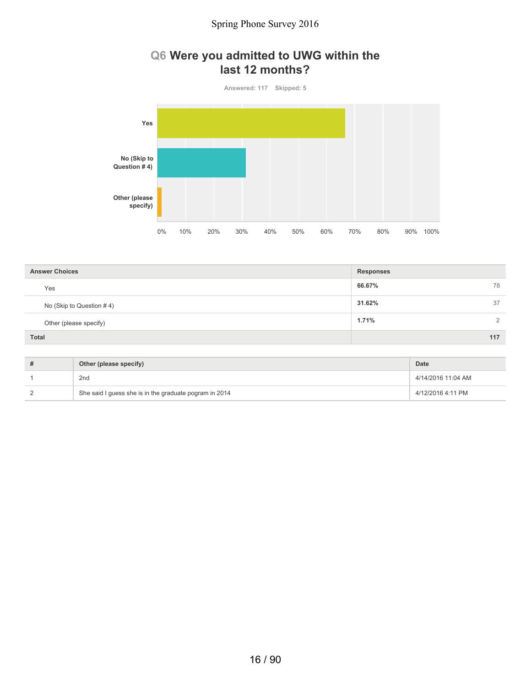# **Q6 Were you admitted to UWG within the last 12 months?**



| <b>Answer Choices</b>    | <b>Responses</b> |
|--------------------------|------------------|
| Yes                      | 66.67%<br>78     |
| No (Skip to Question #4) | 31.62%<br>37     |
| Other (please specify)   | 1.71%<br>2       |
| <b>Total</b>             | 117              |

| Other (please specify)                                 | <b>Date</b>        |
|--------------------------------------------------------|--------------------|
| 2 <sub>nd</sub>                                        | 4/14/2016 11:04 AM |
| She said I guess she is in the graduate pogram in 2014 | 4/12/2016 4:11 PM  |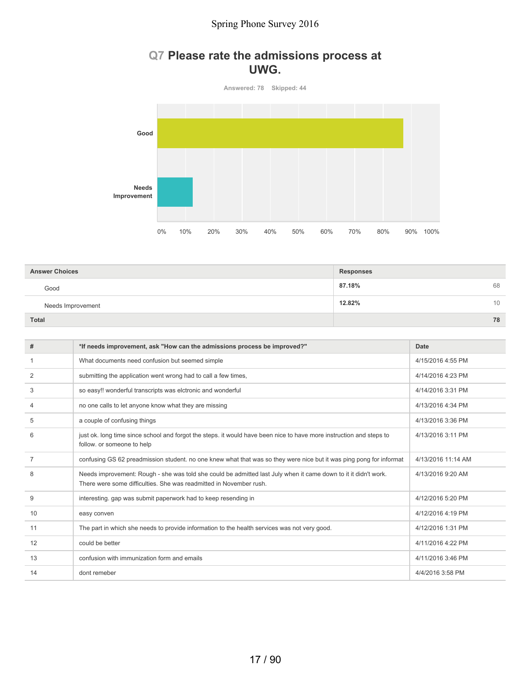## **Q7 Please rate the admissions process at UWG.**

**Answered: 78 Skipped: 44**



| <b>Answer Choices</b> | <b>Responses</b> |
|-----------------------|------------------|
| Good                  | 87.18%<br>68     |
| Needs Improvement     | 12.82%<br>10     |
| <b>Total</b>          | 78               |

| #  | *If needs improvement, ask "How can the admissions process be improved?"                                                                                                              | <b>Date</b>        |
|----|---------------------------------------------------------------------------------------------------------------------------------------------------------------------------------------|--------------------|
| 1  | What documents need confusion but seemed simple                                                                                                                                       | 4/15/2016 4:55 PM  |
| 2  | submitting the application went wrong had to call a few times,                                                                                                                        | 4/14/2016 4:23 PM  |
| 3  | so easy!! wonderful transcripts was elctronic and wonderful                                                                                                                           | 4/14/2016 3:31 PM  |
| 4  | no one calls to let anyone know what they are missing                                                                                                                                 | 4/13/2016 4:34 PM  |
| 5  | a couple of confusing things                                                                                                                                                          | 4/13/2016 3:36 PM  |
| 6  | just ok. long time since school and forgot the steps, it would have been nice to have more instruction and steps to<br>follow, or someone to help                                     | 4/13/2016 3:11 PM  |
| 7  | confusing GS 62 preadmission student. no one knew what that was so they were nice but it was ping pong for informat                                                                   | 4/13/2016 11:14 AM |
| 8  | Needs improvement: Rough - she was told she could be admitted last July when it came down to it it didn't work.<br>There were some difficulties. She was readmitted in November rush. | 4/13/2016 9:20 AM  |
| 9  | interesting. gap was submit paperwork had to keep resending in                                                                                                                        | 4/12/2016 5:20 PM  |
| 10 | easy conven                                                                                                                                                                           | 4/12/2016 4:19 PM  |
| 11 | The part in which she needs to provide information to the health services was not very good.                                                                                          | 4/12/2016 1:31 PM  |
| 12 | could be better                                                                                                                                                                       | 4/11/2016 4:22 PM  |
| 13 | confusion with immunization form and emails                                                                                                                                           | 4/11/2016 3:46 PM  |
| 14 | dont remeber                                                                                                                                                                          | 4/4/2016 3:58 PM   |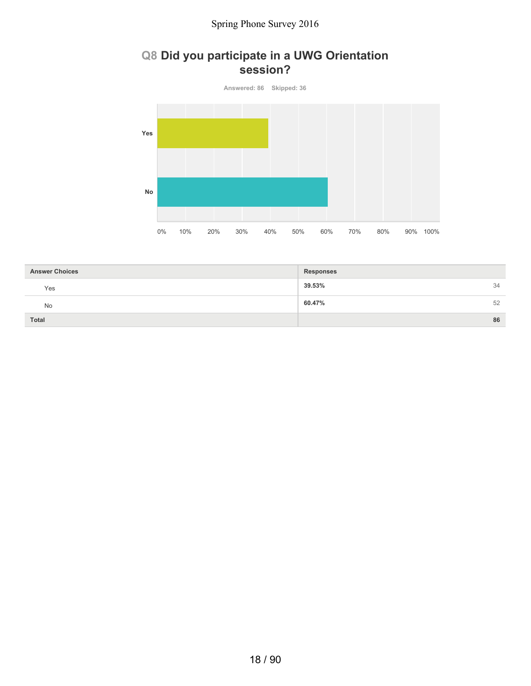# **Q8 Did you participate in a UWG Orientation session?**



| <b>Answer Choices</b> | <b>Responses</b> |    |
|-----------------------|------------------|----|
| Yes                   | 39.53%           | 34 |
| No                    | 60.47%           | 52 |
| <b>Total</b>          |                  | 86 |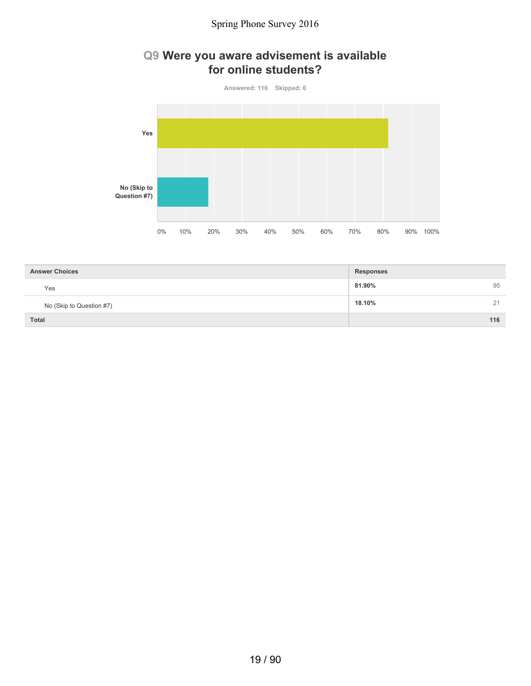# **Q9 Were you aware advisement is available for online students?**



| <b>Answer Choices</b>    | <b>Responses</b> |
|--------------------------|------------------|
| Yes                      | 81.90%<br>95     |
| No (Skip to Question #7) | 18.10%<br>21     |
| <b>Total</b>             | 116              |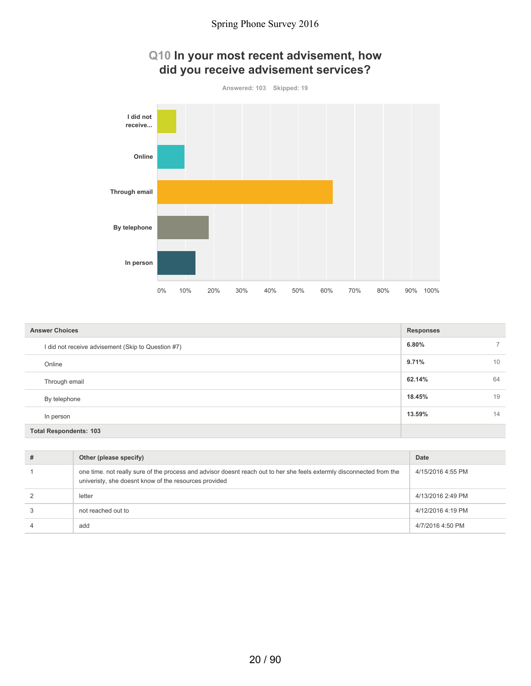

| $0\%$ 10% 20% 30% 40% 50% 60% 70% 80% 90% 100% |  |
|------------------------------------------------|--|
|------------------------------------------------|--|

| <b>Answer Choices</b>                              | <b>Responses</b> |    |
|----------------------------------------------------|------------------|----|
| I did not receive advisement (Skip to Question #7) | 6.80%            |    |
| Online                                             | 9.71%            | 10 |
| Through email                                      | 62.14%           | 64 |
| By telephone                                       | 18.45%           | 19 |
| In person                                          | 13.59%           | 14 |
| <b>Total Respondents: 103</b>                      |                  |    |

| # | Other (please specify)                                                                                                                                                         | Date              |
|---|--------------------------------------------------------------------------------------------------------------------------------------------------------------------------------|-------------------|
|   | one time, not really sure of the process and advisor doesnt reach out to her she feels extermly disconnected from the<br>univeristy, she doesnt know of the resources provided | 4/15/2016 4:55 PM |
|   | letter                                                                                                                                                                         | 4/13/2016 2:49 PM |
|   | not reached out to                                                                                                                                                             | 4/12/2016 4:19 PM |
|   | add                                                                                                                                                                            | 4/7/2016 4:50 PM  |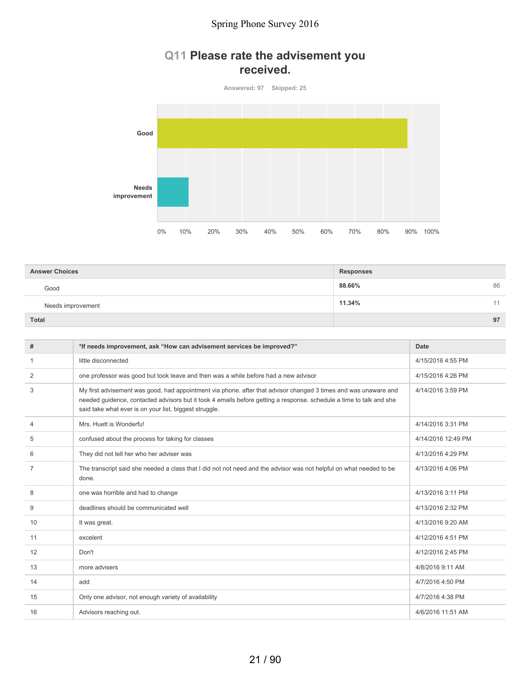## **Q11 Please rate the advisement you received.**

**Answered: 97 Skipped: 25**



| <b>Answer Choices</b> | <b>Responses</b> |  |
|-----------------------|------------------|--|
| Good                  | 88.66%<br>86     |  |
| Needs improvement     | 11.34%<br>11     |  |
| <b>Total</b>          | 97               |  |

| #              | *If needs improvement, ask "How can advisement services be improved?"                                                                                                                                                                                                                            | Date               |
|----------------|--------------------------------------------------------------------------------------------------------------------------------------------------------------------------------------------------------------------------------------------------------------------------------------------------|--------------------|
| 1              | little disconnected                                                                                                                                                                                                                                                                              | 4/15/2016 4:55 PM  |
| 2              | one professor was good but took leave and then was a while before had a new advisor                                                                                                                                                                                                              | 4/15/2016 4:26 PM  |
| 3              | My first advisement was good, had appointment via phone. after that advisor changed 3 times and was unaware and<br>needed guidence, contacted advisors but it took 4 emails before getting a response. schedule a time to talk and she<br>said take what ever is on your list, biggest struggle. | 4/14/2016 3:59 PM  |
| $\overline{4}$ | Mrs. Huett is Wonderfu!                                                                                                                                                                                                                                                                          | 4/14/2016 3:31 PM  |
| 5              | confused about the process for taking for classes                                                                                                                                                                                                                                                | 4/14/2016 12:49 PM |
| 6              | They did not tell her who her adviser was                                                                                                                                                                                                                                                        | 4/13/2016 4:29 PM  |
| 7              | The transcript said she needed a class that I did not not need and the advisor was not helpful on what needed to be<br>done.                                                                                                                                                                     | 4/13/2016 4:06 PM  |
| 8              | one was horrible and had to change                                                                                                                                                                                                                                                               | 4/13/2016 3:11 PM  |
| 9              | deadlines should be communicated well                                                                                                                                                                                                                                                            | 4/13/2016 2:32 PM  |
| 10             | It was great.                                                                                                                                                                                                                                                                                    | 4/13/2016 9:20 AM  |
| 11             | excelent                                                                                                                                                                                                                                                                                         | 4/12/2016 4:51 PM  |
| 12             | Don't                                                                                                                                                                                                                                                                                            | 4/12/2016 2:45 PM  |
| 13             | more advisers                                                                                                                                                                                                                                                                                    | 4/8/2016 9:11 AM   |
| 14             | add                                                                                                                                                                                                                                                                                              | 4/7/2016 4:50 PM   |
| 15             | Only one advisor, not enough variety of availability                                                                                                                                                                                                                                             | 4/7/2016 4:38 PM   |
| 16             | Advisors reaching out.                                                                                                                                                                                                                                                                           | 4/6/2016 11:51 AM  |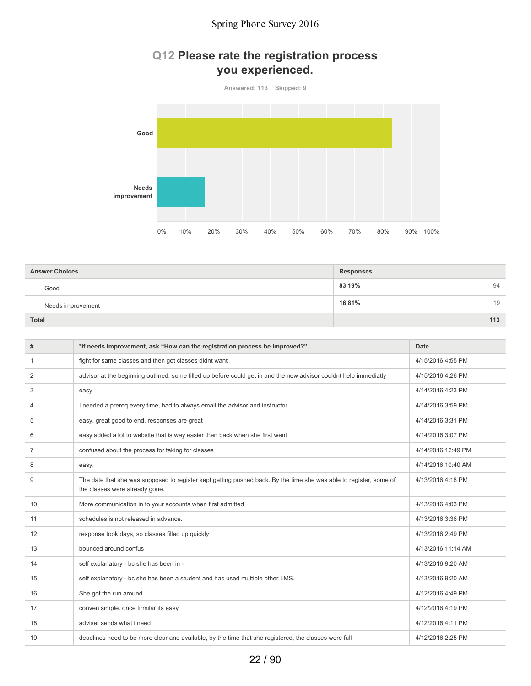# **Q12 Please rate the registration process you experienced.**

**Answered: 113 Skipped: 9**



| <b>Answer Choices</b> | <b>Responses</b> |
|-----------------------|------------------|
| Good                  | 83.19%<br>94     |
| Needs improvement     | 16.81%<br>19     |
| <b>Total</b>          | 113              |

| #                 | *If needs improvement, ask "How can the registration process be improved?"                                                                           | Date               |
|-------------------|------------------------------------------------------------------------------------------------------------------------------------------------------|--------------------|
| 1                 | fight for same classes and then got classes didnt want                                                                                               | 4/15/2016 4:55 PM  |
| 2                 | advisor at the beginning outlined. some filled up before could get in and the new advisor couldnt help immediatly                                    | 4/15/2016 4:26 PM  |
| 3                 | easy                                                                                                                                                 | 4/14/2016 4:23 PM  |
| 4                 | I needed a prereq every time, had to always email the advisor and instructor                                                                         | 4/14/2016 3:59 PM  |
| 5                 | easy. great good to end. responses are great                                                                                                         | 4/14/2016 3:31 PM  |
| 6                 | easy added a lot to website that is way easier then back when she first went                                                                         | 4/14/2016 3:07 PM  |
| 7                 | confused about the process for taking for classes                                                                                                    | 4/14/2016 12:49 PM |
| 8                 | easy.                                                                                                                                                | 4/14/2016 10:40 AM |
| 9                 | The date that she was supposed to register kept getting pushed back. By the time she was able to register, some of<br>the classes were already gone. | 4/13/2016 4:18 PM  |
| 10                | More communication in to your accounts when first admitted                                                                                           | 4/13/2016 4:03 PM  |
| 11                | schedules is not released in advance.                                                                                                                | 4/13/2016 3:36 PM  |
| $12 \overline{ }$ | response took days, so classes filled up quickly                                                                                                     | 4/13/2016 2:49 PM  |
| 13                | bounced around confus                                                                                                                                | 4/13/2016 11:14 AM |
| 14                | self explanatory - bc she has been in -                                                                                                              | 4/13/2016 9:20 AM  |
| 15                | self explanatory - bc she has been a student and has used multiple other LMS.                                                                        | 4/13/2016 9:20 AM  |
| 16                | She got the run around                                                                                                                               | 4/12/2016 4:49 PM  |
| 17                | conven simple. once firmilar its easy                                                                                                                | 4/12/2016 4:19 PM  |
| 18                | adviser sends what i need                                                                                                                            | 4/12/2016 4:11 PM  |
| 19                | deadlines need to be more clear and available, by the time that she registered, the classes were full                                                | 4/12/2016 2:25 PM  |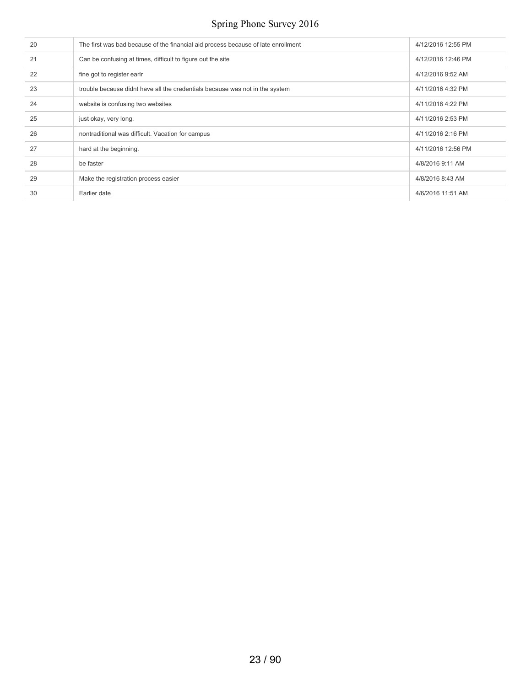| 20 | The first was bad because of the financial aid process because of late enrollment | 4/12/2016 12:55 PM |
|----|-----------------------------------------------------------------------------------|--------------------|
| 21 | Can be confusing at times, difficult to figure out the site                       | 4/12/2016 12:46 PM |
| 22 | fine got to register earlr                                                        | 4/12/2016 9:52 AM  |
| 23 | trouble because didnt have all the credentials because was not in the system      | 4/11/2016 4:32 PM  |
| 24 | website is confusing two websites                                                 | 4/11/2016 4:22 PM  |
| 25 | just okay, very long.                                                             | 4/11/2016 2:53 PM  |
| 26 | nontraditional was difficult. Vacation for campus                                 | 4/11/2016 2:16 PM  |
| 27 | hard at the beginning.                                                            | 4/11/2016 12:56 PM |
| 28 | be faster                                                                         | 4/8/2016 9:11 AM   |
| 29 | Make the registration process easier                                              | 4/8/2016 8:43 AM   |
| 30 | Earlier date                                                                      | 4/6/2016 11:51 AM  |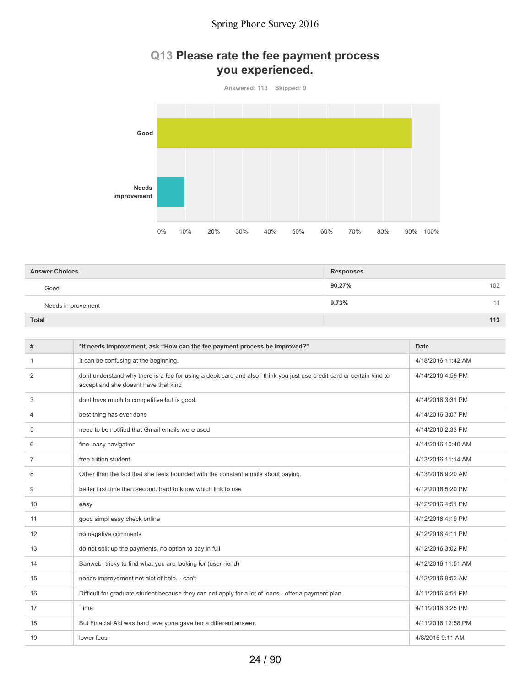# **Q13 Please rate the fee payment process you experienced.**

**Answered: 113 Skipped: 9**



| <b>Answer Choices</b> | <b>Responses</b> |
|-----------------------|------------------|
| Good                  | 90.27%<br>102    |
| Needs improvement     | 9.73%<br>11      |
| <b>Total</b>          | 113              |

| #  | *If needs improvement, ask "How can the fee payment process be improved?"                                                                                      | Date               |
|----|----------------------------------------------------------------------------------------------------------------------------------------------------------------|--------------------|
| 1  | It can be confusing at the beginning.                                                                                                                          | 4/18/2016 11:42 AM |
| 2  | dont understand why there is a fee for using a debit card and also i think you just use credit card or certain kind to<br>accept and she doesnt have that kind | 4/14/2016 4:59 PM  |
| 3  | dont have much to competitive but is good.                                                                                                                     | 4/14/2016 3:31 PM  |
| 4  | best thing has ever done                                                                                                                                       | 4/14/2016 3:07 PM  |
| 5  | need to be notified that Gmail emails were used                                                                                                                | 4/14/2016 2:33 PM  |
| 6  | fine. easy navigation                                                                                                                                          | 4/14/2016 10:40 AM |
| 7  | free tuition student                                                                                                                                           | 4/13/2016 11:14 AM |
| 8  | Other than the fact that she feels hounded with the constant emails about paying.                                                                              | 4/13/2016 9:20 AM  |
| 9  | better first time then second, hard to know which link to use                                                                                                  | 4/12/2016 5:20 PM  |
| 10 | easy                                                                                                                                                           | 4/12/2016 4:51 PM  |
| 11 | good simpl easy check online                                                                                                                                   | 4/12/2016 4:19 PM  |
| 12 | no negative comments                                                                                                                                           | 4/12/2016 4:11 PM  |
| 13 | do not split up the payments, no option to pay in full                                                                                                         | 4/12/2016 3:02 PM  |
| 14 | Banweb- tricky to find what you are looking for (user riend)                                                                                                   | 4/12/2016 11:51 AM |
| 15 | needs improvement not alot of help. - can't                                                                                                                    | 4/12/2016 9:52 AM  |
| 16 | Difficult for graduate student because they can not apply for a lot of loans - offer a payment plan                                                            | 4/11/2016 4:51 PM  |
| 17 | Time                                                                                                                                                           | 4/11/2016 3:25 PM  |
| 18 | But Finacial Aid was hard, everyone gave her a different answer.                                                                                               | 4/11/2016 12:58 PM |
| 19 | lower fees                                                                                                                                                     | 4/8/2016 9:11 AM   |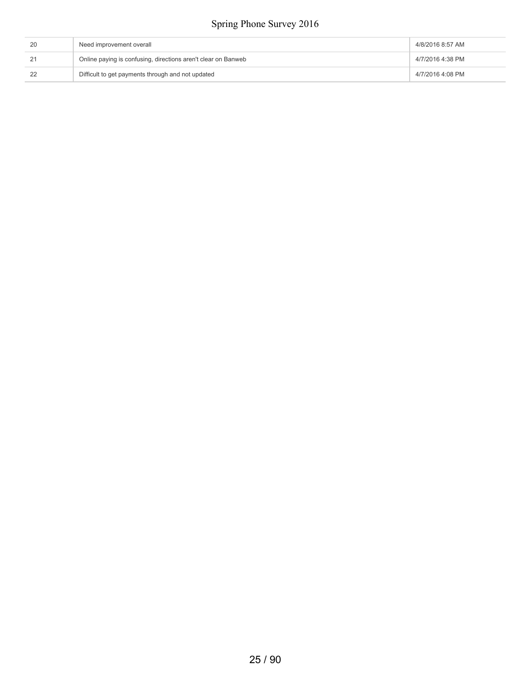| 20 | Need improvement overall                                      | 4/8/2016 8:57 AM |
|----|---------------------------------------------------------------|------------------|
|    | Online paying is confusing, directions aren't clear on Banweb | 4/7/2016 4:38 PM |
| 22 | Difficult to get payments through and not updated             | 4/7/2016 4:08 PM |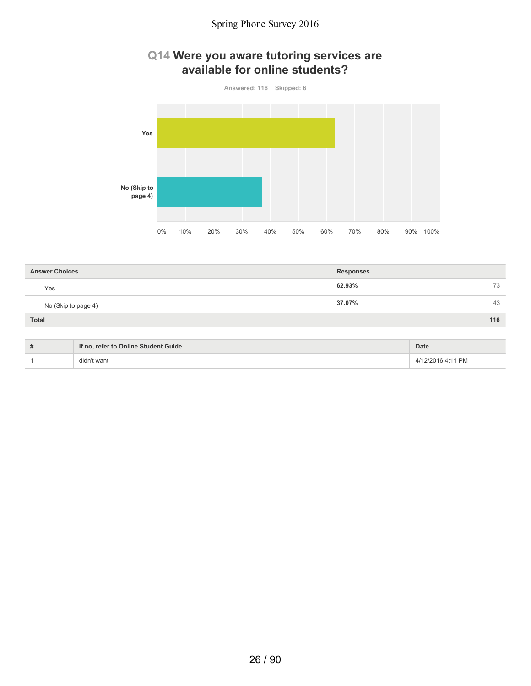# **Q14 Were you aware tutoring services are available for online students?**



| <b>Answer Choices</b> | <b>Responses</b> |
|-----------------------|------------------|
| Yes                   | 62.93%<br>73     |
| No (Skip to page 4)   | 37.07%<br>43     |
| Total                 | 116              |

| # | If no, refer to Online Student Guide | <b>Date</b> |
|---|--------------------------------------|-------------|
|   | ` want<br>.                          | 1 PM        |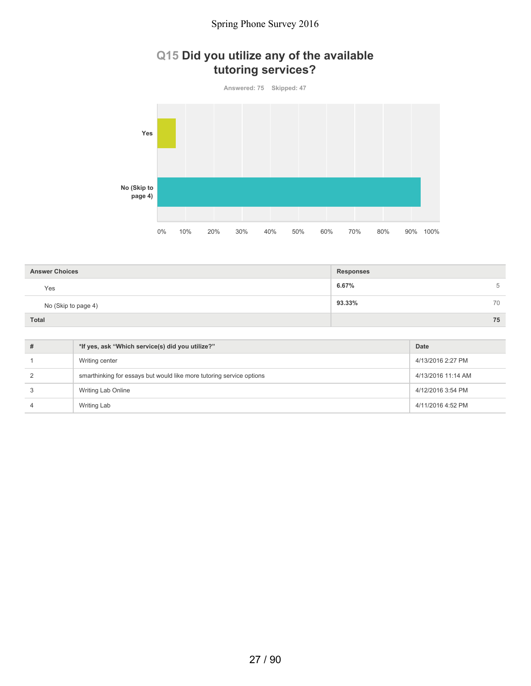# **Q15 Did you utilize any of the available tutoring services?**

**Answered: 75 Skipped: 47 Yes No (Skip to page 4)** 0% 10% 20% 30% 40% 50% 60% 70% 80% 90% 100%

| <b>Answer Choices</b> | <b>Responses</b> |
|-----------------------|------------------|
| Yes                   | 6.67%<br>5       |
| No (Skip to page 4)   | 93.33%<br>70     |
| Total                 | 75               |

| # | *If yes, ask "Which service(s) did you utilize?"                     | Date               |
|---|----------------------------------------------------------------------|--------------------|
|   | Writing center                                                       | 4/13/2016 2:27 PM  |
| 2 | smarthinking for essays but would like more tutoring service options | 4/13/2016 11:14 AM |
|   | Writing Lab Online                                                   | 4/12/2016 3:54 PM  |
| 4 | <b>Writing Lab</b>                                                   | 4/11/2016 4:52 PM  |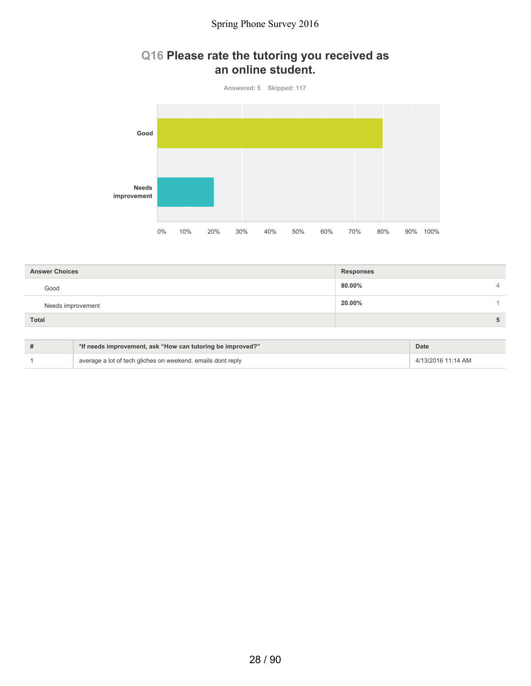# **Q16 Please rate the tutoring you received as an online student.**

**Answered: 5 Skipped: 117**



| <b>Answer Choices</b> | <b>Responses</b> |                |
|-----------------------|------------------|----------------|
| Good                  | 80.00%           | $\overline{4}$ |
| Needs improvement     | 20.00%           |                |
| <b>Total</b>          |                  | 5              |

| *If needs improvement, ask "How can tutoring be improved?"  | Date               |
|-------------------------------------------------------------|--------------------|
| average a lot of tech gliches on weekend. emails dont reply | 4/13/2016 11:14 AM |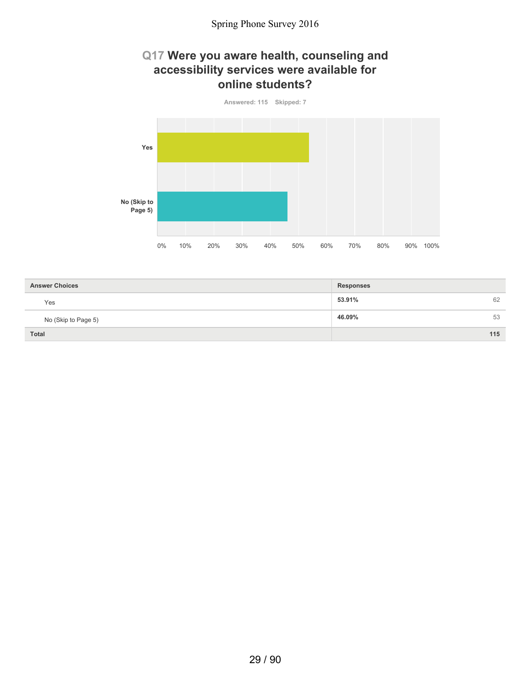# **Q17 Were you aware health, counseling and accessibility services were available for online students?**



| <b>Answer Choices</b> | <b>Responses</b> |
|-----------------------|------------------|
| Yes                   | 62<br>53.91%     |
| No (Skip to Page 5)   | 53<br>46.09%     |
| <b>Total</b>          | 115              |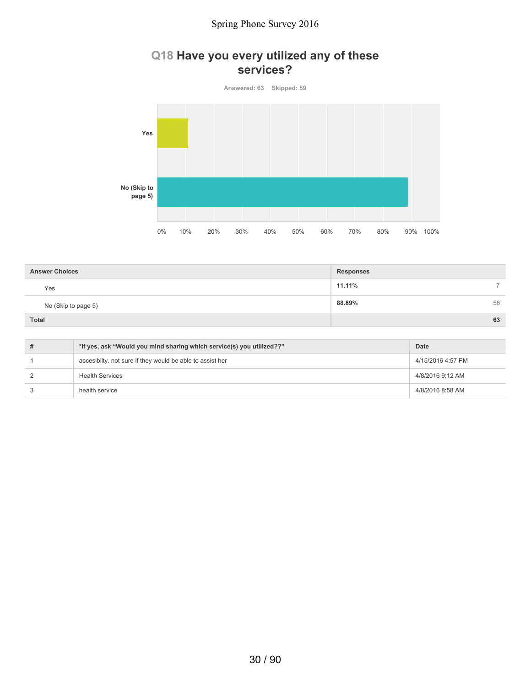## **Q18 Have you every utilized any of these services?**

**Answered: 63 Skipped: 59 Yes No (Skip to page 5)** 0% 10% 20% 30% 40% 50% 60% 70% 80% 90% 100%

| <b>Answer Choices</b> | <b>Responses</b> |
|-----------------------|------------------|
| Yes                   | 11.11%<br>-      |
| No (Skip to page 5)   | 56<br>88.89%     |
| <b>Total</b>          | 63               |

| *If yes, ask "Would you mind sharing which service(s) you utilized??" | Date              |
|-----------------------------------------------------------------------|-------------------|
| accesibilty. not sure if they would be able to assist her             | 4/15/2016 4:57 PM |
| <b>Health Services</b>                                                | 4/8/2016 9:12 AM  |
| health service                                                        | 4/8/2016 8:58 AM  |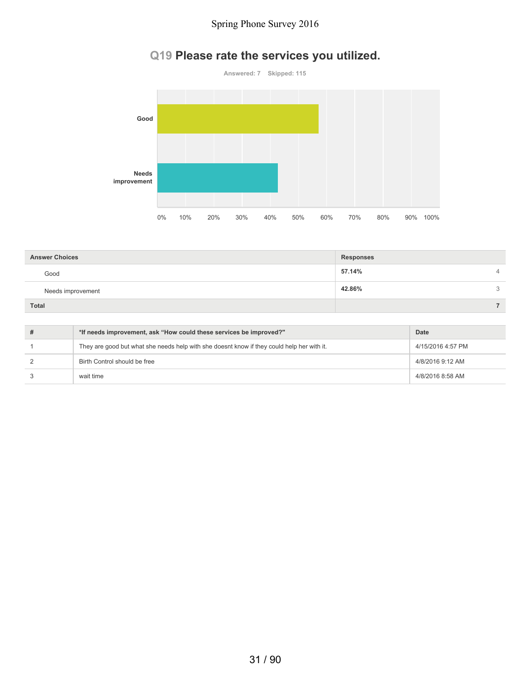# **Q19 Please rate the services you utilized.**



| <b>Answer Choices</b> | <b>Responses</b> |                |
|-----------------------|------------------|----------------|
| Good                  | 57.14%           | $\overline{4}$ |
| Needs improvement     | 42.86%           | 3              |
| <b>Total</b>          |                  |                |

| # | *If needs improvement, ask "How could these services be improved?"                         | Date              |
|---|--------------------------------------------------------------------------------------------|-------------------|
|   | They are good but what she needs help with she doesnt know if they could help her with it. | 4/15/2016 4:57 PM |
|   | Birth Control should be free                                                               | 4/8/2016 9:12 AM  |
|   | wait time                                                                                  | 4/8/2016 8:58 AM  |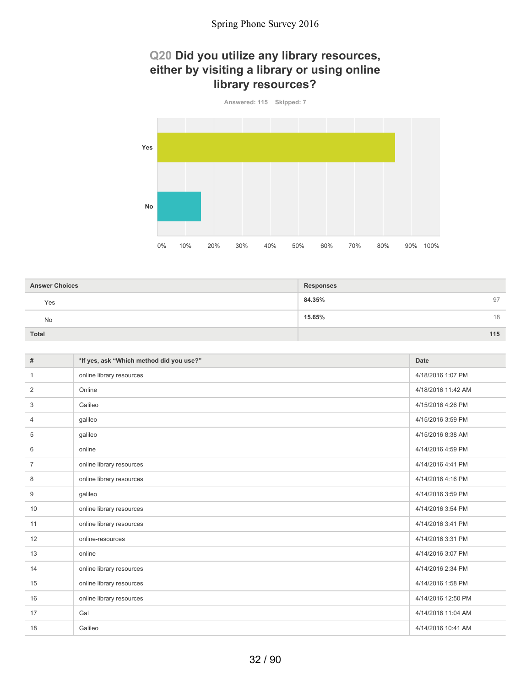# **Q20 Did you utilize any library resources, either by visiting a library or using online library resources?**



| <b>Answer Choices</b> | <b>Responses</b> |
|-----------------------|------------------|
| Yes                   | 84.35%<br>97     |
| No                    | 15.65%<br>18     |
| <b>Total</b>          | 115              |

| #  | *If yes, ask "Which method did you use?" | <b>Date</b>        |
|----|------------------------------------------|--------------------|
| 1  | online library resources                 | 4/18/2016 1:07 PM  |
| 2  | Online                                   | 4/18/2016 11:42 AM |
| 3  | Galileo                                  | 4/15/2016 4:26 PM  |
| 4  | galileo                                  | 4/15/2016 3:59 PM  |
| 5  | galileo                                  | 4/15/2016 8:38 AM  |
| 6  | online                                   | 4/14/2016 4:59 PM  |
| 7  | online library resources                 | 4/14/2016 4:41 PM  |
| 8  | online library resources                 | 4/14/2016 4:16 PM  |
| 9  | galileo                                  | 4/14/2016 3:59 PM  |
| 10 | online library resources                 | 4/14/2016 3:54 PM  |
| 11 | online library resources                 | 4/14/2016 3:41 PM  |
| 12 | online-resources                         | 4/14/2016 3:31 PM  |
| 13 | online                                   | 4/14/2016 3:07 PM  |
| 14 | online library resources                 | 4/14/2016 2:34 PM  |
| 15 | online library resources                 | 4/14/2016 1:58 PM  |
| 16 | online library resources                 | 4/14/2016 12:50 PM |
| 17 | Gal                                      | 4/14/2016 11:04 AM |
| 18 | Galileo                                  | 4/14/2016 10:41 AM |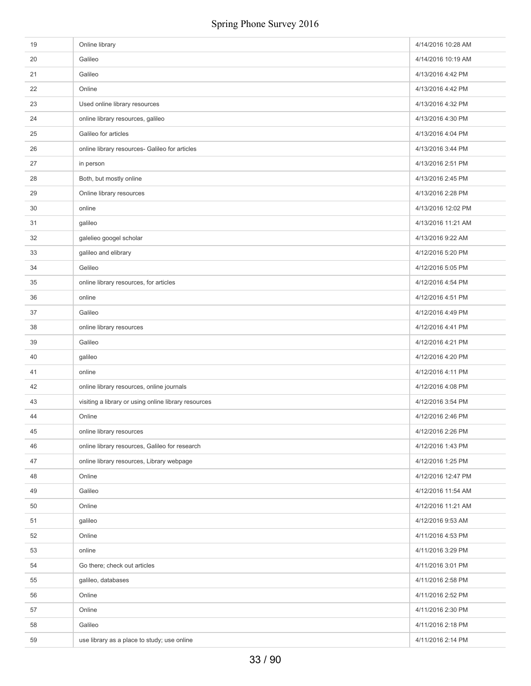| 19 | Online library                                       | 4/14/2016 10:28 AM |
|----|------------------------------------------------------|--------------------|
| 20 | Galileo                                              | 4/14/2016 10:19 AM |
| 21 | Galileo                                              | 4/13/2016 4:42 PM  |
| 22 | Online                                               | 4/13/2016 4:42 PM  |
| 23 | Used online library resources                        | 4/13/2016 4:32 PM  |
| 24 | online library resources, galileo                    | 4/13/2016 4:30 PM  |
| 25 | Galileo for articles                                 | 4/13/2016 4:04 PM  |
| 26 | online library resources- Galileo for articles       | 4/13/2016 3:44 PM  |
| 27 | in person                                            | 4/13/2016 2:51 PM  |
| 28 | Both, but mostly online                              | 4/13/2016 2:45 PM  |
| 29 | Online library resources                             | 4/13/2016 2:28 PM  |
| 30 | online                                               | 4/13/2016 12:02 PM |
| 31 | galileo                                              | 4/13/2016 11:21 AM |
| 32 | galelieo googel scholar                              | 4/13/2016 9:22 AM  |
| 33 | galileo and elibrary                                 | 4/12/2016 5:20 PM  |
| 34 | Gelileo                                              | 4/12/2016 5:05 PM  |
| 35 | online library resources, for articles               | 4/12/2016 4:54 PM  |
| 36 | online                                               | 4/12/2016 4:51 PM  |
| 37 | Galileo                                              | 4/12/2016 4:49 PM  |
| 38 | online library resources                             | 4/12/2016 4:41 PM  |
| 39 | Galileo                                              | 4/12/2016 4:21 PM  |
| 40 | galileo                                              | 4/12/2016 4:20 PM  |
| 41 | online                                               | 4/12/2016 4:11 PM  |
| 42 | online library resources, online journals            | 4/12/2016 4:08 PM  |
| 43 | visiting a library or using online library resources | 4/12/2016 3:54 PM  |
| 44 | Online                                               | 4/12/2016 2:46 PM  |
| 45 | online library resources                             | 4/12/2016 2:26 PM  |
| 46 | online library resources, Galileo for research       | 4/12/2016 1:43 PM  |
| 47 | online library resources, Library webpage            | 4/12/2016 1:25 PM  |
| 48 | Online                                               | 4/12/2016 12:47 PM |
| 49 | Galileo                                              | 4/12/2016 11:54 AM |
| 50 | Online                                               | 4/12/2016 11:21 AM |
| 51 | galileo                                              | 4/12/2016 9:53 AM  |
| 52 | Online                                               | 4/11/2016 4:53 PM  |
| 53 | online                                               | 4/11/2016 3:29 PM  |
| 54 | Go there; check out articles                         | 4/11/2016 3:01 PM  |
| 55 | galileo, databases                                   | 4/11/2016 2:58 PM  |
| 56 | Online                                               | 4/11/2016 2:52 PM  |
| 57 | Online                                               | 4/11/2016 2:30 PM  |
| 58 | Galileo                                              | 4/11/2016 2:18 PM  |
| 59 | use library as a place to study; use online          | 4/11/2016 2:14 PM  |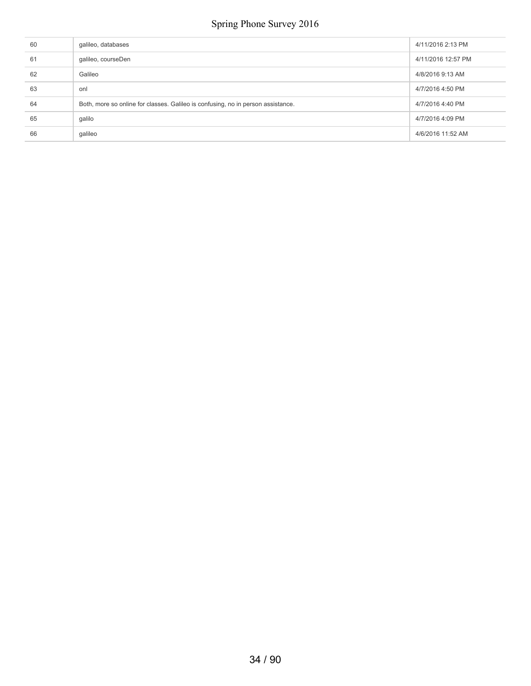| 60 | galileo, databases                                                               | 4/11/2016 2:13 PM  |
|----|----------------------------------------------------------------------------------|--------------------|
| 61 | galileo, courseDen                                                               | 4/11/2016 12:57 PM |
| 62 | Galileo                                                                          | 4/8/2016 9:13 AM   |
| 63 | onl                                                                              | 4/7/2016 4:50 PM   |
| 64 | Both, more so online for classes. Galileo is confusing, no in person assistance. | 4/7/2016 4:40 PM   |
| 65 | galilo                                                                           | 4/7/2016 4:09 PM   |
| 66 | galileo                                                                          | 4/6/2016 11:52 AM  |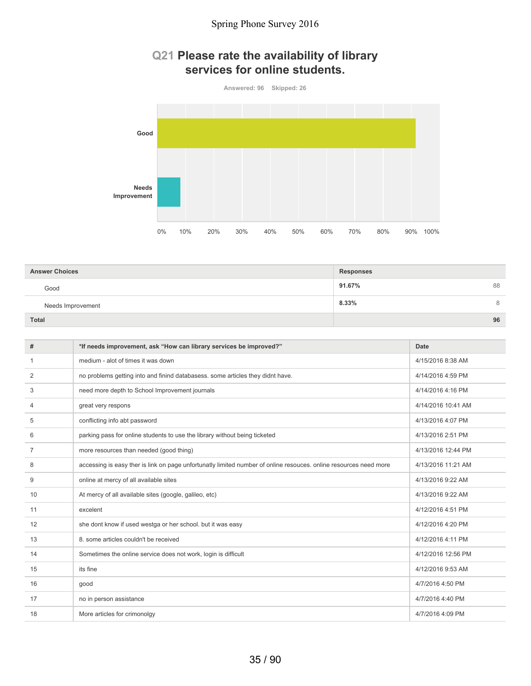# **Q21 Please rate the availability of library services for online students.**



| <b>Answer Choices</b> | <b>Responses</b> |
|-----------------------|------------------|
| Good                  | 88<br>91.67%     |
| Needs Improvement     | 8.33%<br>8       |
| <b>Total</b>          | 96               |

| #  | *If needs improvement, ask "How can library services be improved?"                                                | Date               |
|----|-------------------------------------------------------------------------------------------------------------------|--------------------|
| -1 | medium - alot of times it was down                                                                                | 4/15/2016 8:38 AM  |
| 2  | no problems getting into and finind databasess. some articles they didnt have.                                    | 4/14/2016 4:59 PM  |
| 3  | need more depth to School Improvement journals                                                                    | 4/14/2016 4:16 PM  |
| 4  | great very respons                                                                                                | 4/14/2016 10:41 AM |
| 5  | conflicting info abt password                                                                                     | 4/13/2016 4:07 PM  |
| 6  | parking pass for online students to use the library without being ticketed                                        | 4/13/2016 2:51 PM  |
| 7  | more resources than needed (good thing)                                                                           | 4/13/2016 12:44 PM |
| 8  | accessing is easy ther is link on page unfortunatly limited number of online resouces. online resources need more | 4/13/2016 11:21 AM |
| 9  | online at mercy of all available sites                                                                            | 4/13/2016 9:22 AM  |
| 10 | At mercy of all available sites (google, galileo, etc)                                                            | 4/13/2016 9:22 AM  |
| 11 | excelent                                                                                                          | 4/12/2016 4:51 PM  |
| 12 | she dont know if used westga or her school, but it was easy                                                       | 4/12/2016 4:20 PM  |
| 13 | 8. some articles couldn't be received                                                                             | 4/12/2016 4:11 PM  |
| 14 | Sometimes the online service does not work, login is difficult                                                    | 4/12/2016 12:56 PM |
| 15 | its fine                                                                                                          | 4/12/2016 9:53 AM  |
| 16 | good                                                                                                              | 4/7/2016 4:50 PM   |
| 17 | no in person assistance                                                                                           | 4/7/2016 4:40 PM   |
| 18 | More articles for crimonolgy                                                                                      | 4/7/2016 4:09 PM   |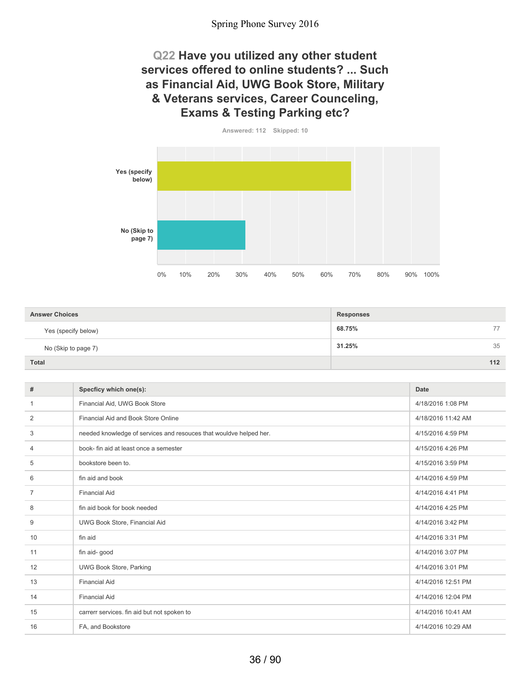# **Q22 Have you utilized any other student services offered to online students? ... Such as Financial Aid, UWG Book Store, Military & Veterans services, Career Counceling, Exams & Testing Parking etc?**



**68.75%** 77 **31.25%** 35 **Total 112 Answer Choices Responses** Yes (specify below) No (Skip to page 7)

| #              | Specficy which one(s):                                             | Date               |
|----------------|--------------------------------------------------------------------|--------------------|
| 1              | Financial Aid, UWG Book Store                                      | 4/18/2016 1:08 PM  |
| 2              | Financial Aid and Book Store Online                                | 4/18/2016 11:42 AM |
| 3              | needed knowledge of services and resouces that wouldve helped her. | 4/15/2016 4:59 PM  |
| 4              | book- fin aid at least once a semester                             | 4/15/2016 4:26 PM  |
| 5              | bookstore been to.                                                 | 4/15/2016 3:59 PM  |
| 6              | fin aid and book                                                   | 4/14/2016 4:59 PM  |
| $\overline{7}$ | <b>Financial Aid</b>                                               | 4/14/2016 4:41 PM  |
| 8              | fin aid book for book needed                                       | 4/14/2016 4:25 PM  |
| 9              | UWG Book Store, Financial Aid                                      | 4/14/2016 3:42 PM  |
| 10             | fin aid                                                            | 4/14/2016 3:31 PM  |
| 11             | fin aid- good                                                      | 4/14/2016 3:07 PM  |
| 12             | <b>UWG Book Store, Parking</b>                                     | 4/14/2016 3:01 PM  |
| 13             | <b>Financial Aid</b>                                               | 4/14/2016 12:51 PM |
| 14             | <b>Financial Aid</b>                                               | 4/14/2016 12:04 PM |
| 15             | carrerr services. fin aid but not spoken to                        | 4/14/2016 10:41 AM |
| 16             | FA, and Bookstore                                                  | 4/14/2016 10:29 AM |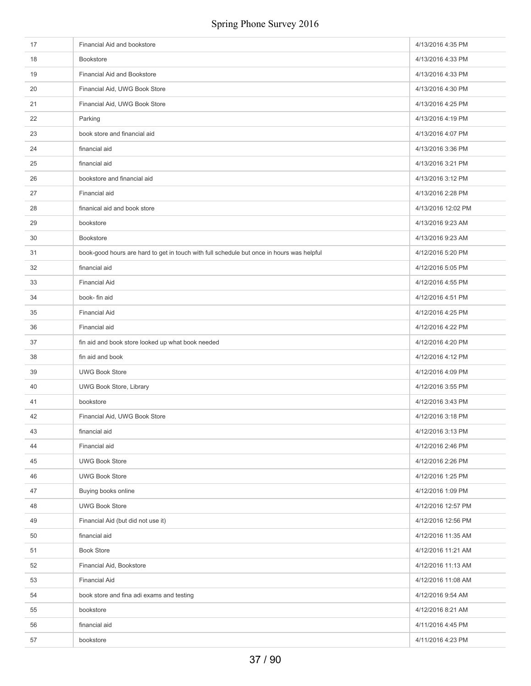| 17 | Financial Aid and bookstore                                                               | 4/13/2016 4:35 PM  |
|----|-------------------------------------------------------------------------------------------|--------------------|
| 18 | Bookstore                                                                                 | 4/13/2016 4:33 PM  |
| 19 | Financial Aid and Bookstore                                                               | 4/13/2016 4:33 PM  |
| 20 | Financial Aid, UWG Book Store                                                             | 4/13/2016 4:30 PM  |
| 21 | Financial Aid, UWG Book Store                                                             | 4/13/2016 4:25 PM  |
| 22 | Parking                                                                                   | 4/13/2016 4:19 PM  |
| 23 | book store and financial aid                                                              | 4/13/2016 4:07 PM  |
| 24 | financial aid                                                                             | 4/13/2016 3:36 PM  |
| 25 | financial aid                                                                             | 4/13/2016 3:21 PM  |
| 26 | bookstore and financial aid                                                               | 4/13/2016 3:12 PM  |
| 27 | Financial aid                                                                             | 4/13/2016 2:28 PM  |
| 28 | finanical aid and book store                                                              | 4/13/2016 12:02 PM |
| 29 | bookstore                                                                                 | 4/13/2016 9:23 AM  |
| 30 | Bookstore                                                                                 | 4/13/2016 9:23 AM  |
| 31 | book-good hours are hard to get in touch with full schedule but once in hours was helpful | 4/12/2016 5:20 PM  |
| 32 | financial aid                                                                             | 4/12/2016 5:05 PM  |
| 33 | <b>Financial Aid</b>                                                                      | 4/12/2016 4:55 PM  |
| 34 | book- fin aid                                                                             | 4/12/2016 4:51 PM  |
| 35 | <b>Financial Aid</b>                                                                      | 4/12/2016 4:25 PM  |
| 36 | Financial aid                                                                             | 4/12/2016 4:22 PM  |
| 37 | fin aid and book store looked up what book needed                                         | 4/12/2016 4:20 PM  |
| 38 | fin aid and book                                                                          | 4/12/2016 4:12 PM  |
| 39 | <b>UWG Book Store</b>                                                                     | 4/12/2016 4:09 PM  |
| 40 | <b>UWG Book Store, Library</b>                                                            | 4/12/2016 3:55 PM  |
| 41 | bookstore                                                                                 | 4/12/2016 3:43 PM  |
| 42 | Financial Aid, UWG Book Store                                                             | 4/12/2016 3:18 PM  |
| 43 | financial aid                                                                             | 4/12/2016 3:13 PM  |
| 44 | Financial aid                                                                             | 4/12/2016 2:46 PM  |
| 45 | <b>UWG Book Store</b>                                                                     | 4/12/2016 2:26 PM  |
| 46 | <b>UWG Book Store</b>                                                                     | 4/12/2016 1:25 PM  |
| 47 | Buying books online                                                                       | 4/12/2016 1:09 PM  |
| 48 | <b>UWG Book Store</b>                                                                     | 4/12/2016 12:57 PM |
| 49 | Financial Aid (but did not use it)                                                        | 4/12/2016 12:56 PM |
| 50 | financial aid                                                                             | 4/12/2016 11:35 AM |
| 51 | <b>Book Store</b>                                                                         | 4/12/2016 11:21 AM |
| 52 | Financial Aid, Bookstore                                                                  | 4/12/2016 11:13 AM |
| 53 | <b>Financial Aid</b>                                                                      | 4/12/2016 11:08 AM |
| 54 | book store and fina adi exams and testing                                                 | 4/12/2016 9:54 AM  |
| 55 | bookstore                                                                                 | 4/12/2016 8:21 AM  |
| 56 | financial aid                                                                             | 4/11/2016 4:45 PM  |
| 57 | bookstore                                                                                 | 4/11/2016 4:23 PM  |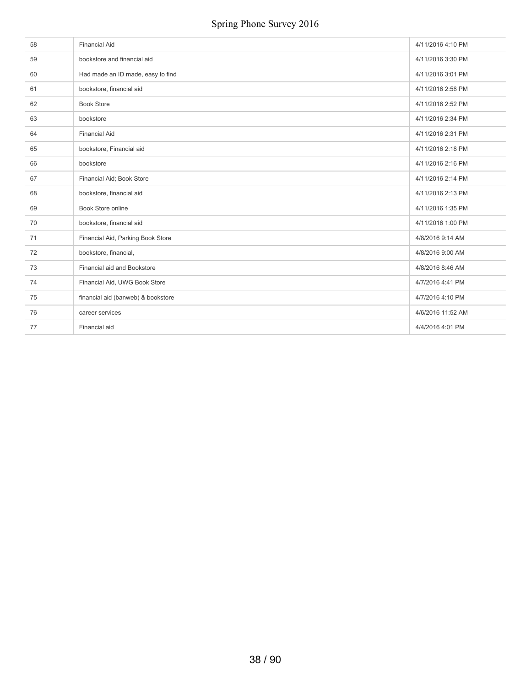| 58 | <b>Financial Aid</b>               | 4/11/2016 4:10 PM |
|----|------------------------------------|-------------------|
| 59 | bookstore and financial aid        | 4/11/2016 3:30 PM |
| 60 | Had made an ID made, easy to find  | 4/11/2016 3:01 PM |
| 61 | bookstore, financial aid           | 4/11/2016 2:58 PM |
| 62 | <b>Book Store</b>                  | 4/11/2016 2:52 PM |
| 63 | bookstore                          | 4/11/2016 2:34 PM |
| 64 | <b>Financial Aid</b>               | 4/11/2016 2:31 PM |
| 65 | bookstore, Financial aid           | 4/11/2016 2:18 PM |
| 66 | bookstore                          | 4/11/2016 2:16 PM |
| 67 | Financial Aid; Book Store          | 4/11/2016 2:14 PM |
| 68 | bookstore, financial aid           | 4/11/2016 2:13 PM |
| 69 | Book Store online                  | 4/11/2016 1:35 PM |
| 70 | bookstore, financial aid           | 4/11/2016 1:00 PM |
| 71 | Financial Aid, Parking Book Store  | 4/8/2016 9:14 AM  |
| 72 | bookstore, financial,              | 4/8/2016 9:00 AM  |
| 73 | Financial aid and Bookstore        | 4/8/2016 8:46 AM  |
| 74 | Financial Aid, UWG Book Store      | 4/7/2016 4:41 PM  |
| 75 | financial aid (banweb) & bookstore | 4/7/2016 4:10 PM  |
| 76 | career services                    | 4/6/2016 11:52 AM |
| 77 | Financial aid                      | 4/4/2016 4:01 PM  |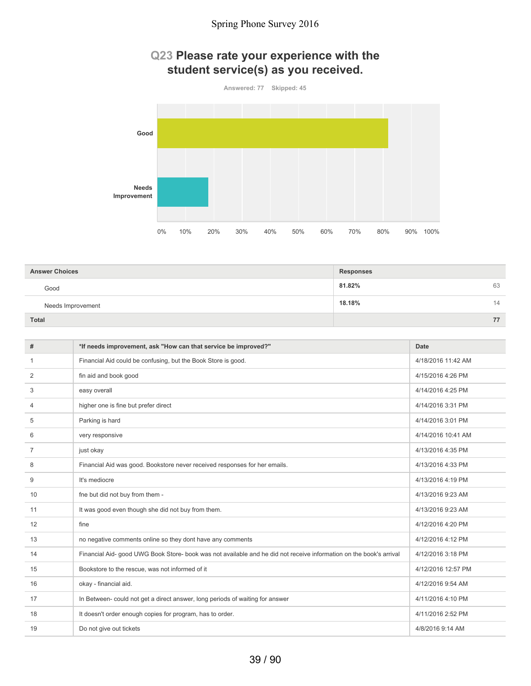# **Q23 Please rate your experience with the student service(s) as you received.**



| <b>Answer Choices</b> | <b>Responses</b> |    |
|-----------------------|------------------|----|
| Good                  | 81.82%           | 63 |
| Needs Improvement     | 18.18%           | 14 |
| <b>Total</b>          |                  | 77 |

| #              | *If needs improvement, ask "How can that service be improved?"                                                      | Date               |
|----------------|---------------------------------------------------------------------------------------------------------------------|--------------------|
| -1             | Financial Aid could be confusing, but the Book Store is good.                                                       | 4/18/2016 11:42 AM |
| 2              | fin aid and book good                                                                                               | 4/15/2016 4:26 PM  |
| 3              | easy overall                                                                                                        | 4/14/2016 4:25 PM  |
| 4              | higher one is fine but prefer direct                                                                                | 4/14/2016 3:31 PM  |
| 5              | Parking is hard                                                                                                     | 4/14/2016 3:01 PM  |
| 6              | very responsive                                                                                                     | 4/14/2016 10:41 AM |
| $\overline{7}$ | just okay                                                                                                           | 4/13/2016 4:35 PM  |
| 8              | Financial Aid was good. Bookstore never received responses for her emails.                                          | 4/13/2016 4:33 PM  |
| 9              | It's mediocre                                                                                                       | 4/13/2016 4:19 PM  |
| 10             | fne but did not buy from them -                                                                                     | 4/13/2016 9:23 AM  |
| 11             | It was good even though she did not buy from them.                                                                  | 4/13/2016 9:23 AM  |
| 12             | fine                                                                                                                | 4/12/2016 4:20 PM  |
| 13             | no negative comments online so they dont have any comments                                                          | 4/12/2016 4:12 PM  |
| 14             | Financial Aid- good UWG Book Store- book was not available and he did not receive information on the book's arrival | 4/12/2016 3:18 PM  |
| 15             | Bookstore to the rescue, was not informed of it                                                                     | 4/12/2016 12:57 PM |
| 16             | okay - financial aid.                                                                                               | 4/12/2016 9:54 AM  |
| 17             | In Between- could not get a direct answer, long periods of waiting for answer                                       | 4/11/2016 4:10 PM  |
| 18             | It doesn't order enough copies for program, has to order.                                                           | 4/11/2016 2:52 PM  |
| 19             | Do not give out tickets                                                                                             | 4/8/2016 9:14 AM   |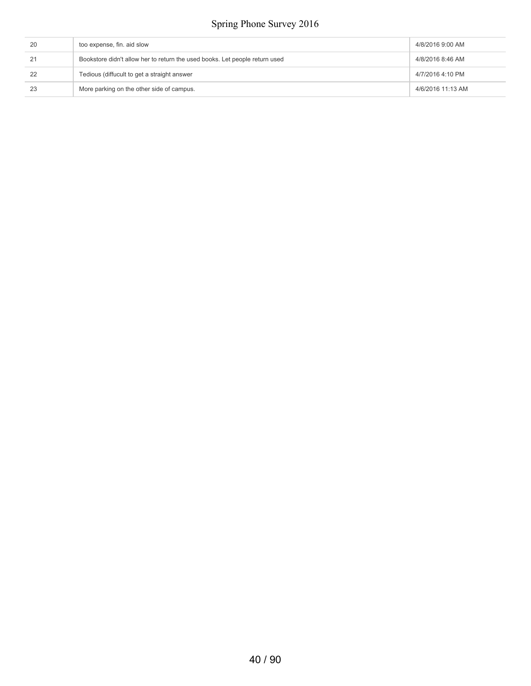| 20 | too expense, fin. aid slow                                                  | 4/8/2016 9:00 AM  |
|----|-----------------------------------------------------------------------------|-------------------|
| 21 | Bookstore didn't allow her to return the used books. Let people return used | 4/8/2016 8:46 AM  |
| 22 | Tedious (diffucult to get a straight answer                                 | 4/7/2016 4:10 PM  |
| 23 | More parking on the other side of campus.                                   | 4/6/2016 11:13 AM |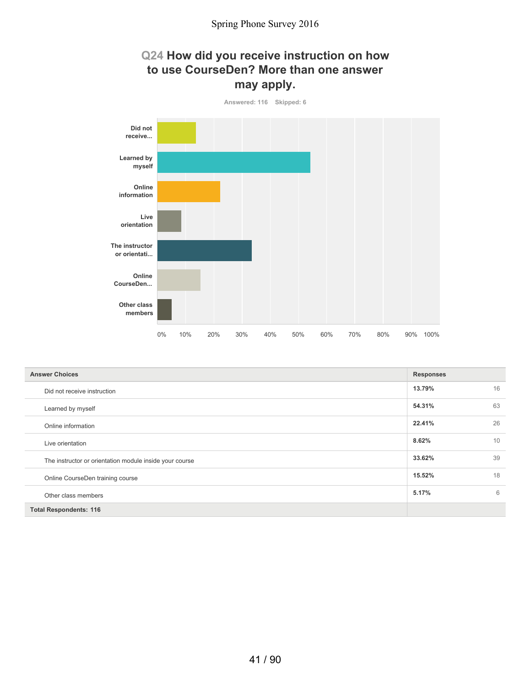# **Q24 How did you receive instruction on how to use CourseDen? More than one answer may apply.**



| <b>Answer Choices</b>                                   | <b>Responses</b> |    |
|---------------------------------------------------------|------------------|----|
| Did not receive instruction                             | 13.79%           | 16 |
| Learned by myself                                       | 54.31%           | 63 |
| Online information                                      | 22.41%           | 26 |
| Live orientation                                        | 8.62%            | 10 |
| The instructor or orientation module inside your course | 33.62%           | 39 |
| Online CourseDen training course                        | 15.52%           | 18 |
| Other class members                                     | 5.17%            | 6  |
| <b>Total Respondents: 116</b>                           |                  |    |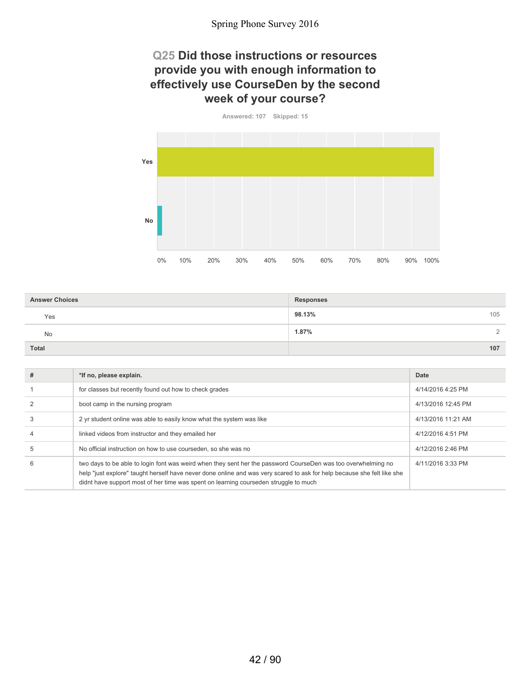# **Q25 Did those instructions or resources provide you with enough information to effectively use CourseDen by the second week of your course?**

**Answered: 107 Skipped: 15**



| <b>Answer Choices</b> | <b>Responses</b>     |
|-----------------------|----------------------|
| Yes                   | 98.13%<br>105        |
| <b>No</b>             | 1.87%<br>$\cap$<br>∼ |
| Total                 | 107                  |

| # | *If no, please explain.                                                                                                                                                                                                                                                                                                          | Date               |
|---|----------------------------------------------------------------------------------------------------------------------------------------------------------------------------------------------------------------------------------------------------------------------------------------------------------------------------------|--------------------|
|   | for classes but recently found out how to check grades                                                                                                                                                                                                                                                                           | 4/14/2016 4:25 PM  |
|   | boot camp in the nursing program                                                                                                                                                                                                                                                                                                 | 4/13/2016 12:45 PM |
|   | 2 yr student online was able to easily know what the system was like                                                                                                                                                                                                                                                             | 4/13/2016 11:21 AM |
|   | linked videos from instructor and they emailed her                                                                                                                                                                                                                                                                               | 4/12/2016 4:51 PM  |
| 5 | No official instruction on how to use courseden, so she was no                                                                                                                                                                                                                                                                   | 4/12/2016 2:46 PM  |
| 6 | two days to be able to login font was weird when they sent her the password CourseDen was too overwhelming no<br>help "just explore" taught herself have never done online and was very scared to ask for help because she felt like she<br>didnt have support most of her time was spent on learning courseden struggle to much | 4/11/2016 3:33 PM  |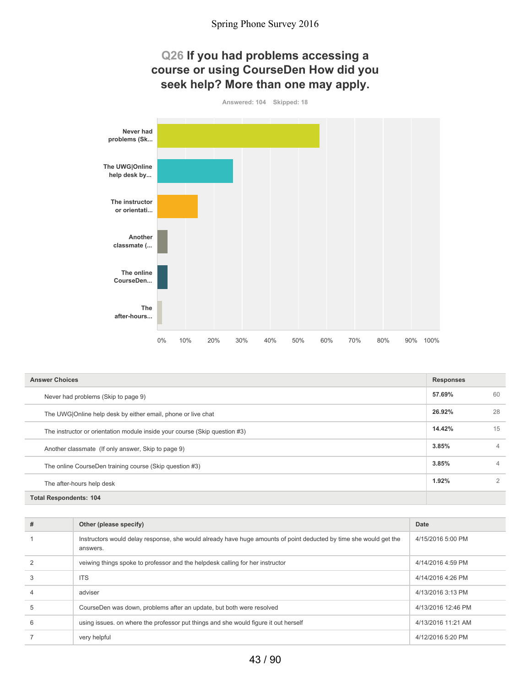# **Q26 If you had problems accessing a course or using CourseDen How did you seek help? More than one may apply.**



| <b>Answer Choices</b>                                                      |        |                |
|----------------------------------------------------------------------------|--------|----------------|
| Never had problems (Skip to page 9)                                        | 57.69% | 60             |
| The UWG Online help desk by either email, phone or live chat               | 26.92% | 28             |
| The instructor or orientation module inside your course (Skip question #3) | 14.42% | 15             |
| Another classmate (If only answer, Skip to page 9)                         | 3.85%  | $\overline{4}$ |
| The online CourseDen training course (Skip question #3)                    |        | $\overline{4}$ |
| The after-hours help desk                                                  | 1.92%  | $\overline{2}$ |
| <b>Total Respondents: 104</b>                                              |        |                |

| #              | Other (please specify)                                                                                                        | <b>Date</b>        |
|----------------|-------------------------------------------------------------------------------------------------------------------------------|--------------------|
|                | Instructors would delay response, she would already have huge amounts of point deducted by time she would get the<br>answers. | 4/15/2016 5:00 PM  |
|                | veiwing things spoke to professor and the helpdesk calling for her instructor                                                 | 4/14/2016 4:59 PM  |
| 3              | <b>ITS</b>                                                                                                                    | 4/14/2016 4:26 PM  |
| $\overline{4}$ | adviser                                                                                                                       | 4/13/2016 3:13 PM  |
| 5              | CourseDen was down, problems after an update, but both were resolved                                                          | 4/13/2016 12:46 PM |
| 6              | using issues, on where the professor put things and she would figure it out herself                                           | 4/13/2016 11:21 AM |
|                | very helpful                                                                                                                  | 4/12/2016 5:20 PM  |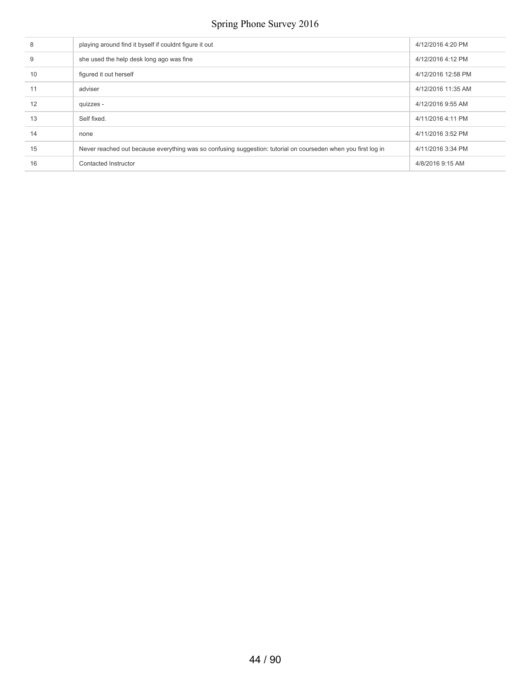| 8  | playing around find it byself if couldnt figure it out                                                        | 4/12/2016 4:20 PM  |
|----|---------------------------------------------------------------------------------------------------------------|--------------------|
| 9  | she used the help desk long ago was fine                                                                      | 4/12/2016 4:12 PM  |
| 10 | figured it out herself                                                                                        | 4/12/2016 12:58 PM |
| 11 | adviser                                                                                                       | 4/12/2016 11:35 AM |
| 12 | quizzes -                                                                                                     | 4/12/2016 9:55 AM  |
| 13 | Self fixed.                                                                                                   | 4/11/2016 4:11 PM  |
| 14 | none                                                                                                          | 4/11/2016 3:52 PM  |
| 15 | Never reached out because everything was so confusing suggestion: tutorial on courseden when you first log in | 4/11/2016 3:34 PM  |
| 16 | Contacted Instructor                                                                                          | 4/8/2016 9:15 AM   |
|    |                                                                                                               |                    |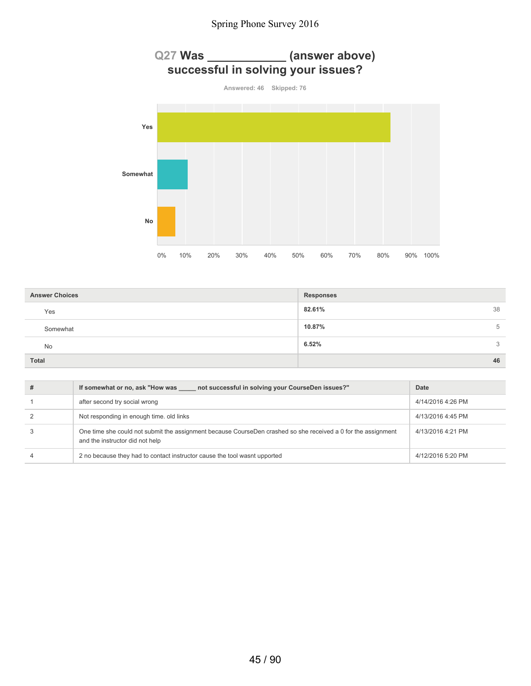

| <b>Answer Choices</b> | <b>Responses</b> |
|-----------------------|------------------|
| Yes                   | 82.61%<br>38     |
| Somewhat              | 10.87%<br>5      |
| <b>No</b>             | 6.52%<br>3       |
| Total                 | 46               |

| # | If somewhat or no, ask "How was<br>not successful in solving your CourseDen issues?"                                                             | Date              |
|---|--------------------------------------------------------------------------------------------------------------------------------------------------|-------------------|
|   | after second try social wrong                                                                                                                    | 4/14/2016 4:26 PM |
|   | Not responding in enough time, old links                                                                                                         | 4/13/2016 4:45 PM |
|   | One time she could not submit the assignment because CourseDen crashed so she received a 0 for the assignment<br>and the instructor did not help | 4/13/2016 4:21 PM |
|   | 2 no because they had to contact instructor cause the tool wasnt upported                                                                        | 4/12/2016 5:20 PM |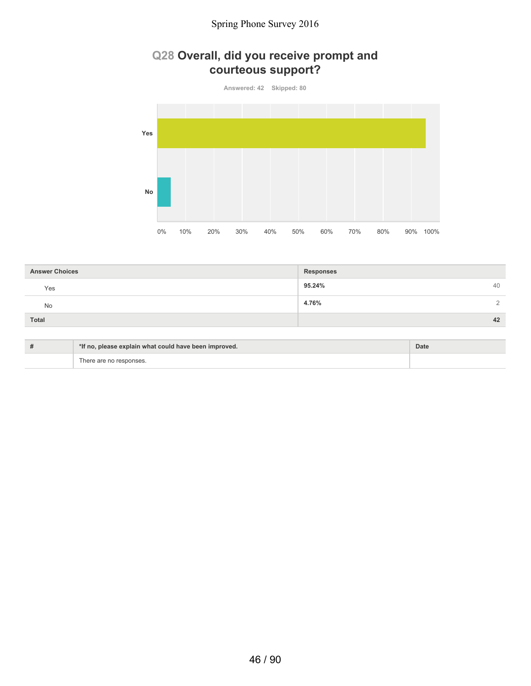# **Q28 Overall, did you receive prompt and courteous support?**



| <b>Answer Choices</b> | <b>Responses</b>  |
|-----------------------|-------------------|
| Yes                   | 95.24%<br>40      |
| <b>No</b>             | 4.76%<br>$\Omega$ |
| Total                 | 42                |

| $+$ | *If no, please explain what could have been improved. | Date |
|-----|-------------------------------------------------------|------|
|     | There are no responses.                               |      |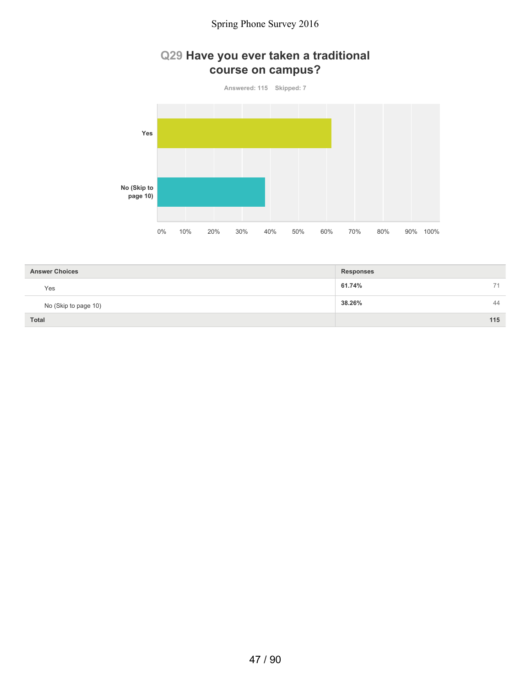## **Q29 Have you ever taken a traditional course on campus?**

**Answered: 115 Skipped: 7**

**Yes**



| <b>Answer Choices</b> | <b>Responses</b> |
|-----------------------|------------------|
| Yes                   | 61.74%<br>71     |
| No (Skip to page 10)  | 38.26%<br>44     |
| <b>Total</b>          | 115              |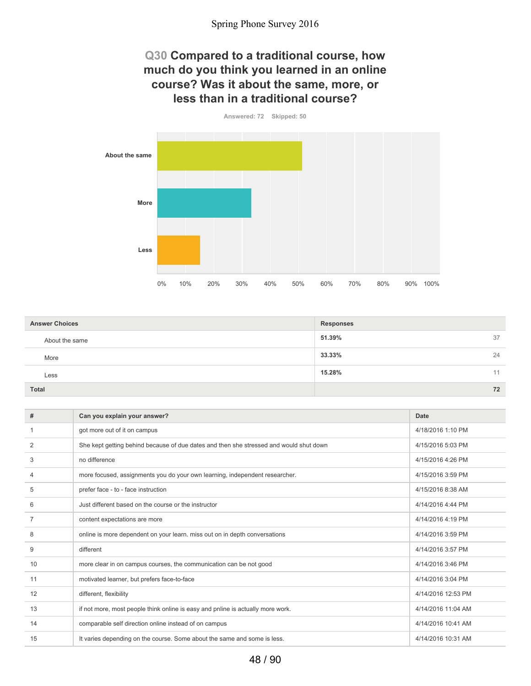# **Q30 Compared to a traditional course, how much do you think you learned in an online course? Was it about the same, more, or less than in a traditional course?**



| <b>Answer Choices</b> | <b>Responses</b> |    |
|-----------------------|------------------|----|
| About the same        | 51.39%           | 37 |
| More                  | 33.33%           | 24 |
| Less                  | 15.28%           | 11 |
| Total                 |                  | 72 |

| #              | Can you explain your answer?                                                           | Date               |
|----------------|----------------------------------------------------------------------------------------|--------------------|
|                | got more out of it on campus                                                           | 4/18/2016 1:10 PM  |
| 2              | She kept getting behind because of due dates and then she stressed and would shut down | 4/15/2016 5:03 PM  |
| 3              | no difference                                                                          | 4/15/2016 4:26 PM  |
| 4              | more focused, assignments you do your own learning, independent researcher.            | 4/15/2016 3:59 PM  |
| 5              | prefer face - to - face instruction                                                    | 4/15/2016 8:38 AM  |
| 6              | Just different based on the course or the instructor                                   | 4/14/2016 4:44 PM  |
| $\overline{7}$ | content expectations are more                                                          | 4/14/2016 4:19 PM  |
| 8              | online is more dependent on your learn. miss out on in depth conversations             | 4/14/2016 3:59 PM  |
| 9              | different                                                                              | 4/14/2016 3:57 PM  |
| 10             | more clear in on campus courses, the communication can be not good                     | 4/14/2016 3:46 PM  |
| 11             | motivated learner, but prefers face-to-face                                            | 4/14/2016 3:04 PM  |
| 12             | different, flexibility                                                                 | 4/14/2016 12:53 PM |
| 13             | if not more, most people think online is easy and pnline is actually more work.        | 4/14/2016 11:04 AM |
| 14             | comparable self direction online instead of on campus                                  | 4/14/2016 10:41 AM |
| 15             | It varies depending on the course. Some about the same and some is less.               | 4/14/2016 10:31 AM |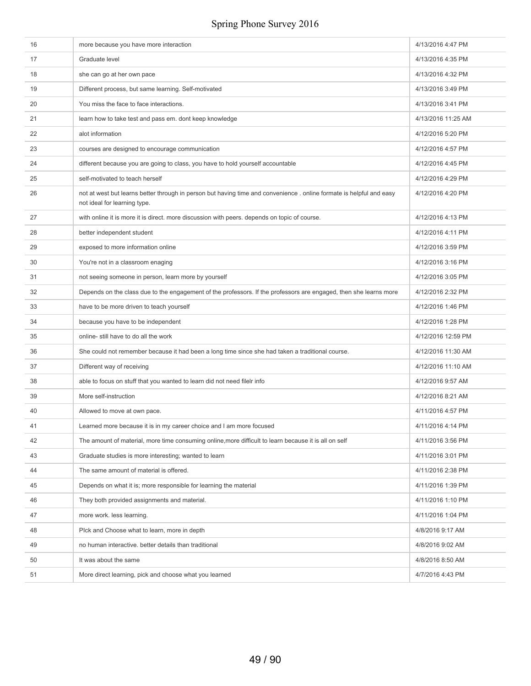| 16 | more because you have more interaction                                                                                                               | 4/13/2016 4:47 PM  |
|----|------------------------------------------------------------------------------------------------------------------------------------------------------|--------------------|
| 17 | Graduate level                                                                                                                                       | 4/13/2016 4:35 PM  |
| 18 | she can go at her own pace                                                                                                                           | 4/13/2016 4:32 PM  |
| 19 | Different process, but same learning. Self-motivated                                                                                                 | 4/13/2016 3:49 PM  |
| 20 | You miss the face to face interactions.                                                                                                              | 4/13/2016 3:41 PM  |
| 21 | learn how to take test and pass em. dont keep knowledge                                                                                              | 4/13/2016 11:25 AM |
| 22 | alot information                                                                                                                                     | 4/12/2016 5:20 PM  |
| 23 | courses are designed to encourage communication                                                                                                      | 4/12/2016 4:57 PM  |
| 24 | different because you are going to class, you have to hold yourself accountable                                                                      | 4/12/2016 4:45 PM  |
| 25 | self-motivated to teach herself                                                                                                                      | 4/12/2016 4:29 PM  |
| 26 | not at west but learns better through in person but having time and convenience . online formate is helpful and easy<br>not ideal for learning type. | 4/12/2016 4:20 PM  |
| 27 | with online it is more it is direct. more discussion with peers. depends on topic of course.                                                         | 4/12/2016 4:13 PM  |
| 28 | better independent student                                                                                                                           | 4/12/2016 4:11 PM  |
| 29 | exposed to more information online                                                                                                                   | 4/12/2016 3:59 PM  |
| 30 | You're not in a classroom enaging                                                                                                                    | 4/12/2016 3:16 PM  |
| 31 | not seeing someone in person, learn more by yourself                                                                                                 | 4/12/2016 3:05 PM  |
| 32 | Depends on the class due to the engagement of the professors. If the professors are engaged, then she learns more                                    | 4/12/2016 2:32 PM  |
| 33 | have to be more driven to teach yourself                                                                                                             | 4/12/2016 1:46 PM  |
| 34 | because you have to be independent                                                                                                                   | 4/12/2016 1:28 PM  |
| 35 | online- still have to do all the work                                                                                                                | 4/12/2016 12:59 PM |
| 36 | She could not remember because it had been a long time since she had taken a traditional course.                                                     | 4/12/2016 11:30 AM |
| 37 | Different way of receiving                                                                                                                           | 4/12/2016 11:10 AM |
| 38 | able to focus on stuff that you wanted to learn did not need filelr info                                                                             | 4/12/2016 9:57 AM  |
| 39 | More self-instruction                                                                                                                                | 4/12/2016 8:21 AM  |
| 40 | Allowed to move at own pace.                                                                                                                         | 4/11/2016 4:57 PM  |
|    | Learned more because it is in my career choice and I am more focused                                                                                 | 4/11/2016 4:14 PM  |
| 42 | The amount of material, more time consuming online, more difficult to learn because it is all on self                                                | 4/11/2016 3:56 PM  |
| 43 | Graduate studies is more interesting; wanted to learn                                                                                                | 4/11/2016 3:01 PM  |
| 44 | The same amount of material is offered.                                                                                                              | 4/11/2016 2:38 PM  |
| 45 | Depends on what it is; more responsible for learning the material                                                                                    | 4/11/2016 1:39 PM  |
| 46 | They both provided assignments and material.                                                                                                         | 4/11/2016 1:10 PM  |
| 47 | more work. less learning.                                                                                                                            | 4/11/2016 1:04 PM  |
| 48 | Plck and Choose what to learn, more in depth                                                                                                         | 4/8/2016 9:17 AM   |
| 49 | no human interactive. better details than traditional                                                                                                | 4/8/2016 9:02 AM   |
| 50 | It was about the same                                                                                                                                | 4/8/2016 8:50 AM   |
| 51 | More direct learning, pick and choose what you learned                                                                                               | 4/7/2016 4:43 PM   |
|    |                                                                                                                                                      |                    |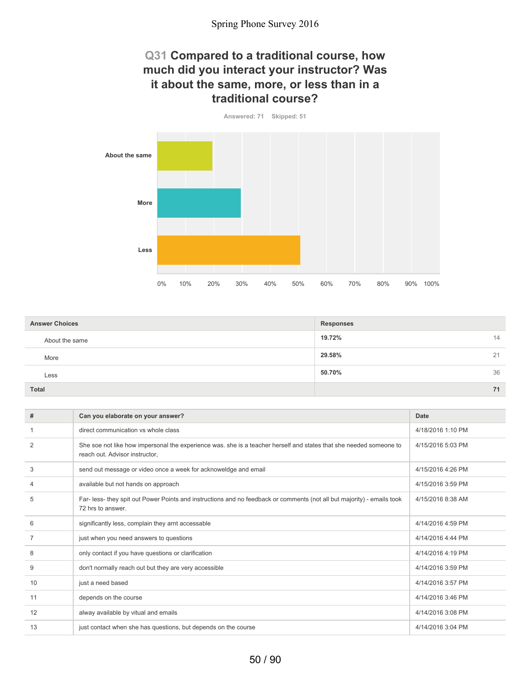# **Q31 Compared to a traditional course, how much did you interact your instructor? Was it about the same, more, or less than in a traditional course?**

**Answered: 71 Skipped: 51**



| <b>Answer Choices</b> | <b>Responses</b> |    |
|-----------------------|------------------|----|
| About the same        | 19.72%           | 14 |
| More                  | 29.58%           | 21 |
| Less                  | 50.70%           | 36 |
| Total                 |                  | 71 |

| #              | Can you elaborate on your answer?                                                                                                                    | Date              |
|----------------|------------------------------------------------------------------------------------------------------------------------------------------------------|-------------------|
|                | direct communication vs whole class                                                                                                                  | 4/18/2016 1:10 PM |
| $\overline{2}$ | She soe not like how impersonal the experience was. she is a teacher herself and states that she needed someone to<br>reach out. Advisor instructor, | 4/15/2016 5:03 PM |
| 3              | send out message or video once a week for acknoweldge and email                                                                                      | 4/15/2016 4:26 PM |
| 4              | available but not hands on approach                                                                                                                  | 4/15/2016 3:59 PM |
| 5              | Far- less- they spit out Power Points and instructions and no feedback or comments (not all but majority) - emails took<br>72 hrs to answer.         | 4/15/2016 8:38 AM |
| 6              | significantly less, complain they arnt accessable                                                                                                    | 4/14/2016 4:59 PM |
| $\overline{7}$ | just when you need answers to questions                                                                                                              | 4/14/2016 4:44 PM |
| 8              | only contact if you have questions or clarification                                                                                                  | 4/14/2016 4:19 PM |
| 9              | don't normally reach out but they are very accessible                                                                                                | 4/14/2016 3:59 PM |
| 10             | just a need based                                                                                                                                    | 4/14/2016 3:57 PM |
| 11             | depends on the course                                                                                                                                | 4/14/2016 3:46 PM |
| 12             | alway available by vitual and emails                                                                                                                 | 4/14/2016 3:08 PM |
| 13             | just contact when she has questions, but depends on the course                                                                                       | 4/14/2016 3:04 PM |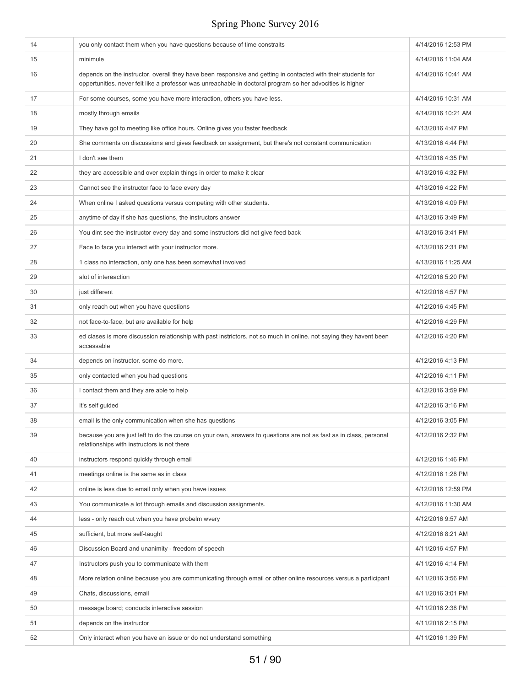| 14 | you only contact them when you have questions because of time constraits                                                                                                                                                    | 4/14/2016 12:53 PM |
|----|-----------------------------------------------------------------------------------------------------------------------------------------------------------------------------------------------------------------------------|--------------------|
| 15 | minimule                                                                                                                                                                                                                    | 4/14/2016 11:04 AM |
| 16 | depends on the instructor. overall they have been responsive and getting in contacted with their students for<br>oppertunities. never felt like a professor was unreachable in doctoral program so her advocities is higher | 4/14/2016 10:41 AM |
| 17 | For some courses, some you have more interaction, others you have less.                                                                                                                                                     | 4/14/2016 10:31 AM |
| 18 | mostly through emails                                                                                                                                                                                                       | 4/14/2016 10:21 AM |
| 19 | They have got to meeting like office hours. Online gives you faster feedback                                                                                                                                                | 4/13/2016 4:47 PM  |
| 20 | She comments on discussions and gives feedback on assignment, but there's not constant communication                                                                                                                        | 4/13/2016 4:44 PM  |
| 21 | I don't see them                                                                                                                                                                                                            | 4/13/2016 4:35 PM  |
| 22 | they are accessible and over explain things in order to make it clear                                                                                                                                                       | 4/13/2016 4:32 PM  |
| 23 | Cannot see the instructor face to face every day                                                                                                                                                                            | 4/13/2016 4:22 PM  |
| 24 | When online I asked questions versus competing with other students.                                                                                                                                                         | 4/13/2016 4:09 PM  |
| 25 | anytime of day if she has questions, the instructors answer                                                                                                                                                                 | 4/13/2016 3:49 PM  |
| 26 | You dint see the instructor every day and some instructors did not give feed back                                                                                                                                           | 4/13/2016 3:41 PM  |
| 27 | Face to face you interact with your instructor more.                                                                                                                                                                        | 4/13/2016 2:31 PM  |
| 28 | 1 class no interaction, only one has been somewhat involved                                                                                                                                                                 | 4/13/2016 11:25 AM |
| 29 | alot of intereaction                                                                                                                                                                                                        | 4/12/2016 5:20 PM  |
| 30 | just different                                                                                                                                                                                                              | 4/12/2016 4:57 PM  |
| 31 | only reach out when you have questions                                                                                                                                                                                      | 4/12/2016 4:45 PM  |
| 32 | not face-to-face, but are available for help                                                                                                                                                                                | 4/12/2016 4:29 PM  |
| 33 | ed clases is more discussion relationship with past instrictors. not so much in online. not saying they havent been<br>accessable                                                                                           | 4/12/2016 4:20 PM  |
| 34 | depends on instructor. some do more.                                                                                                                                                                                        | 4/12/2016 4:13 PM  |
| 35 | only contacted when you had questions                                                                                                                                                                                       | 4/12/2016 4:11 PM  |
| 36 | I contact them and they are able to help                                                                                                                                                                                    | 4/12/2016 3:59 PM  |
| 37 | It's self guided                                                                                                                                                                                                            | 4/12/2016 3:16 PM  |
| 38 | email is the only communication when she has questions                                                                                                                                                                      | 4/12/2016 3:05 PM  |
| 39 | because you are just left to do the course on your own, answers to questions are not as fast as in class, personal<br>relationships with instructors is not there                                                           | 4/12/2016 2:32 PM  |
| 40 | instructors respond quickly through email                                                                                                                                                                                   | 4/12/2016 1:46 PM  |
| 41 | meetings online is the same as in class                                                                                                                                                                                     | 4/12/2016 1:28 PM  |
| 42 | online is less due to email only when you have issues                                                                                                                                                                       | 4/12/2016 12:59 PM |
| 43 | You communicate a lot through emails and discussion assignments.                                                                                                                                                            | 4/12/2016 11:30 AM |
| 44 | less - only reach out when you have probelm wvery                                                                                                                                                                           | 4/12/2016 9:57 AM  |
| 45 | sufficient, but more self-taught                                                                                                                                                                                            | 4/12/2016 8:21 AM  |
| 46 | Discussion Board and unanimity - freedom of speech                                                                                                                                                                          | 4/11/2016 4:57 PM  |
| 47 | Instructors push you to communicate with them                                                                                                                                                                               | 4/11/2016 4:14 PM  |
| 48 | More relation online because you are communicating through email or other online resources versus a participant                                                                                                             | 4/11/2016 3:56 PM  |
| 49 | Chats, discussions, email                                                                                                                                                                                                   | 4/11/2016 3:01 PM  |
| 50 | message board; conducts interactive session                                                                                                                                                                                 | 4/11/2016 2:38 PM  |
| 51 | depends on the instructor                                                                                                                                                                                                   | 4/11/2016 2:15 PM  |
| 52 | Only interact when you have an issue or do not understand something                                                                                                                                                         | 4/11/2016 1:39 PM  |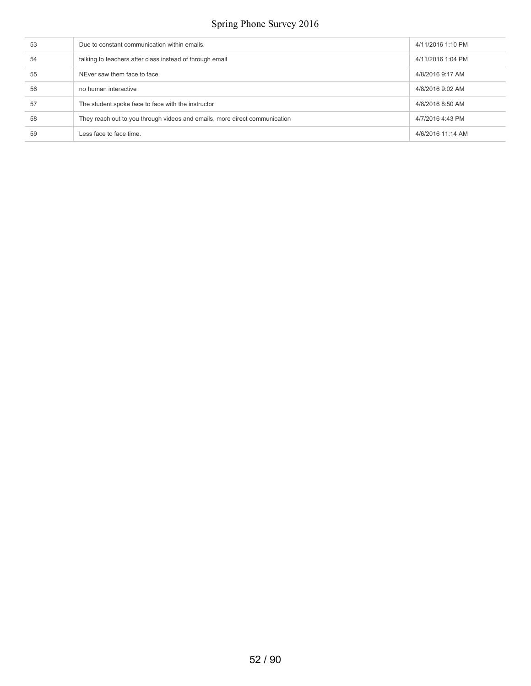| Due to constant communication within emails.                               | 4/11/2016 1:10 PM |
|----------------------------------------------------------------------------|-------------------|
| talking to teachers after class instead of through email                   | 4/11/2016 1:04 PM |
| NEver saw them face to face                                                | 4/8/2016 9:17 AM  |
| no human interactive                                                       | 4/8/2016 9:02 AM  |
| The student spoke face to face with the instructor                         | 4/8/2016 8:50 AM  |
| They reach out to you through videos and emails, more direct communication | 4/7/2016 4:43 PM  |
| Less face to face time.                                                    | 4/6/2016 11:14 AM |
|                                                                            |                   |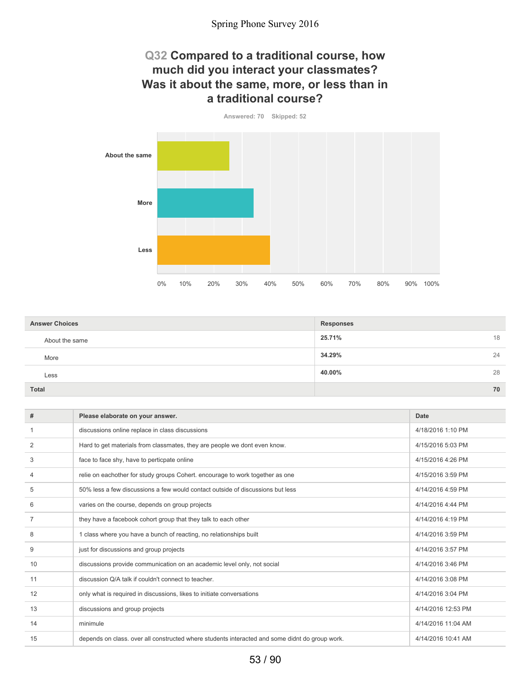## **Q32 Compared to a traditional course, how much did you interact your classmates? Was it about the same, more, or less than in a traditional course?**

**Answered: 70 Skipped: 52**



| <b>Answer Choices</b> | <b>Responses</b> |
|-----------------------|------------------|
| About the same        | 25.71%<br>18     |
| More                  | 34.29%<br>24     |
| Less                  | 40.00%<br>28     |
| <b>Total</b>          | 70               |

| #  | Please elaborate on your answer.                                                               | Date               |
|----|------------------------------------------------------------------------------------------------|--------------------|
|    | discussions online replace in class discussions                                                | 4/18/2016 1:10 PM  |
| 2  | Hard to get materials from classmates, they are people we dont even know.                      | 4/15/2016 5:03 PM  |
| 3  | face to face shy, have to perticpate online                                                    | 4/15/2016 4:26 PM  |
| 4  | relie on eachother for study groups Cohert. encourage to work together as one                  | 4/15/2016 3:59 PM  |
| 5  | 50% less a few discussions a few would contact outside of discussions but less                 | 4/14/2016 4:59 PM  |
| 6  | varies on the course, depends on group projects                                                | 4/14/2016 4:44 PM  |
|    | they have a facebook cohort group that they talk to each other                                 | 4/14/2016 4:19 PM  |
| 8  | 1 class where you have a bunch of reacting, no relationships built                             | 4/14/2016 3:59 PM  |
| 9  | just for discussions and group projects                                                        | 4/14/2016 3:57 PM  |
| 10 | discussions provide communication on an academic level only, not social                        | 4/14/2016 3:46 PM  |
| 11 | discussion Q/A talk if couldn't connect to teacher.                                            | 4/14/2016 3:08 PM  |
| 12 | only what is required in discussions, likes to initiate conversations                          | 4/14/2016 3:04 PM  |
| 13 | discussions and group projects                                                                 | 4/14/2016 12:53 PM |
| 14 | minimule                                                                                       | 4/14/2016 11:04 AM |
| 15 | depends on class, over all constructed where students interacted and some didnt do group work. | 4/14/2016 10:41 AM |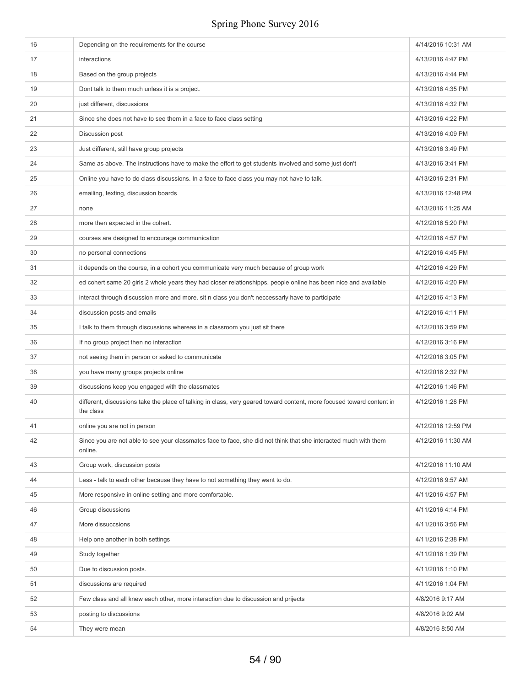| 16 | Depending on the requirements for the course                                                                                       | 4/14/2016 10:31 AM |
|----|------------------------------------------------------------------------------------------------------------------------------------|--------------------|
| 17 | interactions                                                                                                                       | 4/13/2016 4:47 PM  |
| 18 | Based on the group projects                                                                                                        | 4/13/2016 4:44 PM  |
| 19 | Dont talk to them much unless it is a project.                                                                                     | 4/13/2016 4:35 PM  |
| 20 | just different, discussions                                                                                                        | 4/13/2016 4:32 PM  |
| 21 | Since she does not have to see them in a face to face class setting                                                                | 4/13/2016 4:22 PM  |
| 22 | Discussion post                                                                                                                    | 4/13/2016 4:09 PM  |
| 23 | Just different, still have group projects                                                                                          | 4/13/2016 3:49 PM  |
| 24 | Same as above. The instructions have to make the effort to get students involved and some just don't                               | 4/13/2016 3:41 PM  |
| 25 | Online you have to do class discussions. In a face to face class you may not have to talk.                                         | 4/13/2016 2:31 PM  |
| 26 | emailing, texting, discussion boards                                                                                               | 4/13/2016 12:48 PM |
| 27 | none                                                                                                                               | 4/13/2016 11:25 AM |
| 28 | more then expected in the cohert.                                                                                                  | 4/12/2016 5:20 PM  |
| 29 | courses are designed to encourage communication                                                                                    | 4/12/2016 4:57 PM  |
| 30 | no personal connections                                                                                                            | 4/12/2016 4:45 PM  |
| 31 | it depends on the course, in a cohort you communicate very much because of group work                                              | 4/12/2016 4:29 PM  |
| 32 | ed cohert same 20 girls 2 whole years they had closer relationshipps. people online has been nice and available                    | 4/12/2016 4:20 PM  |
| 33 | interact through discussion more and more, sit n class you don't neccessarly have to participate                                   | 4/12/2016 4:13 PM  |
| 34 | discussion posts and emails                                                                                                        | 4/12/2016 4:11 PM  |
| 35 | I talk to them through discussions whereas in a classroom you just sit there                                                       | 4/12/2016 3:59 PM  |
| 36 | If no group project then no interaction                                                                                            | 4/12/2016 3:16 PM  |
| 37 | not seeing them in person or asked to communicate                                                                                  | 4/12/2016 3:05 PM  |
| 38 | you have many groups projects online                                                                                               | 4/12/2016 2:32 PM  |
| 39 | discussions keep you engaged with the classmates                                                                                   | 4/12/2016 1:46 PM  |
| 40 | different, discussions take the place of talking in class, very geared toward content, more focused toward content in<br>the class | 4/12/2016 1:28 PM  |
| 41 | online you are not in person                                                                                                       | 4/12/2016 12:59 PM |
| 42 | Since you are not able to see your classmates face to face, she did not think that she interacted much with them<br>online.        | 4/12/2016 11:30 AM |
| 43 | Group work, discussion posts                                                                                                       | 4/12/2016 11:10 AM |
| 44 | Less - talk to each other because they have to not something they want to do.                                                      | 4/12/2016 9:57 AM  |
| 45 | More responsive in online setting and more comfortable.                                                                            | 4/11/2016 4:57 PM  |
| 46 | Group discussions                                                                                                                  | 4/11/2016 4:14 PM  |
| 47 | More dissuccsions                                                                                                                  | 4/11/2016 3:56 PM  |
| 48 | Help one another in both settings                                                                                                  | 4/11/2016 2:38 PM  |
| 49 | Study together                                                                                                                     | 4/11/2016 1:39 PM  |
| 50 | Due to discussion posts.                                                                                                           | 4/11/2016 1:10 PM  |
| 51 | discussions are required                                                                                                           | 4/11/2016 1:04 PM  |
| 52 | Few class and all knew each other, more interaction due to discussion and prijects                                                 | 4/8/2016 9:17 AM   |
| 53 | posting to discussions                                                                                                             | 4/8/2016 9:02 AM   |
| 54 | They were mean                                                                                                                     | 4/8/2016 8:50 AM   |
|    |                                                                                                                                    |                    |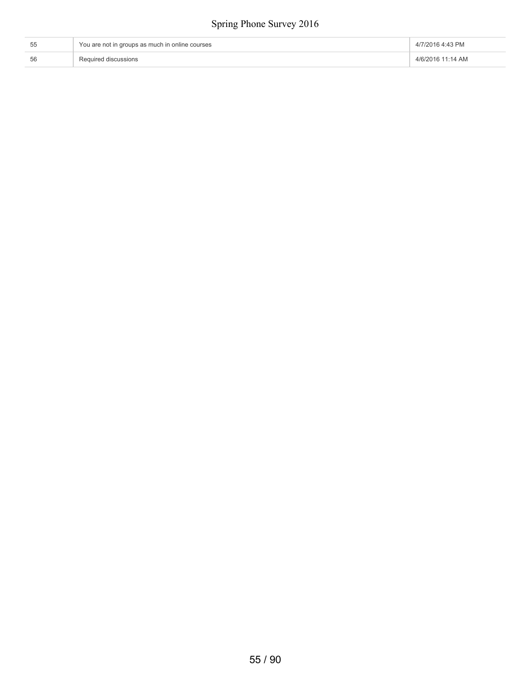| -55 | You are not in groups as much in online courses | 4/7/2016 4:43 PM  |
|-----|-------------------------------------------------|-------------------|
| 56  | Required discussions                            | 4/6/2016 11:14 AM |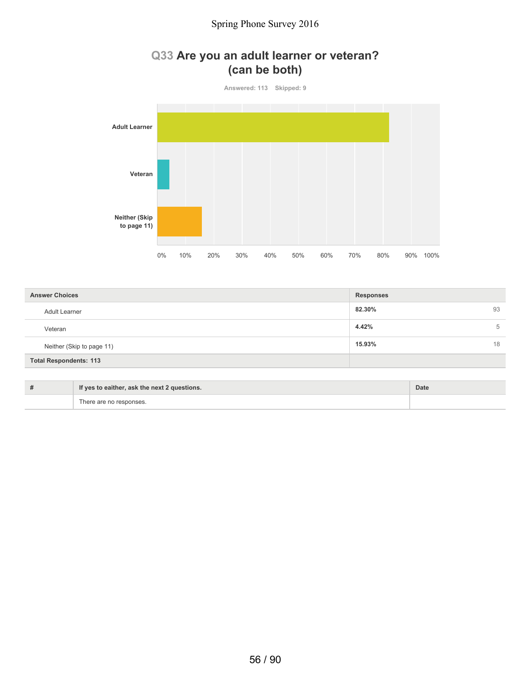## **Q33 Are you an adult learner or veteran? (can be both)**



| <b>Answer Choices</b>         | <b>Responses</b> |
|-------------------------------|------------------|
| Adult Learner                 | 82.30%<br>93     |
| Veteran                       | 4.42%<br>5       |
| Neither (Skip to page 11)     | 15.93%<br>18     |
| <b>Total Respondents: 113</b> |                  |

| If yes to eaither, ask the next 2 questions. | Date |
|----------------------------------------------|------|
| There are no responses.                      |      |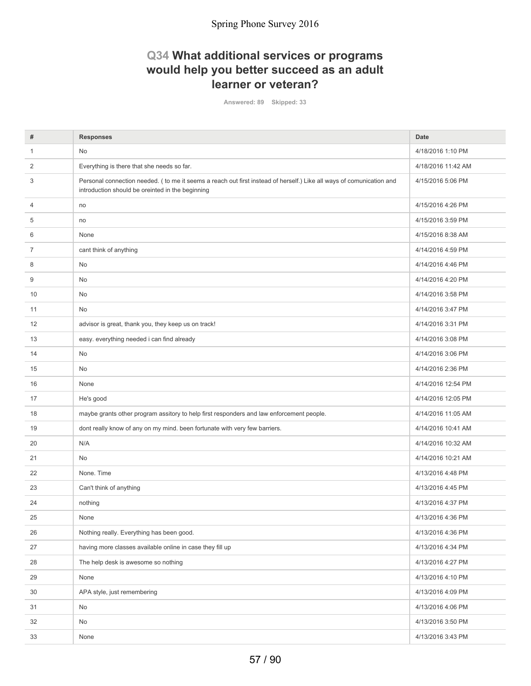## **Q34 What additional services or programs would help you better succeed as an adult learner or veteran?**

**Answered: 89 Skipped: 33**

| #              | <b>Responses</b>                                                                                                                                                          | <b>Date</b>        |
|----------------|---------------------------------------------------------------------------------------------------------------------------------------------------------------------------|--------------------|
| 1              | No                                                                                                                                                                        | 4/18/2016 1:10 PM  |
| 2              | Everything is there that she needs so far.                                                                                                                                | 4/18/2016 11:42 AM |
| 3              | Personal connection needed. ( to me it seems a reach out first instead of herself.) Like all ways of comunication and<br>introduction should be oreinted in the beginning | 4/15/2016 5:06 PM  |
| 4              | no                                                                                                                                                                        | 4/15/2016 4:26 PM  |
| 5              | no                                                                                                                                                                        | 4/15/2016 3:59 PM  |
| 6              | None                                                                                                                                                                      | 4/15/2016 8:38 AM  |
| $\overline{7}$ | cant think of anything                                                                                                                                                    | 4/14/2016 4:59 PM  |
| 8              | No                                                                                                                                                                        | 4/14/2016 4:46 PM  |
| 9              | No                                                                                                                                                                        | 4/14/2016 4:20 PM  |
| 10             | No                                                                                                                                                                        | 4/14/2016 3:58 PM  |
| 11             | No                                                                                                                                                                        | 4/14/2016 3:47 PM  |
| 12             | advisor is great, thank you, they keep us on track!                                                                                                                       | 4/14/2016 3:31 PM  |
| 13             | easy. everything needed i can find already                                                                                                                                | 4/14/2016 3:08 PM  |
| 14             | No                                                                                                                                                                        | 4/14/2016 3:06 PM  |
| 15             | No                                                                                                                                                                        | 4/14/2016 2:36 PM  |
| 16             | None                                                                                                                                                                      | 4/14/2016 12:54 PM |
| 17             | He's good                                                                                                                                                                 | 4/14/2016 12:05 PM |
| 18             | maybe grants other program assitory to help first responders and law enforcement people.                                                                                  | 4/14/2016 11:05 AM |
| 19             | dont really know of any on my mind. been fortunate with very few barriers.                                                                                                | 4/14/2016 10:41 AM |
| 20             | N/A                                                                                                                                                                       | 4/14/2016 10:32 AM |
| 21             | No                                                                                                                                                                        | 4/14/2016 10:21 AM |
| 22             | None. Time                                                                                                                                                                | 4/13/2016 4:48 PM  |
| 23             | Can't think of anything                                                                                                                                                   | 4/13/2016 4:45 PM  |
| 24             | nothing                                                                                                                                                                   | 4/13/2016 4:37 PM  |
| $25\,$         | None                                                                                                                                                                      | 4/13/2016 4:36 PM  |
| 26             | Nothing really. Everything has been good.                                                                                                                                 | 4/13/2016 4:36 PM  |
| 27             | having more classes available online in case they fill up                                                                                                                 | 4/13/2016 4:34 PM  |
| 28             | The help desk is awesome so nothing                                                                                                                                       | 4/13/2016 4:27 PM  |
| 29             | None                                                                                                                                                                      | 4/13/2016 4:10 PM  |
| 30             | APA style, just remembering                                                                                                                                               | 4/13/2016 4:09 PM  |
| 31             | No                                                                                                                                                                        | 4/13/2016 4:06 PM  |
| 32             | No                                                                                                                                                                        | 4/13/2016 3:50 PM  |
| 33             | None                                                                                                                                                                      | 4/13/2016 3:43 PM  |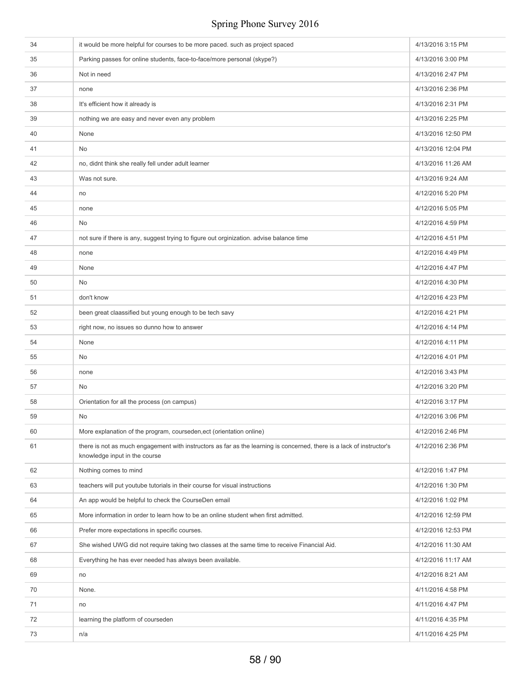| 34 | it would be more helpful for courses to be more paced. such as project spaced                                                                          | 4/13/2016 3:15 PM  |
|----|--------------------------------------------------------------------------------------------------------------------------------------------------------|--------------------|
| 35 | Parking passes for online students, face-to-face/more personal (skype?)                                                                                | 4/13/2016 3:00 PM  |
| 36 | Not in need                                                                                                                                            | 4/13/2016 2:47 PM  |
| 37 | none                                                                                                                                                   | 4/13/2016 2:36 PM  |
| 38 | It's efficient how it already is                                                                                                                       | 4/13/2016 2:31 PM  |
| 39 | nothing we are easy and never even any problem                                                                                                         | 4/13/2016 2:25 PM  |
| 40 | None                                                                                                                                                   | 4/13/2016 12:50 PM |
| 41 | No                                                                                                                                                     | 4/13/2016 12:04 PM |
| 42 | no, didnt think she really fell under adult learner                                                                                                    | 4/13/2016 11:26 AM |
| 43 | Was not sure.                                                                                                                                          | 4/13/2016 9:24 AM  |
| 44 | no                                                                                                                                                     | 4/12/2016 5:20 PM  |
| 45 | none                                                                                                                                                   | 4/12/2016 5:05 PM  |
| 46 | No                                                                                                                                                     | 4/12/2016 4:59 PM  |
| 47 | not sure if there is any, suggest trying to figure out orginization. advise balance time                                                               | 4/12/2016 4:51 PM  |
| 48 | none                                                                                                                                                   | 4/12/2016 4:49 PM  |
| 49 | None                                                                                                                                                   | 4/12/2016 4:47 PM  |
| 50 | No                                                                                                                                                     | 4/12/2016 4:30 PM  |
| 51 | don't know                                                                                                                                             | 4/12/2016 4:23 PM  |
| 52 | been great claassified but young enough to be tech savy                                                                                                | 4/12/2016 4:21 PM  |
| 53 | right now, no issues so dunno how to answer                                                                                                            | 4/12/2016 4:14 PM  |
| 54 | None                                                                                                                                                   | 4/12/2016 4:11 PM  |
| 55 | No                                                                                                                                                     | 4/12/2016 4:01 PM  |
| 56 | none                                                                                                                                                   | 4/12/2016 3:43 PM  |
| 57 | No                                                                                                                                                     | 4/12/2016 3:20 PM  |
| 58 | Orientation for all the process (on campus)                                                                                                            | 4/12/2016 3:17 PM  |
| 59 | No                                                                                                                                                     | 4/12/2016 3:06 PM  |
| 60 | More explanation of the program, courseden, ect (orientation online)                                                                                   | 4/12/2016 2:46 PM  |
| 61 | there is not as much engagement with instructors as far as the learning is concerned, there is a lack of instructor's<br>knowledge input in the course | 4/12/2016 2:36 PM  |
| 62 | Nothing comes to mind                                                                                                                                  | 4/12/2016 1:47 PM  |
| 63 | teachers will put youtube tutorials in their course for visual instructions                                                                            | 4/12/2016 1:30 PM  |
| 64 | An app would be helpful to check the CourseDen email                                                                                                   | 4/12/2016 1:02 PM  |
| 65 | More information in order to learn how to be an online student when first admitted.                                                                    | 4/12/2016 12:59 PM |
| 66 | Prefer more expectations in specific courses.                                                                                                          | 4/12/2016 12:53 PM |
| 67 | She wished UWG did not require taking two classes at the same time to receive Financial Aid.                                                           | 4/12/2016 11:30 AM |
| 68 | Everything he has ever needed has always been available.                                                                                               | 4/12/2016 11:17 AM |
| 69 | no                                                                                                                                                     | 4/12/2016 8:21 AM  |
| 70 | None.                                                                                                                                                  | 4/11/2016 4:58 PM  |
| 71 | no                                                                                                                                                     | 4/11/2016 4:47 PM  |
| 72 | learning the platform of courseden                                                                                                                     | 4/11/2016 4:35 PM  |
| 73 | n/a                                                                                                                                                    | 4/11/2016 4:25 PM  |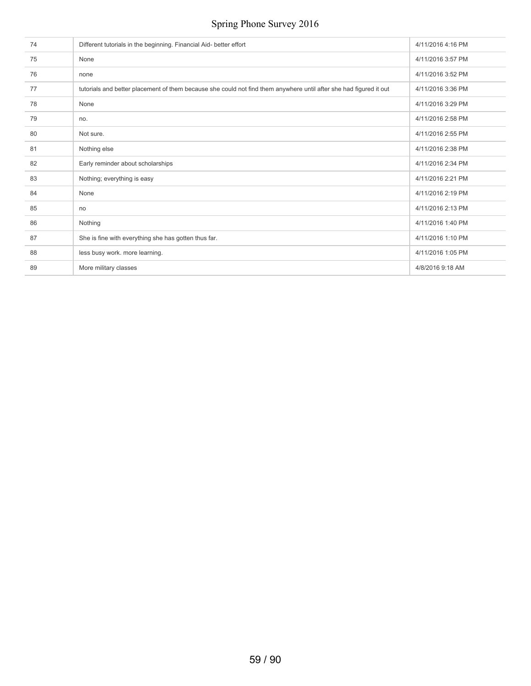| 74 | Different tutorials in the beginning. Financial Aid- better effort                                                 | 4/11/2016 4:16 PM |
|----|--------------------------------------------------------------------------------------------------------------------|-------------------|
| 75 | None                                                                                                               | 4/11/2016 3:57 PM |
| 76 | none                                                                                                               | 4/11/2016 3:52 PM |
| 77 | tutorials and better placement of them because she could not find them anywhere until after she had figured it out | 4/11/2016 3:36 PM |
| 78 | None                                                                                                               | 4/11/2016 3:29 PM |
| 79 | no.                                                                                                                | 4/11/2016 2:58 PM |
| 80 | Not sure.                                                                                                          | 4/11/2016 2:55 PM |
| 81 | Nothing else                                                                                                       | 4/11/2016 2:38 PM |
| 82 | Early reminder about scholarships                                                                                  | 4/11/2016 2:34 PM |
| 83 | Nothing; everything is easy                                                                                        | 4/11/2016 2:21 PM |
| 84 | None                                                                                                               | 4/11/2016 2:19 PM |
| 85 | no                                                                                                                 | 4/11/2016 2:13 PM |
| 86 | Nothing                                                                                                            | 4/11/2016 1:40 PM |
| 87 | She is fine with everything she has gotten thus far.                                                               | 4/11/2016 1:10 PM |
| 88 | less busy work. more learning.                                                                                     | 4/11/2016 1:05 PM |
| 89 | More military classes                                                                                              | 4/8/2016 9:18 AM  |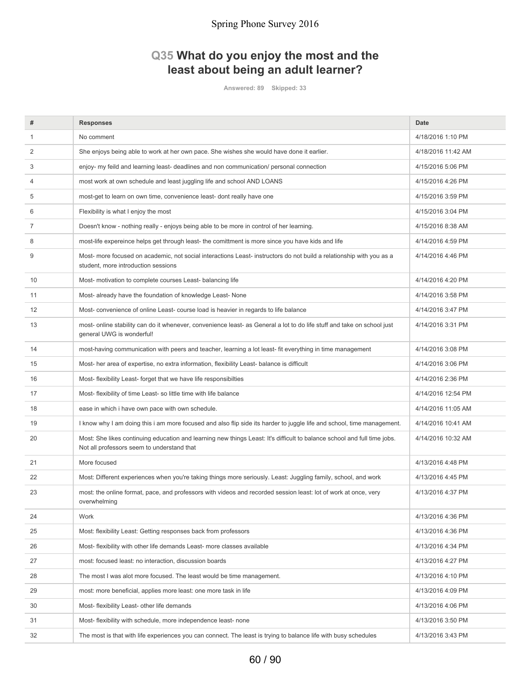## **Q35 What do you enjoy the most and the least about being an adult learner?**

**Answered: 89 Skipped: 33**

| #  | <b>Responses</b>                                                                                                                                                       | <b>Date</b>        |
|----|------------------------------------------------------------------------------------------------------------------------------------------------------------------------|--------------------|
| 1  | No comment                                                                                                                                                             | 4/18/2016 1:10 PM  |
| 2  | She enjoys being able to work at her own pace. She wishes she would have done it earlier.                                                                              | 4/18/2016 11:42 AM |
| 3  | enjoy- my feild and learning least- deadlines and non communication/ personal connection                                                                               | 4/15/2016 5:06 PM  |
| 4  | most work at own schedule and least juggling life and school AND LOANS                                                                                                 | 4/15/2016 4:26 PM  |
| 5  | most-get to learn on own time, convenience least- dont really have one                                                                                                 | 4/15/2016 3:59 PM  |
| 6  | Flexibility is what I enjoy the most                                                                                                                                   | 4/15/2016 3:04 PM  |
| 7  | Doesn't know - nothing really - enjoys being able to be more in control of her learning.                                                                               | 4/15/2016 8:38 AM  |
| 8  | most-life expereince helps get through least- the comittment is more since you have kids and life                                                                      | 4/14/2016 4:59 PM  |
| 9  | Most- more focused on academic, not social interactions Least- instructors do not build a relationship with you as a<br>student, more introduction sessions            | 4/14/2016 4:46 PM  |
| 10 | Most- motivation to complete courses Least- balancing life                                                                                                             | 4/14/2016 4:20 PM  |
| 11 | Most- already have the foundation of knowledge Least- None                                                                                                             | 4/14/2016 3:58 PM  |
| 12 | Most-convenience of online Least-course load is heavier in regards to life balance                                                                                     | 4/14/2016 3:47 PM  |
| 13 | most- online stability can do it whenever, convenience least- as General a lot to do life stuff and take on school just<br>general UWG is wonderful!                   | 4/14/2016 3:31 PM  |
| 14 | most-having communication with peers and teacher, learning a lot least-fit everything in time management                                                               | 4/14/2016 3:08 PM  |
| 15 | Most- her area of expertise, no extra information, flexibility Least- balance is difficult                                                                             | 4/14/2016 3:06 PM  |
| 16 | Most-flexibility Least-forget that we have life responsibilties                                                                                                        | 4/14/2016 2:36 PM  |
| 17 | Most-flexibility of time Least-so little time with life balance                                                                                                        | 4/14/2016 12:54 PM |
| 18 | ease in which i have own pace with own schedule.                                                                                                                       | 4/14/2016 11:05 AM |
| 19 | I know why I am doing this i am more focused and also flip side its harder to juggle life and school, time management.                                                 | 4/14/2016 10:41 AM |
| 20 | Most: She likes continuing education and learning new things Least: It's difficult to balance school and full time jobs.<br>Not all professors seem to understand that | 4/14/2016 10:32 AM |
| 21 | More focused                                                                                                                                                           | 4/13/2016 4:48 PM  |
| 22 | Most: Different experiences when you're taking things more seriously. Least: Juggling family, school, and work                                                         | 4/13/2016 4:45 PM  |
| 23 | most: the online format, pace, and professors with videos and recorded session least: lot of work at once, very<br>overwhelming                                        | 4/13/2016 4:37 PM  |
| 24 | Work                                                                                                                                                                   | 4/13/2016 4:36 PM  |
| 25 | Most: flexibility Least: Getting responses back from professors                                                                                                        | 4/13/2016 4:36 PM  |
| 26 | Most- flexibility with other life demands Least- more classes available                                                                                                | 4/13/2016 4:34 PM  |
| 27 | most: focused least: no interaction, discussion boards                                                                                                                 | 4/13/2016 4:27 PM  |
| 28 | The most I was alot more focused. The least would be time management.                                                                                                  | 4/13/2016 4:10 PM  |
| 29 | most: more beneficial, applies more least: one more task in life                                                                                                       | 4/13/2016 4:09 PM  |
| 30 | Most-flexibility Least- other life demands                                                                                                                             | 4/13/2016 4:06 PM  |
| 31 | Most- flexibility with schedule, more independence least- none                                                                                                         | 4/13/2016 3:50 PM  |
| 32 | The most is that with life experiences you can connect. The least is trying to balance life with busy schedules                                                        | 4/13/2016 3:43 PM  |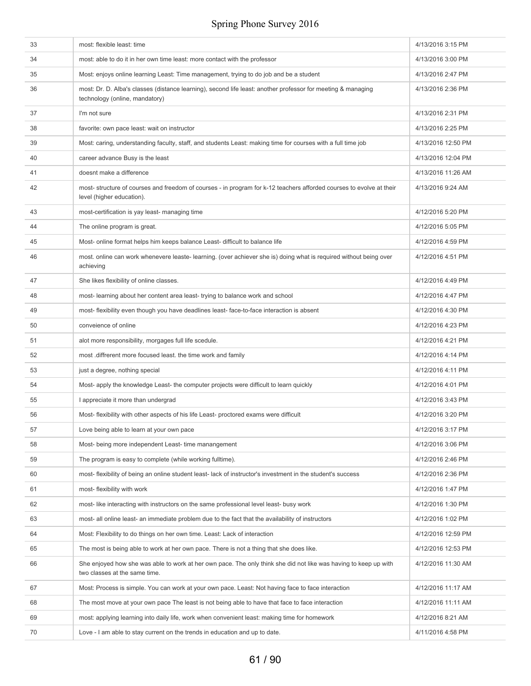| 33 | most: flexible least: time                                                                                                                        | 4/13/2016 3:15 PM  |
|----|---------------------------------------------------------------------------------------------------------------------------------------------------|--------------------|
| 34 | most: able to do it in her own time least: more contact with the professor                                                                        | 4/13/2016 3:00 PM  |
| 35 | Most: enjoys online learning Least: Time management, trying to do job and be a student                                                            | 4/13/2016 2:47 PM  |
| 36 | most: Dr. D. Alba's classes (distance learning), second life least: another professor for meeting & managing<br>technology (online, mandatory)    | 4/13/2016 2:36 PM  |
| 37 | I'm not sure                                                                                                                                      | 4/13/2016 2:31 PM  |
| 38 | favorite: own pace least: wait on instructor                                                                                                      | 4/13/2016 2:25 PM  |
| 39 | Most: caring, understanding faculty, staff, and students Least: making time for courses with a full time job                                      | 4/13/2016 12:50 PM |
| 40 | career advance Busy is the least                                                                                                                  | 4/13/2016 12:04 PM |
| 41 | doesnt make a difference                                                                                                                          | 4/13/2016 11:26 AM |
| 42 | most- structure of courses and freedom of courses - in program for k-12 teachers afforded courses to evolve at their<br>level (higher education). | 4/13/2016 9:24 AM  |
| 43 | most-certification is yay least- managing time                                                                                                    | 4/12/2016 5:20 PM  |
| 44 | The online program is great.                                                                                                                      | 4/12/2016 5:05 PM  |
| 45 | Most- online format helps him keeps balance Least- difficult to balance life                                                                      | 4/12/2016 4:59 PM  |
| 46 | most, online can work whenevere leaste-learning. (over achiever she is) doing what is required without being over<br>achieving                    | 4/12/2016 4:51 PM  |
| 47 | She likes flexibility of online classes.                                                                                                          | 4/12/2016 4:49 PM  |
| 48 | most- learning about her content area least- trying to balance work and school                                                                    | 4/12/2016 4:47 PM  |
| 49 | most-flexibility even though you have deadlines least-face-to-face interaction is absent                                                          | 4/12/2016 4:30 PM  |
| 50 | conveience of online                                                                                                                              | 4/12/2016 4:23 PM  |
| 51 | alot more responsibility, morgages full life scedule.                                                                                             | 4/12/2016 4:21 PM  |
| 52 | most .diffrerent more focused least. the time work and family                                                                                     | 4/12/2016 4:14 PM  |
| 53 | just a degree, nothing special                                                                                                                    | 4/12/2016 4:11 PM  |
| 54 | Most- apply the knowledge Least- the computer projects were difficult to learn quickly                                                            | 4/12/2016 4:01 PM  |
| 55 | I appreciate it more than undergrad                                                                                                               | 4/12/2016 3:43 PM  |
| 56 | Most-flexibility with other aspects of his life Least-proctored exams were difficult                                                              | 4/12/2016 3:20 PM  |
| 57 | Love being able to learn at your own pace                                                                                                         | 4/12/2016 3:17 PM  |
| 58 | Most- being more independent Least- time manangement                                                                                              | 4/12/2016 3:06 PM  |
| 59 | The program is easy to complete (while working fulltime).                                                                                         | 4/12/2016 2:46 PM  |
| 60 | most-flexibility of being an online student least-lack of instructor's investment in the student's success                                        | 4/12/2016 2:36 PM  |
| 61 | most-flexibility with work                                                                                                                        | 4/12/2016 1:47 PM  |
| 62 | most-like interacting with instructors on the same professional level least-busy work                                                             | 4/12/2016 1:30 PM  |
| 63 | most- all online least- an immediate problem due to the fact that the availability of instructors                                                 | 4/12/2016 1:02 PM  |
| 64 | Most: Flexibility to do things on her own time. Least: Lack of interaction                                                                        | 4/12/2016 12:59 PM |
| 65 | The most is being able to work at her own pace. There is not a thing that she does like.                                                          | 4/12/2016 12:53 PM |
| 66 | She enjoyed how she was able to work at her own pace. The only think she did not like was having to keep up with<br>two classes at the same time. | 4/12/2016 11:30 AM |
| 67 | Most: Process is simple. You can work at your own pace. Least: Not having face to face interaction                                                | 4/12/2016 11:17 AM |
| 68 | The most move at your own pace The least is not being able to have that face to face interaction                                                  | 4/12/2016 11:11 AM |
| 69 | most: applying learning into daily life, work when convenient least: making time for homework                                                     | 4/12/2016 8:21 AM  |
| 70 | Love - I am able to stay current on the trends in education and up to date.                                                                       | 4/11/2016 4:58 PM  |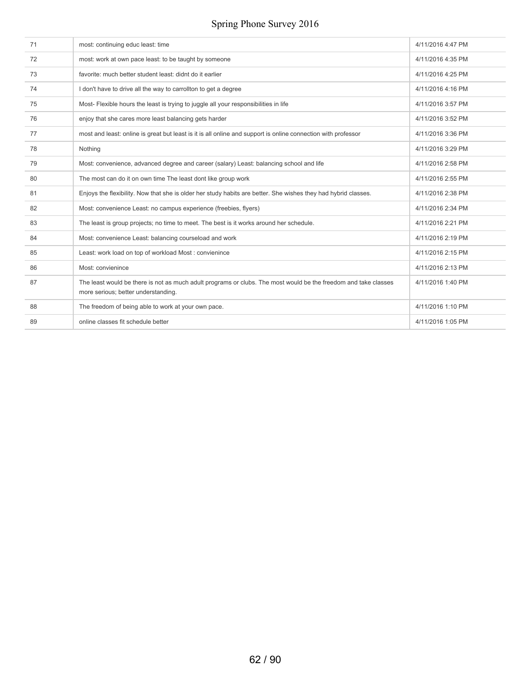| 71 | most: continuing educ least: time                                                                                                                      | 4/11/2016 4:47 PM |
|----|--------------------------------------------------------------------------------------------------------------------------------------------------------|-------------------|
| 72 | most: work at own pace least: to be taught by someone                                                                                                  | 4/11/2016 4:35 PM |
| 73 | favorite: much better student least: didnt do it earlier                                                                                               | 4/11/2016 4:25 PM |
| 74 | I don't have to drive all the way to carrollton to get a degree                                                                                        | 4/11/2016 4:16 PM |
| 75 | Most- Flexible hours the least is trying to juggle all your responsibilities in life                                                                   | 4/11/2016 3:57 PM |
| 76 | enjoy that she cares more least balancing gets harder                                                                                                  | 4/11/2016 3:52 PM |
| 77 | most and least: online is great but least is it is all online and support is online connection with professor                                          | 4/11/2016 3:36 PM |
| 78 | Nothing                                                                                                                                                | 4/11/2016 3:29 PM |
| 79 | Most: convenience, advanced degree and career (salary) Least: balancing school and life                                                                | 4/11/2016 2:58 PM |
| 80 | The most can do it on own time The least dont like group work                                                                                          | 4/11/2016 2:55 PM |
| 81 | Enjoys the flexibility. Now that she is older her study habits are better. She wishes they had hybrid classes.                                         | 4/11/2016 2:38 PM |
| 82 | Most: convenience Least: no campus experience (freebies, flyers)                                                                                       | 4/11/2016 2:34 PM |
| 83 | The least is group projects; no time to meet. The best is it works around her schedule.                                                                | 4/11/2016 2:21 PM |
| 84 | Most: convenience Least: balancing courseload and work                                                                                                 | 4/11/2016 2:19 PM |
| 85 | Least: work load on top of workload Most : convienince                                                                                                 | 4/11/2016 2:15 PM |
| 86 | Most: convienince                                                                                                                                      | 4/11/2016 2:13 PM |
| 87 | The least would be there is not as much adult programs or clubs. The most would be the freedom and take classes<br>more serious; better understanding. | 4/11/2016 1:40 PM |
| 88 | The freedom of being able to work at your own pace.                                                                                                    | 4/11/2016 1:10 PM |
| 89 | online classes fit schedule better                                                                                                                     | 4/11/2016 1:05 PM |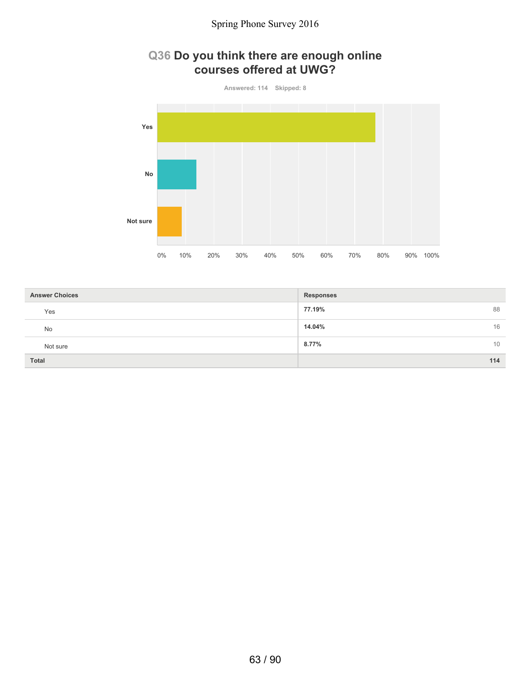## **Q36 Do you think there are enough online courses offered at UWG?**



| <b>Answer Choices</b> | <b>Responses</b> |
|-----------------------|------------------|
| Yes                   | 88<br>77.19%     |
| No                    | 14.04%<br>16     |
| Not sure              | 8.77%<br>10      |
| <b>Total</b>          | 114              |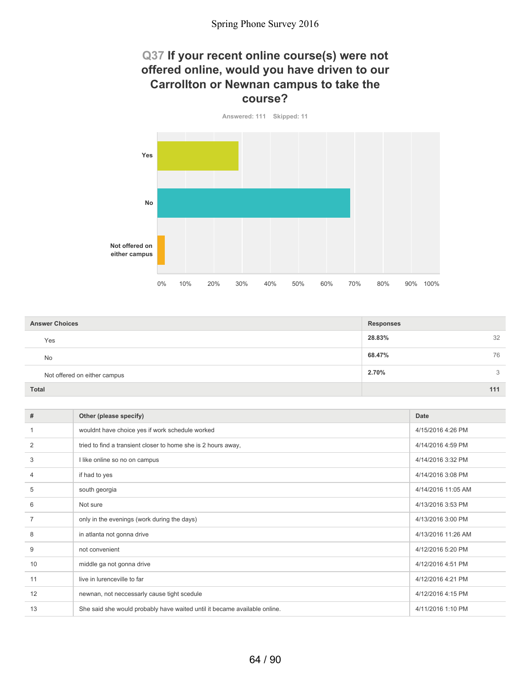### **Q37 If your recent online course(s) were not offered online, would you have driven to our Carrollton or Newnan campus to take the course?**



| <b>Answer Choices</b>        | <b>Responses</b> |
|------------------------------|------------------|
| Yes                          | 28.83%<br>32     |
| <b>No</b>                    | 68.47%<br>76     |
| Not offered on either campus | 2.70%<br>3       |
| <b>Total</b>                 | 111              |

| #              | Other (please specify)                                                    | Date               |
|----------------|---------------------------------------------------------------------------|--------------------|
|                | wouldnt have choice yes if work schedule worked                           | 4/15/2016 4:26 PM  |
| $\overline{2}$ | tried to find a transient closer to home she is 2 hours away,             | 4/14/2016 4:59 PM  |
| 3              | I like online so no on campus                                             | 4/14/2016 3:32 PM  |
| 4              | if had to yes                                                             | 4/14/2016 3:08 PM  |
| 5              | south georgia                                                             | 4/14/2016 11:05 AM |
| 6              | Not sure                                                                  | 4/13/2016 3:53 PM  |
| $\overline{7}$ | only in the evenings (work during the days)                               | 4/13/2016 3:00 PM  |
| 8              | in atlanta not gonna drive                                                | 4/13/2016 11:26 AM |
| 9              | not convenient                                                            | 4/12/2016 5:20 PM  |
| 10             | middle ga not gonna drive                                                 | 4/12/2016 4:51 PM  |
| 11             | live in lurenceville to far                                               | 4/12/2016 4:21 PM  |
| 12             | newnan, not neccessarly cause tight scedule                               | 4/12/2016 4:15 PM  |
| 13             | She said she would probably have waited until it became available online. | 4/11/2016 1:10 PM  |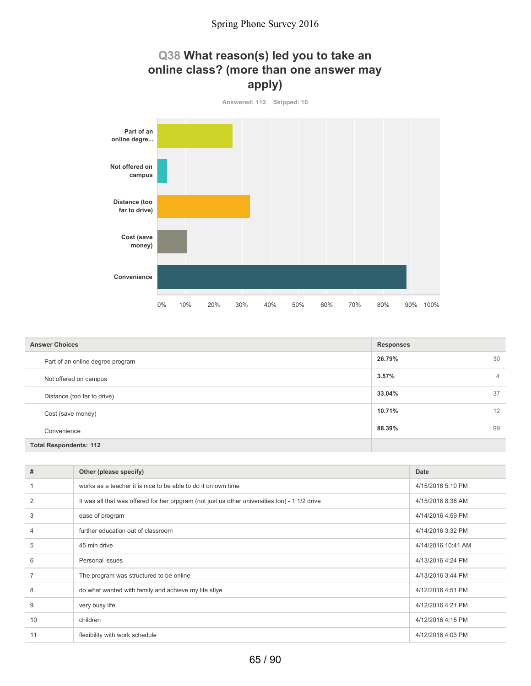## **Q38 What reason(s) led you to take an online class? (more than one answer may apply)**



| <b>Answer Choices</b>            | <b>Responses</b> |                |
|----------------------------------|------------------|----------------|
| Part of an online degree program | 26.79%           | 30             |
| Not offered on campus            | 3.57%            | $\overline{4}$ |
| Distance (too far to drive)      | 33.04%           | 37             |
| Cost (save money)                | 10.71%           | 12             |
| Convenience                      | 88.39%           | 99             |
| <b>Total Respondents: 112</b>    |                  |                |

| #              | Other (please specify)                                                                         | Date               |
|----------------|------------------------------------------------------------------------------------------------|--------------------|
|                | works as a teacher it is nice to be able to do it on own time                                  | 4/15/2016 5:10 PM  |
| $\overline{2}$ | It was all that was offered for her prpgram (not just us other universities too) - 1 1/2 drive | 4/15/2016 8:38 AM  |
| 3              | ease of program                                                                                | 4/14/2016 4:59 PM  |
| 4              | further education out of classroom                                                             | 4/14/2016 3:32 PM  |
| 5              | 45 min drive                                                                                   | 4/14/2016 10:41 AM |
| 6              | Personal issues                                                                                | 4/13/2016 4:24 PM  |
|                | The program was structured to be online                                                        | 4/13/2016 3:44 PM  |
| 8              | do what wanted with family and achieve my life stlye                                           | 4/12/2016 4:51 PM  |
| 9              | very busy life.                                                                                | 4/12/2016 4:21 PM  |
| 10             | children                                                                                       | 4/12/2016 4:15 PM  |
| 11             | flexibility with work schedule                                                                 | 4/12/2016 4:03 PM  |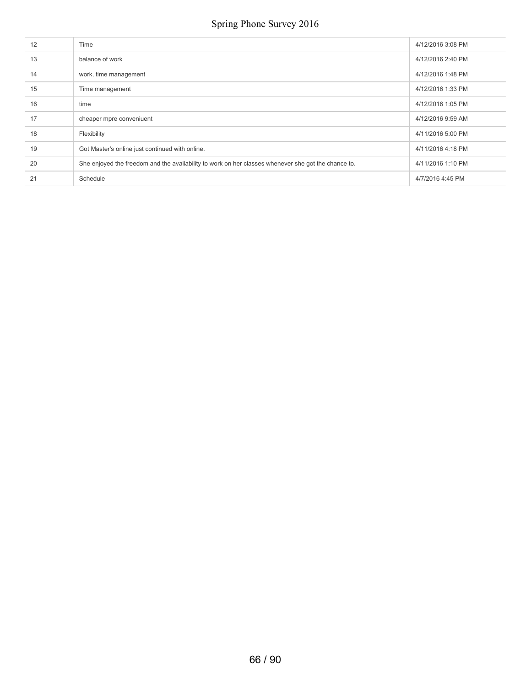| 12 | Time                                                                                                | 4/12/2016 3:08 PM |
|----|-----------------------------------------------------------------------------------------------------|-------------------|
| 13 | balance of work                                                                                     | 4/12/2016 2:40 PM |
| 14 | work, time management                                                                               | 4/12/2016 1:48 PM |
| 15 | Time management                                                                                     | 4/12/2016 1:33 PM |
| 16 | time                                                                                                | 4/12/2016 1:05 PM |
| 17 | cheaper mpre conveniuent                                                                            | 4/12/2016 9:59 AM |
| 18 | Flexibility                                                                                         | 4/11/2016 5:00 PM |
| 19 | Got Master's online just continued with online.                                                     | 4/11/2016 4:18 PM |
| 20 | She enjoyed the freedom and the availability to work on her classes whenever she got the chance to. | 4/11/2016 1:10 PM |
| 21 | Schedule                                                                                            | 4/7/2016 4:45 PM  |
|    |                                                                                                     |                   |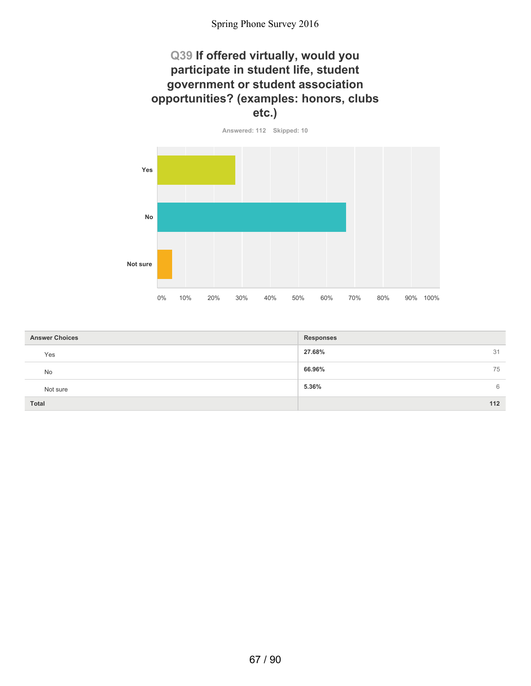### **Q39 If offered virtually, would you participate in student life, student government or student association opportunities? (examples: honors, clubs etc.)**



| <b>Answer Choices</b> | <b>Responses</b> |
|-----------------------|------------------|
| Yes                   | 27.68%<br>31     |
| No                    | 66.96%<br>75     |
| Not sure              | 5.36%<br>6       |
| <b>Total</b>          | 112              |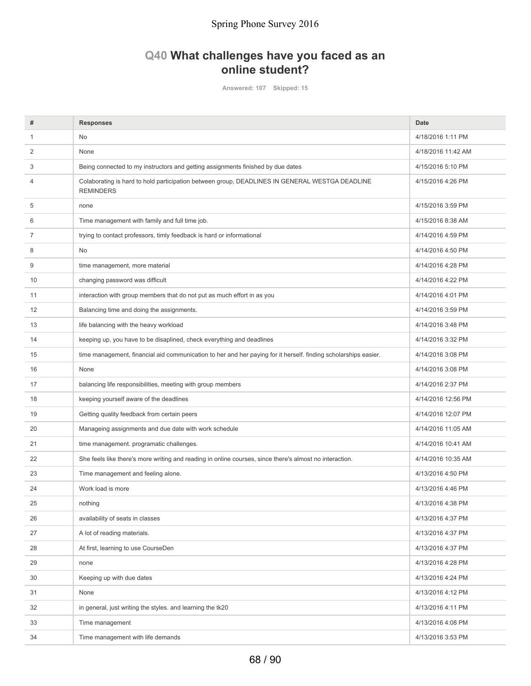# **Q40 What challenges have you faced as an online student?**

**Answered: 107 Skipped: 15**

| #              | <b>Responses</b>                                                                                                   | Date               |
|----------------|--------------------------------------------------------------------------------------------------------------------|--------------------|
| 1              | No                                                                                                                 | 4/18/2016 1:11 PM  |
| 2              | None                                                                                                               | 4/18/2016 11:42 AM |
| 3              | Being connected to my instructors and getting assignments finished by due dates                                    | 4/15/2016 5:10 PM  |
| 4              | Colaborating is hard to hold participation between group, DEADLINES IN GENERAL WESTGA DEADLINE<br><b>REMINDERS</b> | 4/15/2016 4:26 PM  |
| 5              | none                                                                                                               | 4/15/2016 3:59 PM  |
| 6              | Time management with family and full time job.                                                                     | 4/15/2016 8:38 AM  |
| $\overline{7}$ | trying to contact professors, timly feedback is hard or informational                                              | 4/14/2016 4:59 PM  |
| 8              | No                                                                                                                 | 4/14/2016 4:50 PM  |
| 9              | time management, more material                                                                                     | 4/14/2016 4:28 PM  |
| 10             | changing password was difficult                                                                                    | 4/14/2016 4:22 PM  |
| 11             | interaction with group members that do not put as much effort in as you                                            | 4/14/2016 4:01 PM  |
| 12             | Balancing time and doing the assignments.                                                                          | 4/14/2016 3:59 PM  |
| 13             | life balancing with the heavy workload                                                                             | 4/14/2016 3:48 PM  |
| 14             | keeping up, you have to be disaplined, check everything and deadlines                                              | 4/14/2016 3:32 PM  |
| 15             | time management, financial aid communication to her and her paying for it herself. finding scholarships easier.    | 4/14/2016 3:08 PM  |
| 16             | None                                                                                                               | 4/14/2016 3:08 PM  |
| 17             | balancing life responsibilities, meeting with group members                                                        | 4/14/2016 2:37 PM  |
| 18             | keeping yourself aware of the deadlines                                                                            | 4/14/2016 12:56 PM |
| 19             | Getting quality feedback from certain peers                                                                        | 4/14/2016 12:07 PM |
| 20             | Manageing assignments and due date with work schedule                                                              | 4/14/2016 11:05 AM |
| 21             | time management. programatic challenges.                                                                           | 4/14/2016 10:41 AM |
| 22             | She feels like there's more writing and reading in online courses, since there's almost no interaction.            | 4/14/2016 10:35 AM |
| 23             | Time management and feeling alone.                                                                                 | 4/13/2016 4:50 PM  |
| 24             | Work load is more                                                                                                  | 4/13/2016 4:46 PM  |
| 25             | nothing                                                                                                            | 4/13/2016 4:38 PM  |
| 26             | availability of seats in classes                                                                                   | 4/13/2016 4:37 PM  |
| 27             | A lot of reading materials.                                                                                        | 4/13/2016 4:37 PM  |
| 28             | At first, learning to use CourseDen                                                                                | 4/13/2016 4:37 PM  |
| 29             | none                                                                                                               | 4/13/2016 4:28 PM  |
| 30             | Keeping up with due dates                                                                                          | 4/13/2016 4:24 PM  |
| 31             | None                                                                                                               | 4/13/2016 4:12 PM  |
| 32             | in general, just writing the styles, and learning the tk20                                                         | 4/13/2016 4:11 PM  |
| 33             | Time management                                                                                                    | 4/13/2016 4:08 PM  |
| 34             | Time management with life demands                                                                                  | 4/13/2016 3:53 PM  |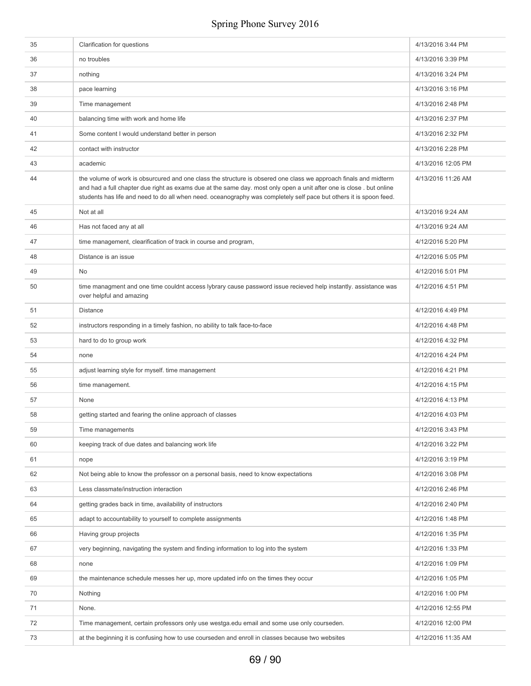| 35 | Clarification for questions                                                                                                                                                                                                                                                                                                                                    | 4/13/2016 3:44 PM  |
|----|----------------------------------------------------------------------------------------------------------------------------------------------------------------------------------------------------------------------------------------------------------------------------------------------------------------------------------------------------------------|--------------------|
| 36 | no troubles                                                                                                                                                                                                                                                                                                                                                    | 4/13/2016 3:39 PM  |
| 37 | nothing                                                                                                                                                                                                                                                                                                                                                        | 4/13/2016 3:24 PM  |
| 38 | pace learning                                                                                                                                                                                                                                                                                                                                                  | 4/13/2016 3:16 PM  |
| 39 | Time management                                                                                                                                                                                                                                                                                                                                                | 4/13/2016 2:48 PM  |
| 40 | balancing time with work and home life                                                                                                                                                                                                                                                                                                                         | 4/13/2016 2:37 PM  |
| 41 | Some content I would understand better in person                                                                                                                                                                                                                                                                                                               | 4/13/2016 2:32 PM  |
| 42 | contact with instructor                                                                                                                                                                                                                                                                                                                                        | 4/13/2016 2:28 PM  |
| 43 | academic                                                                                                                                                                                                                                                                                                                                                       | 4/13/2016 12:05 PM |
| 44 | the volume of work is obsurcured and one class the structure is obsered one class we approach finals and midterm<br>and had a full chapter due right as exams due at the same day. most only open a unit after one is close . but online<br>students has life and need to do all when need. oceanography was completely self pace but others it is spoon feed. | 4/13/2016 11:26 AM |
| 45 | Not at all                                                                                                                                                                                                                                                                                                                                                     | 4/13/2016 9:24 AM  |
| 46 | Has not faced any at all                                                                                                                                                                                                                                                                                                                                       | 4/13/2016 9:24 AM  |
| 47 | time management, clearification of track in course and program,                                                                                                                                                                                                                                                                                                | 4/12/2016 5:20 PM  |
| 48 | Distance is an issue                                                                                                                                                                                                                                                                                                                                           | 4/12/2016 5:05 PM  |
| 49 | <b>No</b>                                                                                                                                                                                                                                                                                                                                                      | 4/12/2016 5:01 PM  |
| 50 | time managment and one time couldnt access lybrary cause password issue recieved help instantly. assistance was<br>over helpful and amazing                                                                                                                                                                                                                    | 4/12/2016 4:51 PM  |
| 51 | <b>Distance</b>                                                                                                                                                                                                                                                                                                                                                | 4/12/2016 4:49 PM  |
| 52 | instructors responding in a timely fashion, no ability to talk face-to-face                                                                                                                                                                                                                                                                                    | 4/12/2016 4:48 PM  |
| 53 | hard to do to group work                                                                                                                                                                                                                                                                                                                                       | 4/12/2016 4:32 PM  |
| 54 | none                                                                                                                                                                                                                                                                                                                                                           | 4/12/2016 4:24 PM  |
| 55 | adjust learning style for myself. time management                                                                                                                                                                                                                                                                                                              | 4/12/2016 4:21 PM  |
| 56 | time management.                                                                                                                                                                                                                                                                                                                                               | 4/12/2016 4:15 PM  |
| 57 | None                                                                                                                                                                                                                                                                                                                                                           | 4/12/2016 4:13 PM  |
| 58 | getting started and fearing the online approach of classes                                                                                                                                                                                                                                                                                                     | 4/12/2016 4:03 PM  |
| 59 | Time managements                                                                                                                                                                                                                                                                                                                                               | 4/12/2016 3:43 PM  |
| 60 | keeping track of due dates and balancing work life                                                                                                                                                                                                                                                                                                             | 4/12/2016 3:22 PM  |
| 61 | nope                                                                                                                                                                                                                                                                                                                                                           | 4/12/2016 3:19 PM  |
| 62 | Not being able to know the professor on a personal basis, need to know expectations                                                                                                                                                                                                                                                                            | 4/12/2016 3:08 PM  |
| 63 | Less classmate/instruction interaction                                                                                                                                                                                                                                                                                                                         | 4/12/2016 2:46 PM  |
| 64 | getting grades back in time, availability of instructors                                                                                                                                                                                                                                                                                                       | 4/12/2016 2:40 PM  |
| 65 | adapt to accountability to yourself to complete assignments                                                                                                                                                                                                                                                                                                    | 4/12/2016 1:48 PM  |
| 66 | Having group projects                                                                                                                                                                                                                                                                                                                                          | 4/12/2016 1:35 PM  |
| 67 | very beginning, navigating the system and finding information to log into the system                                                                                                                                                                                                                                                                           | 4/12/2016 1:33 PM  |
| 68 | none                                                                                                                                                                                                                                                                                                                                                           | 4/12/2016 1:09 PM  |
| 69 | the maintenance schedule messes her up, more updated info on the times they occur                                                                                                                                                                                                                                                                              | 4/12/2016 1:05 PM  |
| 70 | Nothing                                                                                                                                                                                                                                                                                                                                                        | 4/12/2016 1:00 PM  |
| 71 | None.                                                                                                                                                                                                                                                                                                                                                          | 4/12/2016 12:55 PM |
| 72 | Time management, certain professors only use westga.edu email and some use only courseden.                                                                                                                                                                                                                                                                     | 4/12/2016 12:00 PM |
| 73 | at the beginning it is confusing how to use courseden and enroll in classes because two websites                                                                                                                                                                                                                                                               | 4/12/2016 11:35 AM |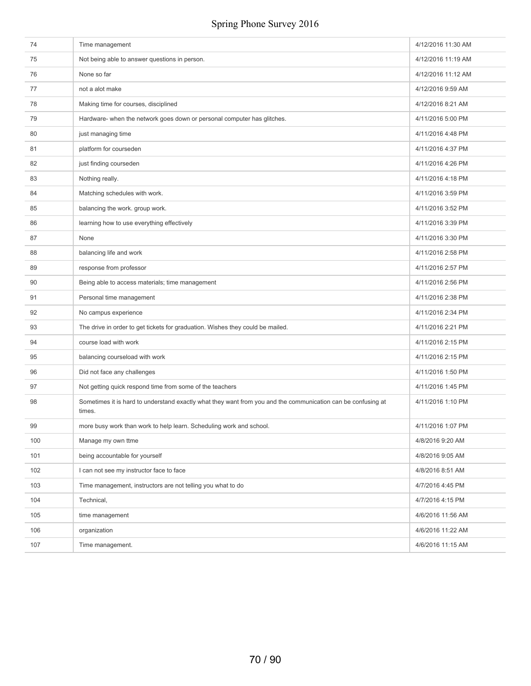| 74  | Time management                                                                                                        | 4/12/2016 11:30 AM |
|-----|------------------------------------------------------------------------------------------------------------------------|--------------------|
| 75  | Not being able to answer questions in person.                                                                          | 4/12/2016 11:19 AM |
| 76  | None so far                                                                                                            | 4/12/2016 11:12 AM |
| 77  | not a alot make                                                                                                        | 4/12/2016 9:59 AM  |
| 78  | Making time for courses, disciplined                                                                                   | 4/12/2016 8:21 AM  |
| 79  | Hardware- when the network goes down or personal computer has glitches.                                                | 4/11/2016 5:00 PM  |
| 80  | just managing time                                                                                                     | 4/11/2016 4:48 PM  |
| 81  | platform for courseden                                                                                                 | 4/11/2016 4:37 PM  |
| 82  | just finding courseden                                                                                                 | 4/11/2016 4:26 PM  |
| 83  | Nothing really.                                                                                                        | 4/11/2016 4:18 PM  |
| 84  | Matching schedules with work.                                                                                          | 4/11/2016 3:59 PM  |
| 85  | balancing the work. group work.                                                                                        | 4/11/2016 3:52 PM  |
| 86  | learning how to use everything effectively                                                                             | 4/11/2016 3:39 PM  |
| 87  | None                                                                                                                   | 4/11/2016 3:30 PM  |
| 88  | balancing life and work                                                                                                | 4/11/2016 2:58 PM  |
| 89  | response from professor                                                                                                | 4/11/2016 2:57 PM  |
| 90  | Being able to access materials; time management                                                                        | 4/11/2016 2:56 PM  |
| 91  | Personal time management                                                                                               | 4/11/2016 2:38 PM  |
| 92  | No campus experience                                                                                                   | 4/11/2016 2:34 PM  |
| 93  | The drive in order to get tickets for graduation. Wishes they could be mailed.                                         | 4/11/2016 2:21 PM  |
| 94  | course load with work                                                                                                  | 4/11/2016 2:15 PM  |
| 95  | balancing courseload with work                                                                                         | 4/11/2016 2:15 PM  |
| 96  | Did not face any challenges                                                                                            | 4/11/2016 1:50 PM  |
| 97  | Not getting quick respond time from some of the teachers                                                               | 4/11/2016 1:45 PM  |
| 98  | Sometimes it is hard to understand exactly what they want from you and the communication can be confusing at<br>times. | 4/11/2016 1:10 PM  |
| 99  | more busy work than work to help learn. Scheduling work and school.                                                    | 4/11/2016 1:07 PM  |
| 100 | Manage my own ttme                                                                                                     | 4/8/2016 9:20 AM   |
| 101 | being accountable for yourself                                                                                         | 4/8/2016 9:05 AM   |
| 102 | I can not see my instructor face to face                                                                               | 4/8/2016 8:51 AM   |
| 103 | Time management, instructors are not telling you what to do                                                            | 4/7/2016 4:45 PM   |
| 104 | Technical,                                                                                                             | 4/7/2016 4:15 PM   |
| 105 | time management                                                                                                        | 4/6/2016 11:56 AM  |
| 106 | organization                                                                                                           | 4/6/2016 11:22 AM  |
| 107 | Time management.                                                                                                       | 4/6/2016 11:15 AM  |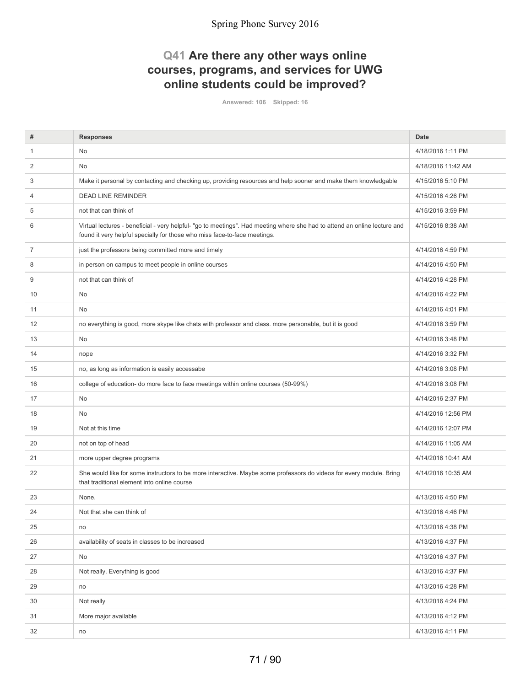## **Q41 Are there any other ways online courses, programs, and services for UWG online students could be improved?**

**Answered: 106 Skipped: 16**

| #              | <b>Responses</b>                                                                                                                                                                                       | Date               |
|----------------|--------------------------------------------------------------------------------------------------------------------------------------------------------------------------------------------------------|--------------------|
| 1              | No                                                                                                                                                                                                     | 4/18/2016 1:11 PM  |
| 2              | No                                                                                                                                                                                                     | 4/18/2016 11:42 AM |
| 3              | Make it personal by contacting and checking up, providing resources and help sooner and make them knowledgable                                                                                         | 4/15/2016 5:10 PM  |
| 4              | DEAD LINE REMINDER                                                                                                                                                                                     | 4/15/2016 4:26 PM  |
| 5              | not that can think of                                                                                                                                                                                  | 4/15/2016 3:59 PM  |
| 6              | Virtual lectures - beneficial - very helpful- "go to meetings". Had meeting where she had to attend an online lecture and<br>found it very helpful specially for those who miss face-to-face meetings. | 4/15/2016 8:38 AM  |
| $\overline{7}$ | just the professors being committed more and timely                                                                                                                                                    | 4/14/2016 4:59 PM  |
| 8              | in person on campus to meet people in online courses                                                                                                                                                   | 4/14/2016 4:50 PM  |
| 9              | not that can think of                                                                                                                                                                                  | 4/14/2016 4:28 PM  |
| 10             | <b>No</b>                                                                                                                                                                                              | 4/14/2016 4:22 PM  |
| 11             | No                                                                                                                                                                                                     | 4/14/2016 4:01 PM  |
| 12             | no everything is good, more skype like chats with professor and class. more personable, but it is good                                                                                                 | 4/14/2016 3:59 PM  |
| 13             | No                                                                                                                                                                                                     | 4/14/2016 3:48 PM  |
| 14             | nope                                                                                                                                                                                                   | 4/14/2016 3:32 PM  |
| 15             | no, as long as information is easily accessabe                                                                                                                                                         | 4/14/2016 3:08 PM  |
| 16             | college of education- do more face to face meetings within online courses (50-99%)                                                                                                                     | 4/14/2016 3:08 PM  |
| 17             | No                                                                                                                                                                                                     | 4/14/2016 2:37 PM  |
| 18             | No                                                                                                                                                                                                     | 4/14/2016 12:56 PM |
| 19             | Not at this time                                                                                                                                                                                       | 4/14/2016 12:07 PM |
| 20             | not on top of head                                                                                                                                                                                     | 4/14/2016 11:05 AM |
| 21             | more upper degree programs                                                                                                                                                                             | 4/14/2016 10:41 AM |
| 22             | She would like for some instructors to be more interactive. Maybe some professors do videos for every module. Bring<br>that traditional element into online course                                     | 4/14/2016 10:35 AM |
| 23             | None.                                                                                                                                                                                                  | 4/13/2016 4:50 PM  |
| 24             | Not that she can think of                                                                                                                                                                              | 4/13/2016 4:46 PM  |
| 25             | no                                                                                                                                                                                                     | 4/13/2016 4:38 PM  |
| 26             | availability of seats in classes to be increased                                                                                                                                                       | 4/13/2016 4:37 PM  |
| 27             | No                                                                                                                                                                                                     | 4/13/2016 4:37 PM  |
| 28             | Not really. Everything is good                                                                                                                                                                         | 4/13/2016 4:37 PM  |
| 29             | no                                                                                                                                                                                                     | 4/13/2016 4:28 PM  |
| 30             | Not really                                                                                                                                                                                             | 4/13/2016 4:24 PM  |
| 31             | More major available                                                                                                                                                                                   | 4/13/2016 4:12 PM  |
| 32             | no                                                                                                                                                                                                     | 4/13/2016 4:11 PM  |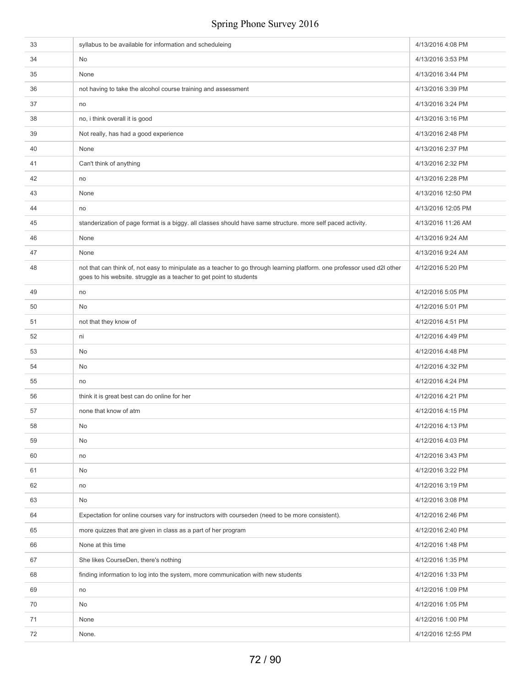| 33 | syllabus to be available for information and scheduleing                                                                                                                                        | 4/13/2016 4:08 PM  |
|----|-------------------------------------------------------------------------------------------------------------------------------------------------------------------------------------------------|--------------------|
| 34 | No                                                                                                                                                                                              | 4/13/2016 3:53 PM  |
| 35 | None                                                                                                                                                                                            | 4/13/2016 3:44 PM  |
| 36 | not having to take the alcohol course training and assessment                                                                                                                                   | 4/13/2016 3:39 PM  |
| 37 | no                                                                                                                                                                                              | 4/13/2016 3:24 PM  |
| 38 | no, i think overall it is good                                                                                                                                                                  | 4/13/2016 3:16 PM  |
| 39 | Not really, has had a good experience                                                                                                                                                           | 4/13/2016 2:48 PM  |
| 40 | None                                                                                                                                                                                            | 4/13/2016 2:37 PM  |
| 41 | Can't think of anything                                                                                                                                                                         | 4/13/2016 2:32 PM  |
| 42 | no                                                                                                                                                                                              | 4/13/2016 2:28 PM  |
| 43 | None                                                                                                                                                                                            | 4/13/2016 12:50 PM |
| 44 | no                                                                                                                                                                                              | 4/13/2016 12:05 PM |
| 45 | standerization of page format is a biggy. all classes should have same structure. more self paced activity.                                                                                     | 4/13/2016 11:26 AM |
| 46 | None                                                                                                                                                                                            | 4/13/2016 9:24 AM  |
| 47 | None                                                                                                                                                                                            | 4/13/2016 9:24 AM  |
| 48 | not that can think of, not easy to minipulate as a teacher to go through learning platform. one professor used d2l other<br>goes to his website. struggle as a teacher to get point to students | 4/12/2016 5:20 PM  |
| 49 | no                                                                                                                                                                                              | 4/12/2016 5:05 PM  |
| 50 | No                                                                                                                                                                                              | 4/12/2016 5:01 PM  |
| 51 | not that they know of                                                                                                                                                                           | 4/12/2016 4:51 PM  |
| 52 | ni                                                                                                                                                                                              | 4/12/2016 4:49 PM  |
| 53 | No                                                                                                                                                                                              | 4/12/2016 4:48 PM  |
| 54 | No                                                                                                                                                                                              | 4/12/2016 4:32 PM  |
| 55 | no                                                                                                                                                                                              | 4/12/2016 4:24 PM  |
| 56 | think it is great best can do online for her                                                                                                                                                    | 4/12/2016 4:21 PM  |
| 57 | none that know of atm                                                                                                                                                                           | 4/12/2016 4:15 PM  |
| 58 | No                                                                                                                                                                                              | 4/12/2016 4:13 PM  |
| 59 | No                                                                                                                                                                                              | 4/12/2016 4:03 PM  |
| 60 | no                                                                                                                                                                                              | 4/12/2016 3:43 PM  |
| 61 | No                                                                                                                                                                                              | 4/12/2016 3:22 PM  |
| 62 | no                                                                                                                                                                                              | 4/12/2016 3:19 PM  |
| 63 | No                                                                                                                                                                                              | 4/12/2016 3:08 PM  |
| 64 | Expectation for online courses vary for instructors with courseden (need to be more consistent).                                                                                                | 4/12/2016 2:46 PM  |
| 65 | more quizzes that are given in class as a part of her program                                                                                                                                   | 4/12/2016 2:40 PM  |
| 66 | None at this time                                                                                                                                                                               | 4/12/2016 1:48 PM  |
| 67 | She likes CourseDen, there's nothing                                                                                                                                                            | 4/12/2016 1:35 PM  |
| 68 | finding information to log into the system, more communication with new students                                                                                                                | 4/12/2016 1:33 PM  |
| 69 | no                                                                                                                                                                                              | 4/12/2016 1:09 PM  |
| 70 | No                                                                                                                                                                                              | 4/12/2016 1:05 PM  |
| 71 | None                                                                                                                                                                                            | 4/12/2016 1:00 PM  |
| 72 | None.                                                                                                                                                                                           | 4/12/2016 12:55 PM |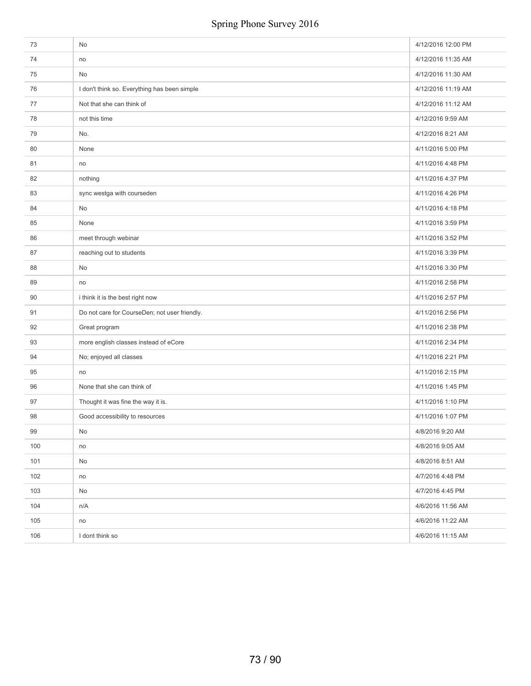| 73  | No                                            | 4/12/2016 12:00 PM |
|-----|-----------------------------------------------|--------------------|
| 74  | no                                            | 4/12/2016 11:35 AM |
| 75  | No                                            | 4/12/2016 11:30 AM |
| 76  | I don't think so. Everything has been simple  | 4/12/2016 11:19 AM |
| 77  | Not that she can think of                     | 4/12/2016 11:12 AM |
| 78  | not this time                                 | 4/12/2016 9:59 AM  |
| 79  | No.                                           | 4/12/2016 8:21 AM  |
| 80  | None                                          | 4/11/2016 5:00 PM  |
| 81  | no                                            | 4/11/2016 4:48 PM  |
| 82  | nothing                                       | 4/11/2016 4:37 PM  |
| 83  | sync westga with courseden                    | 4/11/2016 4:26 PM  |
| 84  | No                                            | 4/11/2016 4:18 PM  |
| 85  | None                                          | 4/11/2016 3:59 PM  |
| 86  | meet through webinar                          | 4/11/2016 3:52 PM  |
| 87  | reaching out to students                      | 4/11/2016 3:39 PM  |
| 88  | No                                            | 4/11/2016 3:30 PM  |
| 89  | no                                            | 4/11/2016 2:58 PM  |
| 90  | i think it is the best right now              | 4/11/2016 2:57 PM  |
| 91  | Do not care for CourseDen; not user friendly. | 4/11/2016 2:56 PM  |
| 92  | Great program                                 | 4/11/2016 2:38 PM  |
| 93  | more english classes instead of eCore         | 4/11/2016 2:34 PM  |
| 94  | No; enjoyed all classes                       | 4/11/2016 2:21 PM  |
| 95  | no                                            | 4/11/2016 2:15 PM  |
| 96  | None that she can think of                    | 4/11/2016 1:45 PM  |
| 97  | Thought it was fine the way it is.            | 4/11/2016 1:10 PM  |
| 98  | Good accessibility to resources               | 4/11/2016 1:07 PM  |
| 99  | No                                            | 4/8/2016 9:20 AM   |
| 100 | no                                            | 4/8/2016 9:05 AM   |
| 101 | No                                            | 4/8/2016 8:51 AM   |
| 102 | no                                            | 4/7/2016 4:48 PM   |
| 103 | No                                            | 4/7/2016 4:45 PM   |
| 104 | n/A                                           | 4/6/2016 11:56 AM  |
| 105 | no                                            | 4/6/2016 11:22 AM  |
| 106 | I dont think so                               | 4/6/2016 11:15 AM  |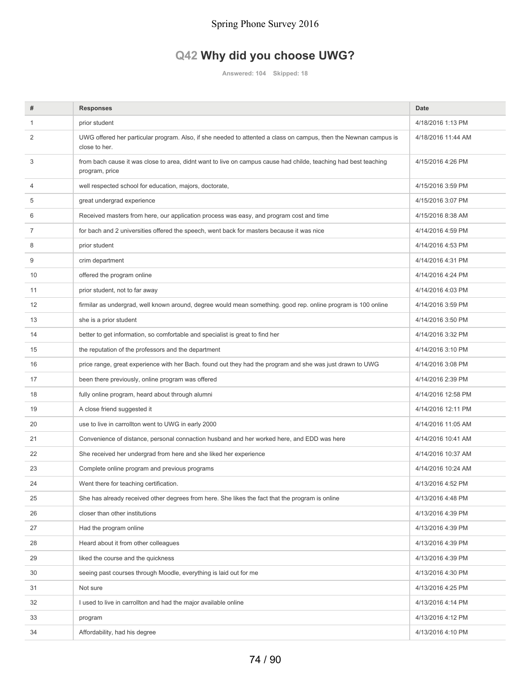# **Q42 Why did you choose UWG?**

**Answered: 104 Skipped: 18**

| #              | <b>Responses</b>                                                                                                                  | <b>Date</b>        |
|----------------|-----------------------------------------------------------------------------------------------------------------------------------|--------------------|
| 1              | prior student                                                                                                                     | 4/18/2016 1:13 PM  |
| 2              | UWG offered her particular program. Also, if she needed to attented a class on campus, then the Newnan campus is<br>close to her. | 4/18/2016 11:44 AM |
| 3              | from bach cause it was close to area, didnt want to live on campus cause had childe, teaching had best teaching<br>program, price | 4/15/2016 4:26 PM  |
| $\overline{4}$ | well respected school for education, majors, doctorate,                                                                           | 4/15/2016 3:59 PM  |
| 5              | great undergrad experience                                                                                                        | 4/15/2016 3:07 PM  |
| 6              | Received masters from here, our application process was easy, and program cost and time                                           | 4/15/2016 8:38 AM  |
| 7              | for bach and 2 universities offered the speech, went back for masters because it was nice                                         | 4/14/2016 4:59 PM  |
| 8              | prior student                                                                                                                     | 4/14/2016 4:53 PM  |
| 9              | crim department                                                                                                                   | 4/14/2016 4:31 PM  |
| 10             | offered the program online                                                                                                        | 4/14/2016 4:24 PM  |
| 11             | prior student, not to far away                                                                                                    | 4/14/2016 4:03 PM  |
| 12             | firmilar as undergrad, well known around, degree would mean something. good rep. online program is 100 online                     | 4/14/2016 3:59 PM  |
| 13             | she is a prior student                                                                                                            | 4/14/2016 3:50 PM  |
| 14             | better to get information, so comfortable and specialist is great to find her                                                     | 4/14/2016 3:32 PM  |
| 15             | the reputation of the professors and the department                                                                               | 4/14/2016 3:10 PM  |
| 16             | price range, great experience with her Bach. found out they had the program and she was just drawn to UWG                         | 4/14/2016 3:08 PM  |
| 17             | been there previously, online program was offered                                                                                 | 4/14/2016 2:39 PM  |
| 18             | fully online program, heard about through alumni                                                                                  | 4/14/2016 12:58 PM |
| 19             | A close friend suggested it                                                                                                       | 4/14/2016 12:11 PM |
| 20             | use to live in carrollton went to UWG in early 2000                                                                               | 4/14/2016 11:05 AM |
| 21             | Convenience of distance, personal connaction husband and her worked here, and EDD was here                                        | 4/14/2016 10:41 AM |
| 22             | She received her undergrad from here and she liked her experience                                                                 | 4/14/2016 10:37 AM |
| 23             | Complete online program and previous programs                                                                                     | 4/14/2016 10:24 AM |
| 24             | Went there for teaching certification.                                                                                            | 4/13/2016 4:52 PM  |
| 25             | She has already received other degrees from here. She likes the fact that the program is online                                   | 4/13/2016 4:48 PM  |
| 26             | closer than other institutions                                                                                                    | 4/13/2016 4:39 PM  |
| 27             | Had the program online                                                                                                            | 4/13/2016 4:39 PM  |
| 28             | Heard about it from other colleagues                                                                                              | 4/13/2016 4:39 PM  |
| 29             | liked the course and the quickness                                                                                                | 4/13/2016 4:39 PM  |
| 30             | seeing past courses through Moodle, everything is laid out for me                                                                 | 4/13/2016 4:30 PM  |
| 31             | Not sure                                                                                                                          | 4/13/2016 4:25 PM  |
| 32             | I used to live in carrollton and had the major available online                                                                   | 4/13/2016 4:14 PM  |
| 33             | program                                                                                                                           | 4/13/2016 4:12 PM  |
| 34             | Affordability, had his degree                                                                                                     | 4/13/2016 4:10 PM  |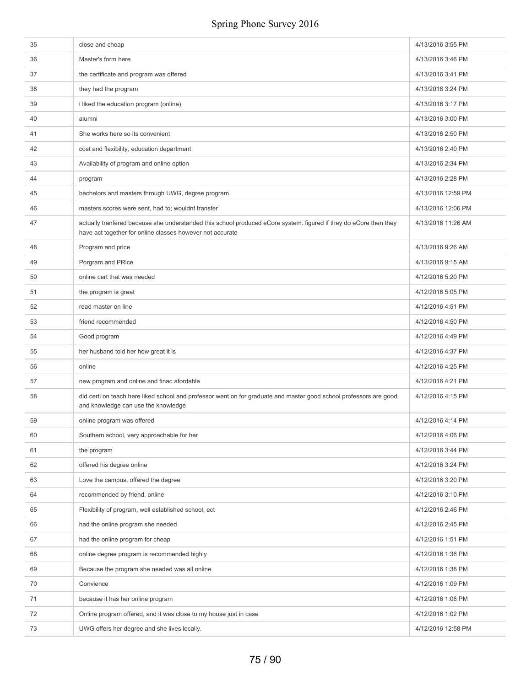| 35 | close and cheap                                                                                                                                                                | 4/13/2016 3:55 PM  |
|----|--------------------------------------------------------------------------------------------------------------------------------------------------------------------------------|--------------------|
| 36 | Master's form here                                                                                                                                                             | 4/13/2016 3:46 PM  |
| 37 | the certificate and program was offered                                                                                                                                        | 4/13/2016 3:41 PM  |
| 38 | they had the program                                                                                                                                                           | 4/13/2016 3:24 PM  |
| 39 | i liked the education program (online)                                                                                                                                         | 4/13/2016 3:17 PM  |
| 40 | alumni                                                                                                                                                                         | 4/13/2016 3:00 PM  |
| 41 | She works here so its convenient                                                                                                                                               | 4/13/2016 2:50 PM  |
| 42 | cost and flexibility, education department                                                                                                                                     | 4/13/2016 2:40 PM  |
| 43 | Availability of program and online option                                                                                                                                      | 4/13/2016 2:34 PM  |
| 44 | program                                                                                                                                                                        | 4/13/2016 2:28 PM  |
| 45 | bachelors and masters through UWG, degree program                                                                                                                              | 4/13/2016 12:59 PM |
| 46 | masters scores were sent, had to; wouldnt transfer                                                                                                                             | 4/13/2016 12:06 PM |
| 47 | actually tranfered because she understanded this school produced eCore system. figured if they do eCore then they<br>have act together for online classes however not accurate | 4/13/2016 11:26 AM |
| 48 | Program and price                                                                                                                                                              | 4/13/2016 9:26 AM  |
| 49 | Porgram and PRice                                                                                                                                                              | 4/13/2016 9:15 AM  |
| 50 | online cert that was needed                                                                                                                                                    | 4/12/2016 5:20 PM  |
| 51 | the program is great                                                                                                                                                           | 4/12/2016 5:05 PM  |
| 52 | read master on line                                                                                                                                                            | 4/12/2016 4:51 PM  |
| 53 | friend recommended                                                                                                                                                             | 4/12/2016 4:50 PM  |
| 54 | Good program                                                                                                                                                                   | 4/12/2016 4:49 PM  |
| 55 | her husband told her how great it is                                                                                                                                           | 4/12/2016 4:37 PM  |
| 56 | online                                                                                                                                                                         | 4/12/2016 4:25 PM  |
| 57 | new program and online and finac afordable                                                                                                                                     | 4/12/2016 4:21 PM  |
| 58 | did certi on teach here liked school and professor went on for graduate and master good school professors are good<br>and knowledge can use the knowledge                      | 4/12/2016 4:15 PM  |
| 59 | online program was offered                                                                                                                                                     | 4/12/2016 4:14 PM  |
| 60 | Southern school, very approachable for her                                                                                                                                     | 4/12/2016 4:06 PM  |
| 61 | the program                                                                                                                                                                    | 4/12/2016 3:44 PM  |
| 62 | offered his degree online                                                                                                                                                      | 4/12/2016 3:24 PM  |
| 63 | Love the campus, offered the degree                                                                                                                                            | 4/12/2016 3:20 PM  |
| 64 | recommended by friend, online                                                                                                                                                  | 4/12/2016 3:10 PM  |
| 65 | Flexibility of program, well established school, ect                                                                                                                           | 4/12/2016 2:46 PM  |
| 66 | had the online program she needed                                                                                                                                              | 4/12/2016 2:45 PM  |
| 67 | had the online program for cheap                                                                                                                                               | 4/12/2016 1:51 PM  |
| 68 | online degree program is recommended highly                                                                                                                                    | 4/12/2016 1:38 PM  |
| 69 | Because the program she needed was all online                                                                                                                                  | 4/12/2016 1:38 PM  |
| 70 | Convience                                                                                                                                                                      | 4/12/2016 1:09 PM  |
| 71 | because it has her online program                                                                                                                                              | 4/12/2016 1:08 PM  |
| 72 | Online program offered, and it was close to my house just in case                                                                                                              | 4/12/2016 1:02 PM  |
| 73 | UWG offers her degree and she lives locally.                                                                                                                                   | 4/12/2016 12:58 PM |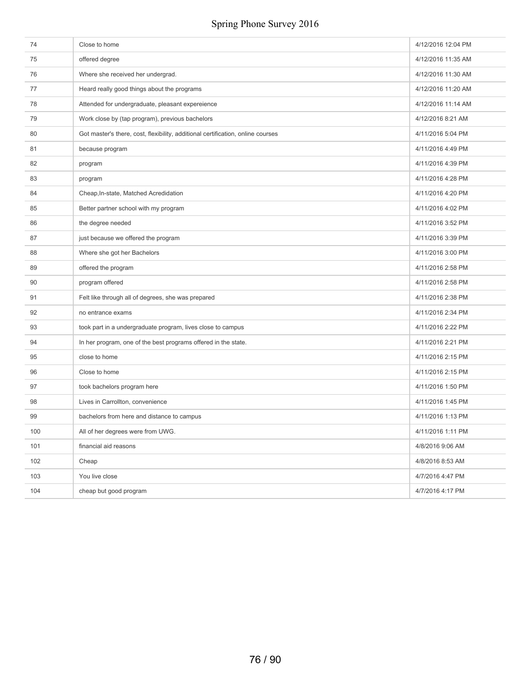| 74  | Close to home                                                                   | 4/12/2016 12:04 PM |
|-----|---------------------------------------------------------------------------------|--------------------|
| 75  | offered degree                                                                  | 4/12/2016 11:35 AM |
| 76  | Where she received her undergrad.                                               | 4/12/2016 11:30 AM |
| 77  | Heard really good things about the programs                                     | 4/12/2016 11:20 AM |
| 78  | Attended for undergraduate, pleasant expereience                                | 4/12/2016 11:14 AM |
| 79  | Work close by (tap program), previous bachelors                                 | 4/12/2016 8:21 AM  |
| 80  | Got master's there, cost, flexibility, additional certification, online courses | 4/11/2016 5:04 PM  |
| 81  | because program                                                                 | 4/11/2016 4:49 PM  |
| 82  | program                                                                         | 4/11/2016 4:39 PM  |
| 83  | program                                                                         | 4/11/2016 4:28 PM  |
| 84  | Cheap, In-state, Matched Acredidation                                           | 4/11/2016 4:20 PM  |
| 85  | Better partner school with my program                                           | 4/11/2016 4:02 PM  |
| 86  | the degree needed                                                               | 4/11/2016 3:52 PM  |
| 87  | just because we offered the program                                             | 4/11/2016 3:39 PM  |
| 88  | Where she got her Bachelors                                                     | 4/11/2016 3:00 PM  |
| 89  | offered the program                                                             | 4/11/2016 2:58 PM  |
| 90  | program offered                                                                 | 4/11/2016 2:58 PM  |
| 91  | Felt like through all of degrees, she was prepared                              | 4/11/2016 2:38 PM  |
| 92  | no entrance exams                                                               | 4/11/2016 2:34 PM  |
| 93  | took part in a undergraduate program, lives close to campus                     | 4/11/2016 2:22 PM  |
| 94  | In her program, one of the best programs offered in the state.                  | 4/11/2016 2:21 PM  |
| 95  | close to home                                                                   | 4/11/2016 2:15 PM  |
| 96  | Close to home                                                                   | 4/11/2016 2:15 PM  |
| 97  | took bachelors program here                                                     | 4/11/2016 1:50 PM  |
| 98  | Lives in Carrollton, convenience                                                | 4/11/2016 1:45 PM  |
| 99  | bachelors from here and distance to campus                                      | 4/11/2016 1:13 PM  |
| 100 | All of her degrees were from UWG.                                               | 4/11/2016 1:11 PM  |
| 101 | financial aid reasons                                                           | 4/8/2016 9:06 AM   |
| 102 | Cheap                                                                           | 4/8/2016 8:53 AM   |
| 103 | You live close                                                                  | 4/7/2016 4:47 PM   |
| 104 | cheap but good program                                                          | 4/7/2016 4:17 PM   |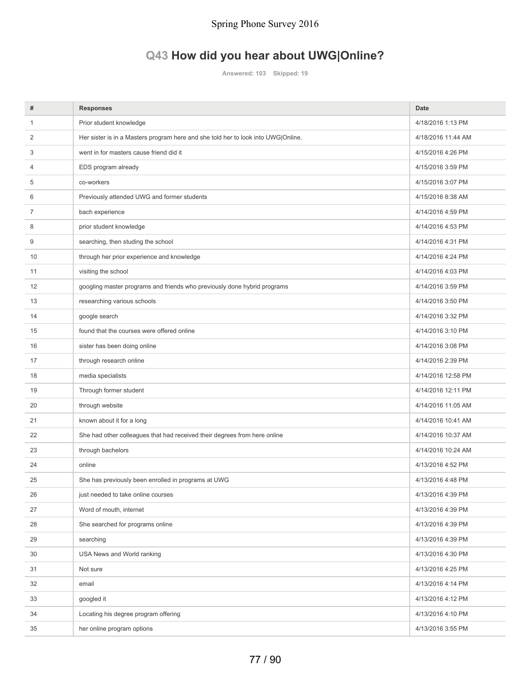# **Q43 How did you hear about UWG|Online?**

**Answered: 103 Skipped: 19**

| #            | <b>Responses</b>                                                                  | <b>Date</b>        |
|--------------|-----------------------------------------------------------------------------------|--------------------|
| $\mathbf{1}$ | Prior student knowledge                                                           | 4/18/2016 1:13 PM  |
| 2            | Her sister is in a Masters program here and she told her to look into UWG Online. | 4/18/2016 11:44 AM |
| 3            | went in for masters cause friend did it                                           | 4/15/2016 4:26 PM  |
| 4            | EDS program already                                                               | 4/15/2016 3:59 PM  |
| 5            | co-workers                                                                        | 4/15/2016 3:07 PM  |
| 6            | Previously attended UWG and former students                                       | 4/15/2016 8:38 AM  |
| 7            | bach experience                                                                   | 4/14/2016 4:59 PM  |
| 8            | prior student knowledge                                                           | 4/14/2016 4:53 PM  |
| 9            | searching, then studing the school                                                | 4/14/2016 4:31 PM  |
| 10           | through her prior experience and knowledge                                        | 4/14/2016 4:24 PM  |
| 11           | visiting the school                                                               | 4/14/2016 4:03 PM  |
| 12           | googling master programs and friends who previously done hybrid programs          | 4/14/2016 3:59 PM  |
| 13           | researching various schools                                                       | 4/14/2016 3:50 PM  |
| 14           | google search                                                                     | 4/14/2016 3:32 PM  |
| 15           | found that the courses were offered online                                        | 4/14/2016 3:10 PM  |
| 16           | sister has been doing online                                                      | 4/14/2016 3:08 PM  |
| 17           | through research online                                                           | 4/14/2016 2:39 PM  |
| 18           | media specialists                                                                 | 4/14/2016 12:58 PM |
| 19           | Through former student                                                            | 4/14/2016 12:11 PM |
| 20           | through website                                                                   | 4/14/2016 11:05 AM |
| 21           | known about it for a long                                                         | 4/14/2016 10:41 AM |
| 22           | She had other colleagues that had received their degrees from here online         | 4/14/2016 10:37 AM |
| 23           | through bachelors                                                                 | 4/14/2016 10:24 AM |
| 24           | online                                                                            | 4/13/2016 4:52 PM  |
| 25           | She has previously been enrolled in programs at UWG                               | 4/13/2016 4:48 PM  |
| 26           | just needed to take online courses                                                | 4/13/2016 4:39 PM  |
| 27           | Word of mouth, internet                                                           | 4/13/2016 4:39 PM  |
| 28           | She searched for programs online                                                  | 4/13/2016 4:39 PM  |
| 29           | searching                                                                         | 4/13/2016 4:39 PM  |
| 30           | USA News and World ranking                                                        | 4/13/2016 4:30 PM  |
| 31           | Not sure                                                                          | 4/13/2016 4:25 PM  |
| 32           | email                                                                             | 4/13/2016 4:14 PM  |
| 33           | googled it                                                                        | 4/13/2016 4:12 PM  |
| 34           | Locating his degree program offering                                              | 4/13/2016 4:10 PM  |
| 35           | her online program options                                                        | 4/13/2016 3:55 PM  |
|              |                                                                                   |                    |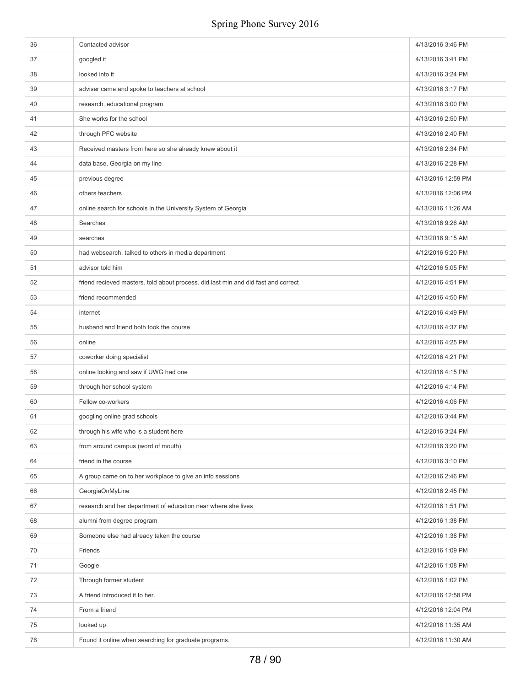| 36 | Contacted advisor                                                                  | 4/13/2016 3:46 PM  |
|----|------------------------------------------------------------------------------------|--------------------|
| 37 | googled it                                                                         | 4/13/2016 3:41 PM  |
| 38 | looked into it                                                                     | 4/13/2016 3:24 PM  |
| 39 | adviser came and spoke to teachers at school                                       | 4/13/2016 3:17 PM  |
| 40 | research, educational program                                                      | 4/13/2016 3:00 PM  |
| 41 | She works for the school                                                           | 4/13/2016 2:50 PM  |
| 42 | through PFC website                                                                | 4/13/2016 2:40 PM  |
| 43 | Received masters from here so she already knew about it                            | 4/13/2016 2:34 PM  |
| 44 | data base, Georgia on my line                                                      | 4/13/2016 2:28 PM  |
| 45 | previous degree                                                                    | 4/13/2016 12:59 PM |
| 46 | others teachers                                                                    | 4/13/2016 12:06 PM |
| 47 | online search for schools in the University System of Georgia                      | 4/13/2016 11:26 AM |
| 48 | Searches                                                                           | 4/13/2016 9:26 AM  |
| 49 | searches                                                                           | 4/13/2016 9:15 AM  |
| 50 | had websearch. talked to others in media department                                | 4/12/2016 5:20 PM  |
| 51 | advisor told him                                                                   | 4/12/2016 5:05 PM  |
| 52 | friend recieved masters, told about process, did last min and did fast and correct | 4/12/2016 4:51 PM  |
| 53 | friend recommended                                                                 | 4/12/2016 4:50 PM  |
| 54 | internet                                                                           | 4/12/2016 4:49 PM  |
| 55 | husband and friend both took the course                                            | 4/12/2016 4:37 PM  |
| 56 | online                                                                             | 4/12/2016 4:25 PM  |
| 57 | coworker doing specialist                                                          | 4/12/2016 4:21 PM  |
| 58 | online looking and saw if UWG had one                                              | 4/12/2016 4:15 PM  |
| 59 | through her school system                                                          | 4/12/2016 4:14 PM  |
| 60 | Fellow co-workers                                                                  | 4/12/2016 4:06 PM  |
| 61 | googling online grad schools                                                       | 4/12/2016 3:44 PM  |
| 62 | through his wife who is a student here                                             | 4/12/2016 3:24 PM  |
| 63 | from around campus (word of mouth)                                                 | 4/12/2016 3:20 PM  |
| 64 | friend in the course                                                               | 4/12/2016 3:10 PM  |
| 65 | A group came on to her workplace to give an info sessions                          | 4/12/2016 2:46 PM  |
| 66 | GeorgiaOnMyLine                                                                    | 4/12/2016 2:45 PM  |
| 67 | research and her department of education near where she lives                      | 4/12/2016 1:51 PM  |
| 68 | alumni from degree program                                                         | 4/12/2016 1:38 PM  |
| 69 | Someone else had already taken the course                                          | 4/12/2016 1:38 PM  |
| 70 | Friends                                                                            | 4/12/2016 1:09 PM  |
| 71 | Google                                                                             | 4/12/2016 1:08 PM  |
| 72 | Through former student                                                             | 4/12/2016 1:02 PM  |
| 73 | A friend introduced it to her.                                                     | 4/12/2016 12:58 PM |
| 74 | From a friend                                                                      | 4/12/2016 12:04 PM |
| 75 | looked up                                                                          | 4/12/2016 11:35 AM |
| 76 | Found it online when searching for graduate programs.                              | 4/12/2016 11:30 AM |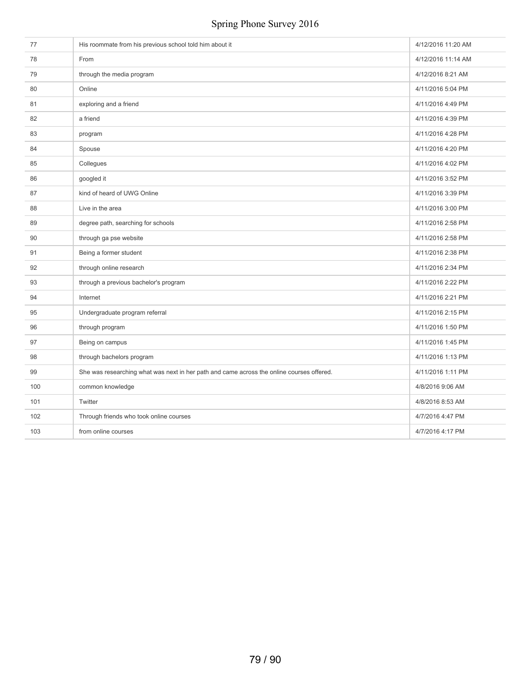| 77  | His roommate from his previous school told him about it                                   | 4/12/2016 11:20 AM |
|-----|-------------------------------------------------------------------------------------------|--------------------|
| 78  | From                                                                                      | 4/12/2016 11:14 AM |
| 79  | through the media program                                                                 | 4/12/2016 8:21 AM  |
| 80  | Online                                                                                    | 4/11/2016 5:04 PM  |
| 81  | exploring and a friend                                                                    | 4/11/2016 4:49 PM  |
| 82  | a friend                                                                                  | 4/11/2016 4:39 PM  |
| 83  | program                                                                                   | 4/11/2016 4:28 PM  |
| 84  | Spouse                                                                                    | 4/11/2016 4:20 PM  |
| 85  | Collegues                                                                                 | 4/11/2016 4:02 PM  |
| 86  | googled it                                                                                | 4/11/2016 3:52 PM  |
| 87  | kind of heard of UWG Online                                                               | 4/11/2016 3:39 PM  |
| 88  | Live in the area                                                                          | 4/11/2016 3:00 PM  |
| 89  | degree path, searching for schools                                                        | 4/11/2016 2:58 PM  |
| 90  | through ga pse website                                                                    | 4/11/2016 2:58 PM  |
| 91  | Being a former student                                                                    | 4/11/2016 2:38 PM  |
| 92  | through online research                                                                   | 4/11/2016 2:34 PM  |
| 93  | through a previous bachelor's program                                                     | 4/11/2016 2:22 PM  |
| 94  | Internet                                                                                  | 4/11/2016 2:21 PM  |
| 95  | Undergraduate program referral                                                            | 4/11/2016 2:15 PM  |
| 96  | through program                                                                           | 4/11/2016 1:50 PM  |
| 97  | Being on campus                                                                           | 4/11/2016 1:45 PM  |
| 98  | through bachelors program                                                                 | 4/11/2016 1:13 PM  |
| 99  | She was researching what was next in her path and came across the online courses offered. | 4/11/2016 1:11 PM  |
| 100 | common knowledge                                                                          | 4/8/2016 9:06 AM   |
| 101 | Twitter                                                                                   | 4/8/2016 8:53 AM   |
| 102 | Through friends who took online courses                                                   | 4/7/2016 4:47 PM   |
| 103 | from online courses                                                                       | 4/7/2016 4:17 PM   |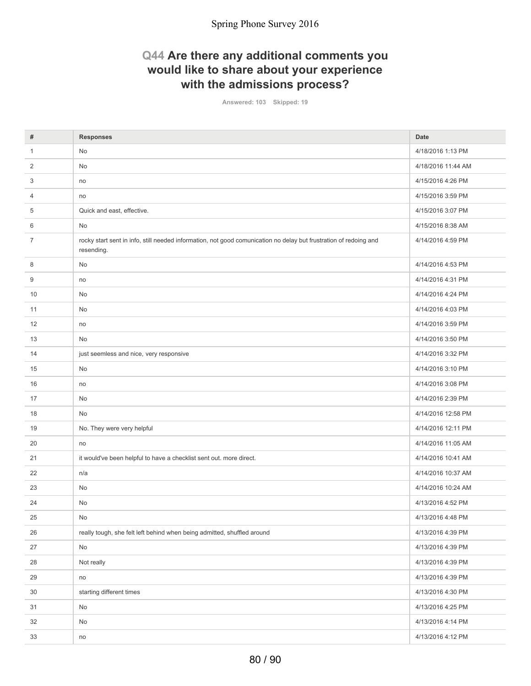## **Q44 Are there any additional comments you would like to share about your experience with the admissions process?**

**Answered: 103 Skipped: 19**

| #              | <b>Responses</b>                                                                                                                | <b>Date</b>        |
|----------------|---------------------------------------------------------------------------------------------------------------------------------|--------------------|
| $\mathbf{1}$   | No                                                                                                                              | 4/18/2016 1:13 PM  |
| 2              | No                                                                                                                              | 4/18/2016 11:44 AM |
| 3              | no                                                                                                                              | 4/15/2016 4:26 PM  |
| 4              | no                                                                                                                              | 4/15/2016 3:59 PM  |
| 5              | Quick and east, effective.                                                                                                      | 4/15/2016 3:07 PM  |
| 6              | No                                                                                                                              | 4/15/2016 8:38 AM  |
| $\overline{7}$ | rocky start sent in info, still needed information, not good comunication no delay but frustration of redoing and<br>resending. | 4/14/2016 4:59 PM  |
| 8              | No                                                                                                                              | 4/14/2016 4:53 PM  |
| 9              | no                                                                                                                              | 4/14/2016 4:31 PM  |
| 10             | No                                                                                                                              | 4/14/2016 4:24 PM  |
| 11             | No                                                                                                                              | 4/14/2016 4:03 PM  |
| 12             | no                                                                                                                              | 4/14/2016 3:59 PM  |
| 13             | No                                                                                                                              | 4/14/2016 3:50 PM  |
| 14             | just seemless and nice, very responsive                                                                                         | 4/14/2016 3:32 PM  |
| 15             | No                                                                                                                              | 4/14/2016 3:10 PM  |
| 16             | no                                                                                                                              | 4/14/2016 3:08 PM  |
| 17             | No                                                                                                                              | 4/14/2016 2:39 PM  |
| 18             | No                                                                                                                              | 4/14/2016 12:58 PM |
| 19             | No. They were very helpful                                                                                                      | 4/14/2016 12:11 PM |
| 20             | no                                                                                                                              | 4/14/2016 11:05 AM |
| 21             | it would've been helpful to have a checklist sent out. more direct.                                                             | 4/14/2016 10:41 AM |
| 22             | n/a                                                                                                                             | 4/14/2016 10:37 AM |
| 23             | No                                                                                                                              | 4/14/2016 10:24 AM |
| 24             | No                                                                                                                              | 4/13/2016 4:52 PM  |
| 25             | No                                                                                                                              | 4/13/2016 4:48 PM  |
| 26             | really tough, she felt left behind when being admitted, shuffled around                                                         | 4/13/2016 4:39 PM  |
| 27             | No                                                                                                                              | 4/13/2016 4:39 PM  |
| 28             | Not really                                                                                                                      | 4/13/2016 4:39 PM  |
| 29             | no                                                                                                                              | 4/13/2016 4:39 PM  |
| 30             | starting different times                                                                                                        | 4/13/2016 4:30 PM  |
| 31             | No                                                                                                                              | 4/13/2016 4:25 PM  |
| 32             | No                                                                                                                              | 4/13/2016 4:14 PM  |
| 33             | no                                                                                                                              | 4/13/2016 4:12 PM  |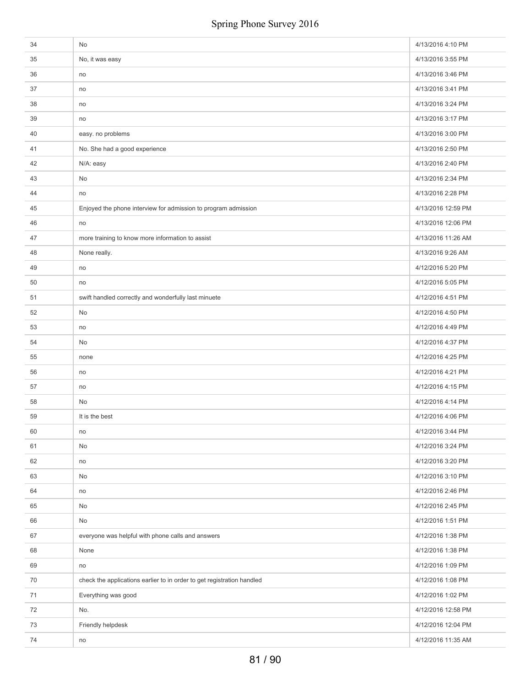| 34 | No                                                                     | 4/13/2016 4:10 PM  |
|----|------------------------------------------------------------------------|--------------------|
| 35 | No, it was easy                                                        | 4/13/2016 3:55 PM  |
| 36 | no                                                                     | 4/13/2016 3:46 PM  |
| 37 | no                                                                     | 4/13/2016 3:41 PM  |
| 38 | no                                                                     | 4/13/2016 3:24 PM  |
| 39 | no                                                                     | 4/13/2016 3:17 PM  |
| 40 | easy. no problems                                                      | 4/13/2016 3:00 PM  |
| 41 | No. She had a good experience                                          | 4/13/2016 2:50 PM  |
| 42 | N/A: easy                                                              | 4/13/2016 2:40 PM  |
| 43 | No                                                                     | 4/13/2016 2:34 PM  |
| 44 | no                                                                     | 4/13/2016 2:28 PM  |
| 45 | Enjoyed the phone interview for admission to program admission         | 4/13/2016 12:59 PM |
| 46 | no                                                                     | 4/13/2016 12:06 PM |
| 47 | more training to know more information to assist                       | 4/13/2016 11:26 AM |
| 48 | None really.                                                           | 4/13/2016 9:26 AM  |
| 49 | no                                                                     | 4/12/2016 5:20 PM  |
| 50 | no                                                                     | 4/12/2016 5:05 PM  |
| 51 | swift handled correctly and wonderfully last minuete                   | 4/12/2016 4:51 PM  |
| 52 | No                                                                     | 4/12/2016 4:50 PM  |
| 53 | no                                                                     | 4/12/2016 4:49 PM  |
| 54 | No                                                                     | 4/12/2016 4:37 PM  |
| 55 | none                                                                   | 4/12/2016 4:25 PM  |
| 56 | no                                                                     | 4/12/2016 4:21 PM  |
| 57 | no                                                                     | 4/12/2016 4:15 PM  |
| 58 | No                                                                     | 4/12/2016 4:14 PM  |
| 59 | It is the best                                                         | 4/12/2016 4:06 PM  |
| 60 | no                                                                     | 4/12/2016 3:44 PM  |
| 61 | No                                                                     | 4/12/2016 3:24 PM  |
| 62 | no                                                                     | 4/12/2016 3:20 PM  |
| 63 | No                                                                     | 4/12/2016 3:10 PM  |
| 64 | no                                                                     | 4/12/2016 2:46 PM  |
| 65 | No                                                                     | 4/12/2016 2:45 PM  |
| 66 | No                                                                     | 4/12/2016 1:51 PM  |
| 67 | everyone was helpful with phone calls and answers                      | 4/12/2016 1:38 PM  |
| 68 | None                                                                   | 4/12/2016 1:38 PM  |
| 69 | no                                                                     | 4/12/2016 1:09 PM  |
| 70 | check the applications earlier to in order to get registration handled | 4/12/2016 1:08 PM  |
| 71 | Everything was good                                                    | 4/12/2016 1:02 PM  |
| 72 | No.                                                                    | 4/12/2016 12:58 PM |
| 73 | Friendly helpdesk                                                      | 4/12/2016 12:04 PM |
| 74 | no                                                                     | 4/12/2016 11:35 AM |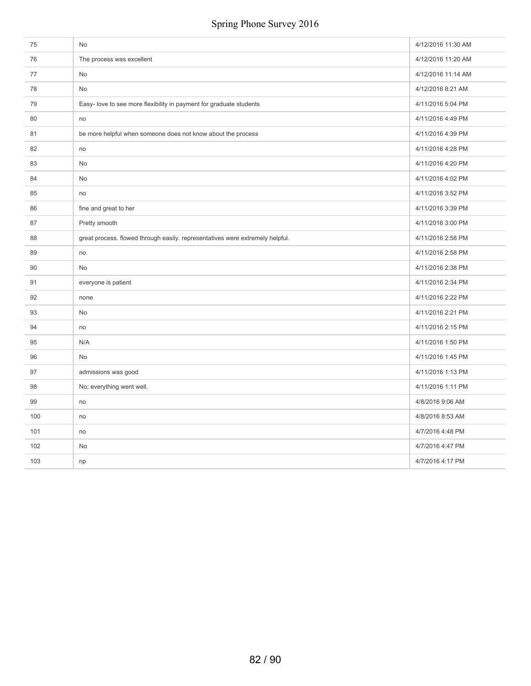| 75  | No                                                                            | 4/12/2016 11:30 AM |
|-----|-------------------------------------------------------------------------------|--------------------|
| 76  | The process was excellent                                                     | 4/12/2016 11:20 AM |
| 77  | No                                                                            | 4/12/2016 11:14 AM |
| 78  | No                                                                            | 4/12/2016 8:21 AM  |
| 79  | Easy- love to see more flexibility in payment for graduate students           | 4/11/2016 5:04 PM  |
| 80  | no                                                                            | 4/11/2016 4:49 PM  |
| 81  | be more helpful when someone does not know about the process                  | 4/11/2016 4:39 PM  |
| 82  | no                                                                            | 4/11/2016 4:28 PM  |
| 83  | No                                                                            | 4/11/2016 4:20 PM  |
| 84  | No                                                                            | 4/11/2016 4:02 PM  |
| 85  | no                                                                            | 4/11/2016 3:52 PM  |
| 86  | fine and great to her                                                         | 4/11/2016 3:39 PM  |
| 87  | Pretty smooth                                                                 | 4/11/2016 3:00 PM  |
| 88  | great process. flowed through easily. representatives were extremely helpful. | 4/11/2016 2:58 PM  |
| 89  | no                                                                            | 4/11/2016 2:58 PM  |
| 90  | No                                                                            | 4/11/2016 2:38 PM  |
| 91  | everyone is patient                                                           | 4/11/2016 2:34 PM  |
| 92  | none                                                                          | 4/11/2016 2:22 PM  |
| 93  | <b>No</b>                                                                     | 4/11/2016 2:21 PM  |
| 94  | no                                                                            | 4/11/2016 2:15 PM  |
| 95  | N/A                                                                           | 4/11/2016 1:50 PM  |
| 96  | No                                                                            | 4/11/2016 1:45 PM  |
| 97  | admissions was good                                                           | 4/11/2016 1:13 PM  |
| 98  | No; everything went well.                                                     | 4/11/2016 1:11 PM  |
| 99  | no                                                                            | 4/8/2016 9:06 AM   |
| 100 | no                                                                            | 4/8/2016 8:53 AM   |
| 101 | no                                                                            | 4/7/2016 4:48 PM   |
| 102 | No                                                                            | 4/7/2016 4:47 PM   |
| 103 | np                                                                            | 4/7/2016 4:17 PM   |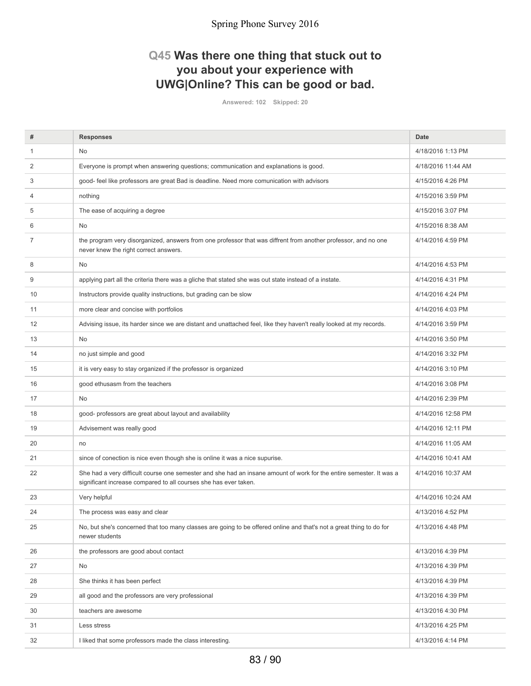## **Q45 Was there one thing that stuck out to you about your experience with UWG|Online? This can be good or bad.**

**Answered: 102 Skipped: 20**

| #              | <b>Responses</b>                                                                                                                                                                        | <b>Date</b>        |
|----------------|-----------------------------------------------------------------------------------------------------------------------------------------------------------------------------------------|--------------------|
| 1              | No                                                                                                                                                                                      | 4/18/2016 1:13 PM  |
| 2              | Everyone is prompt when answering questions; communication and explanations is good.                                                                                                    | 4/18/2016 11:44 AM |
| 3              | good- feel like professors are great Bad is deadline. Need more comunication with advisors                                                                                              | 4/15/2016 4:26 PM  |
| 4              | nothing                                                                                                                                                                                 | 4/15/2016 3:59 PM  |
| 5              | The ease of acquiring a degree                                                                                                                                                          | 4/15/2016 3:07 PM  |
| 6              | No                                                                                                                                                                                      | 4/15/2016 8:38 AM  |
| $\overline{7}$ | the program very disorganized, answers from one professor that was diffrent from another professor, and no one<br>never knew the right correct answers.                                 | 4/14/2016 4:59 PM  |
| 8              | No                                                                                                                                                                                      | 4/14/2016 4:53 PM  |
| 9              | applying part all the criteria there was a gliche that stated she was out state instead of a instate.                                                                                   | 4/14/2016 4:31 PM  |
| 10             | Instructors provide quality instructions, but grading can be slow                                                                                                                       | 4/14/2016 4:24 PM  |
| 11             | more clear and concise with portfolios                                                                                                                                                  | 4/14/2016 4:03 PM  |
| 12             | Advising issue, its harder since we are distant and unattached feel, like they haven't really looked at my records.                                                                     | 4/14/2016 3:59 PM  |
| 13             | No                                                                                                                                                                                      | 4/14/2016 3:50 PM  |
| 14             | no just simple and good                                                                                                                                                                 | 4/14/2016 3:32 PM  |
| 15             | it is very easy to stay organized if the professor is organized                                                                                                                         | 4/14/2016 3:10 PM  |
| 16             | good ethusasm from the teachers                                                                                                                                                         | 4/14/2016 3:08 PM  |
| 17             | No                                                                                                                                                                                      | 4/14/2016 2:39 PM  |
| 18             | good- professors are great about layout and availability                                                                                                                                | 4/14/2016 12:58 PM |
| 19             | Advisement was really good                                                                                                                                                              | 4/14/2016 12:11 PM |
| 20             | no                                                                                                                                                                                      | 4/14/2016 11:05 AM |
| 21             | since of conection is nice even though she is online it was a nice supurise.                                                                                                            | 4/14/2016 10:41 AM |
| 22             | She had a very difficult course one semester and she had an insane amount of work for the entire semester. It was a<br>significant increase compared to all courses she has ever taken. | 4/14/2016 10:37 AM |
| 23             | Very helpful                                                                                                                                                                            | 4/14/2016 10:24 AM |
| 24             | The process was easy and clear                                                                                                                                                          | 4/13/2016 4:52 PM  |
| 25             | No, but she's concerned that too many classes are going to be offered online and that's not a great thing to do for<br>newer students                                                   | 4/13/2016 4:48 PM  |
| 26             | the professors are good about contact                                                                                                                                                   | 4/13/2016 4:39 PM  |
| 27             | No                                                                                                                                                                                      | 4/13/2016 4:39 PM  |
| 28             | She thinks it has been perfect                                                                                                                                                          | 4/13/2016 4:39 PM  |
| 29             | all good and the professors are very professional                                                                                                                                       | 4/13/2016 4:39 PM  |
| 30             | teachers are awesome                                                                                                                                                                    | 4/13/2016 4:30 PM  |
| 31             | Less stress                                                                                                                                                                             | 4/13/2016 4:25 PM  |
| 32             | I liked that some professors made the class interesting.                                                                                                                                | 4/13/2016 4:14 PM  |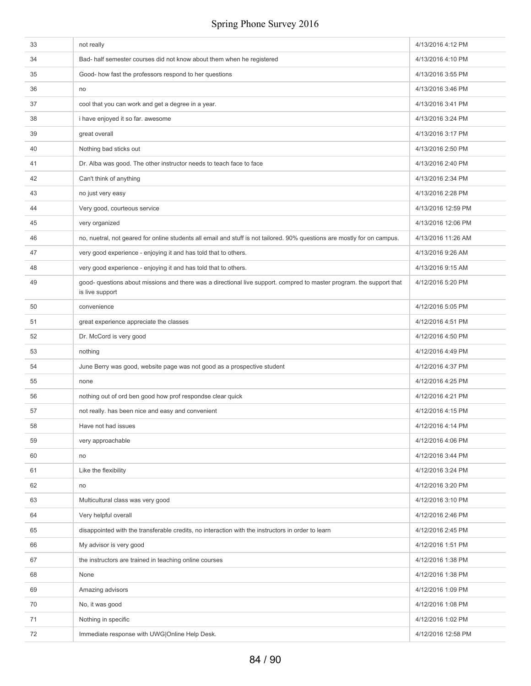| 33 | not really                                                                                                                              | 4/13/2016 4:12 PM  |
|----|-----------------------------------------------------------------------------------------------------------------------------------------|--------------------|
| 34 | Bad- half semester courses did not know about them when he registered                                                                   | 4/13/2016 4:10 PM  |
| 35 | Good- how fast the professors respond to her questions                                                                                  | 4/13/2016 3:55 PM  |
| 36 | no                                                                                                                                      | 4/13/2016 3:46 PM  |
| 37 | cool that you can work and get a degree in a year.                                                                                      | 4/13/2016 3:41 PM  |
| 38 | i have enjoyed it so far. awesome                                                                                                       | 4/13/2016 3:24 PM  |
| 39 | great overall                                                                                                                           | 4/13/2016 3:17 PM  |
| 40 | Nothing bad sticks out                                                                                                                  | 4/13/2016 2:50 PM  |
| 41 | Dr. Alba was good. The other instructor needs to teach face to face                                                                     | 4/13/2016 2:40 PM  |
| 42 | Can't think of anything                                                                                                                 | 4/13/2016 2:34 PM  |
| 43 | no just very easy                                                                                                                       | 4/13/2016 2:28 PM  |
| 44 | Very good, courteous service                                                                                                            | 4/13/2016 12:59 PM |
| 45 | very organized                                                                                                                          | 4/13/2016 12:06 PM |
| 46 | no, nuetral, not geared for online students all email and stuff is not tailored. 90% questions are mostly for on campus.                | 4/13/2016 11:26 AM |
| 47 | very good experience - enjoying it and has told that to others.                                                                         | 4/13/2016 9:26 AM  |
| 48 | very good experience - enjoying it and has told that to others.                                                                         | 4/13/2016 9:15 AM  |
| 49 | good- questions about missions and there was a directional live support. compred to master program. the support that<br>is live support | 4/12/2016 5:20 PM  |
| 50 | convenience                                                                                                                             | 4/12/2016 5:05 PM  |
| 51 | great experience appreciate the classes                                                                                                 | 4/12/2016 4:51 PM  |
| 52 | Dr. McCord is very good                                                                                                                 | 4/12/2016 4:50 PM  |
| 53 | nothing                                                                                                                                 | 4/12/2016 4:49 PM  |
| 54 | June Berry was good, website page was not good as a prospective student                                                                 | 4/12/2016 4:37 PM  |
| 55 | none                                                                                                                                    | 4/12/2016 4:25 PM  |
| 56 | nothing out of ord ben good how prof respondse clear quick                                                                              | 4/12/2016 4:21 PM  |
| 57 | not really. has been nice and easy and convenient                                                                                       | 4/12/2016 4:15 PM  |
| 58 | Have not had issues                                                                                                                     | 4/12/2016 4:14 PM  |
| 59 | very approachable                                                                                                                       | 4/12/2016 4:06 PM  |
| 60 | no                                                                                                                                      | 4/12/2016 3:44 PM  |
| 61 | Like the flexibility                                                                                                                    | 4/12/2016 3:24 PM  |
| 62 | no                                                                                                                                      | 4/12/2016 3:20 PM  |
| 63 | Multicultural class was very good                                                                                                       | 4/12/2016 3:10 PM  |
| 64 | Very helpful overall                                                                                                                    | 4/12/2016 2:46 PM  |
| 65 | disappointed with the transferable credits, no interaction with the instructors in order to learn                                       | 4/12/2016 2:45 PM  |
| 66 | My advisor is very good                                                                                                                 | 4/12/2016 1:51 PM  |
| 67 | the instructors are trained in teaching online courses                                                                                  | 4/12/2016 1:38 PM  |
| 68 | None                                                                                                                                    | 4/12/2016 1:38 PM  |
| 69 | Amazing advisors                                                                                                                        | 4/12/2016 1:09 PM  |
| 70 | No, it was good                                                                                                                         | 4/12/2016 1:08 PM  |
| 71 | Nothing in specific                                                                                                                     | 4/12/2016 1:02 PM  |
| 72 | Immediate response with UWG Online Help Desk.                                                                                           | 4/12/2016 12:58 PM |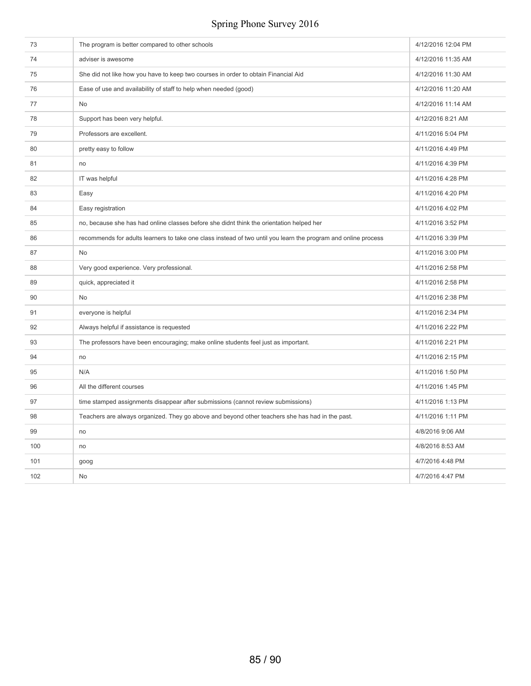| 73  | The program is better compared to other schools                                                                | 4/12/2016 12:04 PM |
|-----|----------------------------------------------------------------------------------------------------------------|--------------------|
| 74  | adviser is awesome                                                                                             | 4/12/2016 11:35 AM |
| 75  | She did not like how you have to keep two courses in order to obtain Financial Aid                             | 4/12/2016 11:30 AM |
| 76  | Ease of use and availability of staff to help when needed (good)                                               | 4/12/2016 11:20 AM |
| 77  | No                                                                                                             | 4/12/2016 11:14 AM |
| 78  | Support has been very helpful.                                                                                 | 4/12/2016 8:21 AM  |
| 79  | Professors are excellent.                                                                                      | 4/11/2016 5:04 PM  |
| 80  | pretty easy to follow                                                                                          | 4/11/2016 4:49 PM  |
| 81  | no                                                                                                             | 4/11/2016 4:39 PM  |
| 82  | IT was helpful                                                                                                 | 4/11/2016 4:28 PM  |
| 83  | Easy                                                                                                           | 4/11/2016 4:20 PM  |
| 84  | Easy registration                                                                                              | 4/11/2016 4:02 PM  |
| 85  | no, because she has had online classes before she didnt think the orientation helped her                       | 4/11/2016 3:52 PM  |
| 86  | recommends for adults learners to take one class instead of two until you learn the program and online process | 4/11/2016 3:39 PM  |
| 87  | No                                                                                                             | 4/11/2016 3:00 PM  |
| 88  | Very good experience. Very professional.                                                                       | 4/11/2016 2:58 PM  |
| 89  | quick, appreciated it                                                                                          | 4/11/2016 2:58 PM  |
| 90  | No                                                                                                             | 4/11/2016 2:38 PM  |
| 91  | everyone is helpful                                                                                            | 4/11/2016 2:34 PM  |
| 92  | Always helpful if assistance is requested                                                                      | 4/11/2016 2:22 PM  |
| 93  | The professors have been encouraging; make online students feel just as important.                             | 4/11/2016 2:21 PM  |
| 94  | no                                                                                                             | 4/11/2016 2:15 PM  |
| 95  | N/A                                                                                                            | 4/11/2016 1:50 PM  |
| 96  | All the different courses                                                                                      | 4/11/2016 1:45 PM  |
| 97  | time stamped assignments disappear after submissions (cannot review submissions)                               | 4/11/2016 1:13 PM  |
| 98  | Teachers are always organized. They go above and beyond other teachers she has had in the past.                | 4/11/2016 1:11 PM  |
| 99  | no                                                                                                             | 4/8/2016 9:06 AM   |
| 100 | no                                                                                                             | 4/8/2016 8:53 AM   |
| 101 | goog                                                                                                           | 4/7/2016 4:48 PM   |
| 102 | <b>No</b>                                                                                                      | 4/7/2016 4:47 PM   |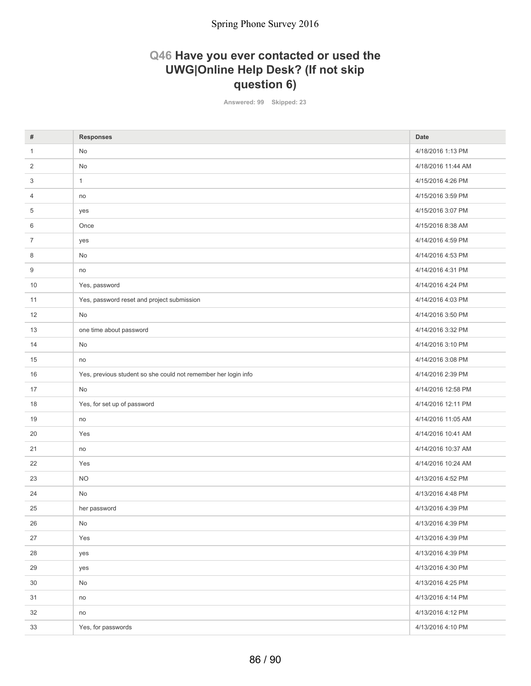## **Q46 Have you ever contacted or used the UWG|Online Help Desk? (If not skip question 6)**

**Answered: 99 Skipped: 23**

| $\mathbf{1}$<br>No<br>2<br>No<br>3<br>$\mathbf{1}$                   | 4/18/2016 1:13 PM<br>4/18/2016 11:44 AM<br>4/15/2016 4:26 PM<br>4/15/2016 3:59 PM |
|----------------------------------------------------------------------|-----------------------------------------------------------------------------------|
|                                                                      |                                                                                   |
|                                                                      |                                                                                   |
|                                                                      |                                                                                   |
| 4<br>no                                                              |                                                                                   |
| 5<br>yes                                                             | 4/15/2016 3:07 PM                                                                 |
| 6<br>Once                                                            | 4/15/2016 8:38 AM                                                                 |
| 7<br>yes                                                             | 4/14/2016 4:59 PM                                                                 |
| 8<br>No                                                              | 4/14/2016 4:53 PM                                                                 |
| 9<br>no                                                              | 4/14/2016 4:31 PM                                                                 |
| 10<br>Yes, password                                                  | 4/14/2016 4:24 PM                                                                 |
| Yes, password reset and project submission<br>11                     | 4/14/2016 4:03 PM                                                                 |
| 12<br><b>No</b>                                                      | 4/14/2016 3:50 PM                                                                 |
| 13<br>one time about password                                        | 4/14/2016 3:32 PM                                                                 |
| <b>No</b><br>14                                                      | 4/14/2016 3:10 PM                                                                 |
| 15<br>no                                                             | 4/14/2016 3:08 PM                                                                 |
| Yes, previous student so she could not remember her login info<br>16 | 4/14/2016 2:39 PM                                                                 |
| 17<br>No                                                             | 4/14/2016 12:58 PM                                                                |
| 18<br>Yes, for set up of password                                    | 4/14/2016 12:11 PM                                                                |
| 19<br>no                                                             | 4/14/2016 11:05 AM                                                                |
| Yes<br>20                                                            | 4/14/2016 10:41 AM                                                                |
| 21<br>no                                                             | 4/14/2016 10:37 AM                                                                |
| 22<br>Yes                                                            | 4/14/2016 10:24 AM                                                                |
| 23<br><b>NO</b>                                                      | 4/13/2016 4:52 PM                                                                 |
| 24<br>No                                                             | 4/13/2016 4:48 PM                                                                 |
| 25<br>her password                                                   | 4/13/2016 4:39 PM                                                                 |
| 26<br>No                                                             | 4/13/2016 4:39 PM                                                                 |
| 27<br>Yes                                                            | 4/13/2016 4:39 PM                                                                 |
| 28<br>yes                                                            | 4/13/2016 4:39 PM                                                                 |
| 29<br>yes                                                            | 4/13/2016 4:30 PM                                                                 |
| 30<br>No                                                             | 4/13/2016 4:25 PM                                                                 |
| 31<br>no                                                             | 4/13/2016 4:14 PM                                                                 |
| 32<br>no                                                             | 4/13/2016 4:12 PM                                                                 |
| 33<br>Yes, for passwords                                             | 4/13/2016 4:10 PM                                                                 |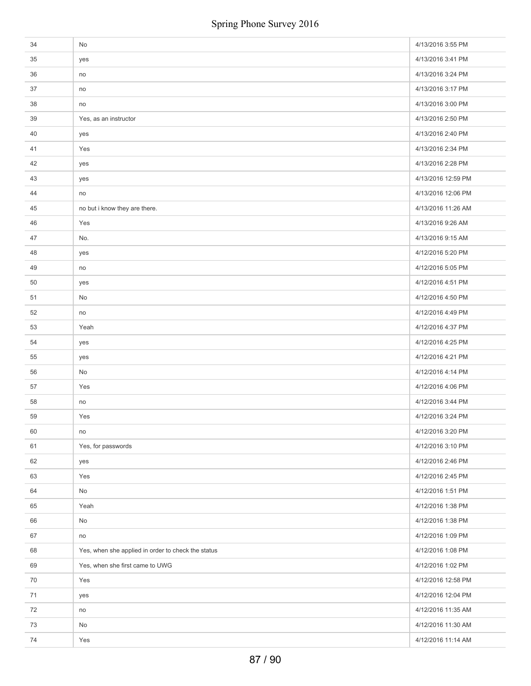| 34 | No                                                 | 4/13/2016 3:55 PM  |
|----|----------------------------------------------------|--------------------|
| 35 | yes                                                | 4/13/2016 3:41 PM  |
| 36 | no                                                 | 4/13/2016 3:24 PM  |
| 37 | no                                                 | 4/13/2016 3:17 PM  |
| 38 | no                                                 | 4/13/2016 3:00 PM  |
| 39 | Yes, as an instructor                              | 4/13/2016 2:50 PM  |
| 40 | yes                                                | 4/13/2016 2:40 PM  |
| 41 | Yes                                                | 4/13/2016 2:34 PM  |
| 42 | yes                                                | 4/13/2016 2:28 PM  |
| 43 | yes                                                | 4/13/2016 12:59 PM |
| 44 | no                                                 | 4/13/2016 12:06 PM |
| 45 | no but i know they are there.                      | 4/13/2016 11:26 AM |
| 46 | Yes                                                | 4/13/2016 9:26 AM  |
| 47 | No.                                                | 4/13/2016 9:15 AM  |
| 48 | yes                                                | 4/12/2016 5:20 PM  |
| 49 | no                                                 | 4/12/2016 5:05 PM  |
| 50 | yes                                                | 4/12/2016 4:51 PM  |
| 51 | No                                                 | 4/12/2016 4:50 PM  |
| 52 | no                                                 | 4/12/2016 4:49 PM  |
| 53 | Yeah                                               | 4/12/2016 4:37 PM  |
| 54 | yes                                                | 4/12/2016 4:25 PM  |
| 55 | yes                                                | 4/12/2016 4:21 PM  |
| 56 | No                                                 | 4/12/2016 4:14 PM  |
| 57 | Yes                                                | 4/12/2016 4:06 PM  |
| 58 | no                                                 | 4/12/2016 3:44 PM  |
| 59 | Yes                                                | 4/12/2016 3:24 PM  |
| 60 | no                                                 | 4/12/2016 3:20 PM  |
| 61 | Yes, for passwords                                 | 4/12/2016 3:10 PM  |
| 62 | yes                                                | 4/12/2016 2:46 PM  |
| 63 | Yes                                                | 4/12/2016 2:45 PM  |
| 64 | $\mathsf{No}$                                      | 4/12/2016 1:51 PM  |
| 65 | Yeah                                               | 4/12/2016 1:38 PM  |
| 66 | No                                                 | 4/12/2016 1:38 PM  |
| 67 | no                                                 | 4/12/2016 1:09 PM  |
| 68 | Yes, when she applied in order to check the status | 4/12/2016 1:08 PM  |
| 69 | Yes, when she first came to UWG                    | 4/12/2016 1:02 PM  |
| 70 | Yes                                                | 4/12/2016 12:58 PM |
| 71 | yes                                                | 4/12/2016 12:04 PM |
| 72 | no                                                 | 4/12/2016 11:35 AM |
| 73 | No                                                 | 4/12/2016 11:30 AM |
| 74 | Yes                                                | 4/12/2016 11:14 AM |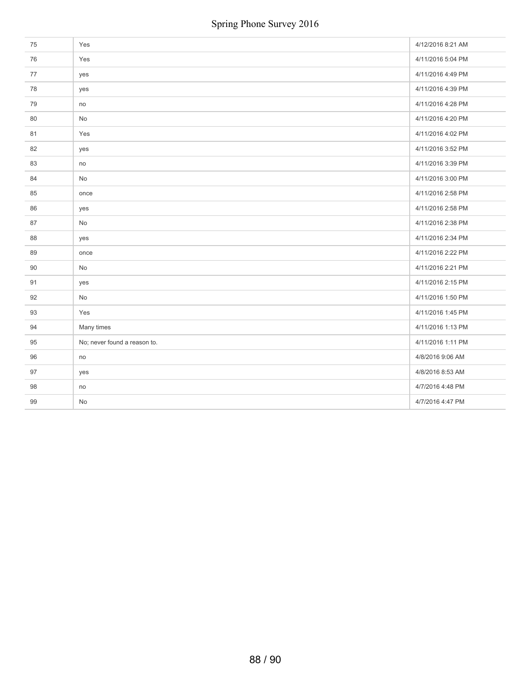| 75 | Yes                          | 4/12/2016 8:21 AM |
|----|------------------------------|-------------------|
| 76 | Yes                          | 4/11/2016 5:04 PM |
| 77 | yes                          | 4/11/2016 4:49 PM |
| 78 | yes                          | 4/11/2016 4:39 PM |
| 79 | no                           | 4/11/2016 4:28 PM |
| 80 | No                           | 4/11/2016 4:20 PM |
| 81 | Yes                          | 4/11/2016 4:02 PM |
| 82 | yes                          | 4/11/2016 3:52 PM |
| 83 | no                           | 4/11/2016 3:39 PM |
| 84 | No                           | 4/11/2016 3:00 PM |
| 85 | once                         | 4/11/2016 2:58 PM |
| 86 | yes                          | 4/11/2016 2:58 PM |
| 87 | No                           | 4/11/2016 2:38 PM |
| 88 | yes                          | 4/11/2016 2:34 PM |
| 89 | once                         | 4/11/2016 2:22 PM |
| 90 | No                           | 4/11/2016 2:21 PM |
| 91 | yes                          | 4/11/2016 2:15 PM |
| 92 | No                           | 4/11/2016 1:50 PM |
| 93 | Yes                          | 4/11/2016 1:45 PM |
| 94 | Many times                   | 4/11/2016 1:13 PM |
| 95 | No; never found a reason to. | 4/11/2016 1:11 PM |
| 96 | no                           | 4/8/2016 9:06 AM  |
| 97 | yes                          | 4/8/2016 8:53 AM  |
| 98 | no                           | 4/7/2016 4:48 PM  |
| 99 | No                           | 4/7/2016 4:47 PM  |
|    |                              |                   |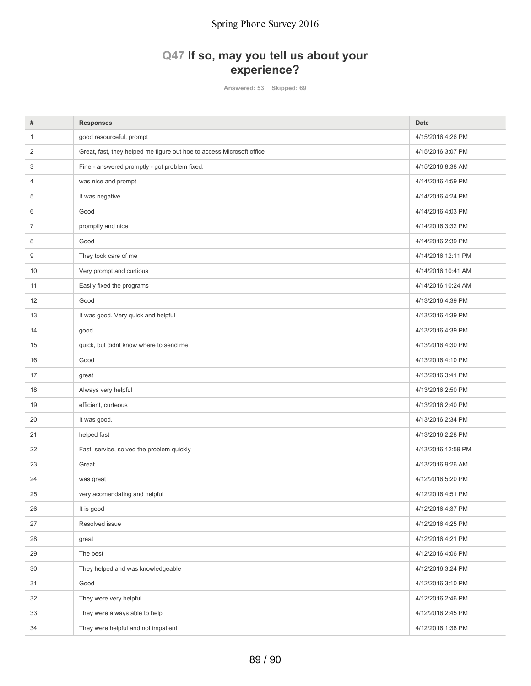## Spring Phone Survey 2016

## **Q47 If so, may you tell us about your experience?**

**Answered: 53 Skipped: 69**

| #              | <b>Responses</b>                                                      | <b>Date</b>        |
|----------------|-----------------------------------------------------------------------|--------------------|
| $\mathbf{1}$   | good resourceful, prompt                                              | 4/15/2016 4:26 PM  |
| 2              | Great, fast, they helped me figure out hoe to access Microsoft office | 4/15/2016 3:07 PM  |
| 3              | Fine - answered promptly - got problem fixed.                         | 4/15/2016 8:38 AM  |
| 4              | was nice and prompt                                                   | 4/14/2016 4:59 PM  |
| 5              | It was negative                                                       | 4/14/2016 4:24 PM  |
| 6              | Good                                                                  | 4/14/2016 4:03 PM  |
| $\overline{7}$ | promptly and nice                                                     | 4/14/2016 3:32 PM  |
| 8              | Good                                                                  | 4/14/2016 2:39 PM  |
| 9              | They took care of me                                                  | 4/14/2016 12:11 PM |
| 10             | Very prompt and curtious                                              | 4/14/2016 10:41 AM |
| 11             | Easily fixed the programs                                             | 4/14/2016 10:24 AM |
| 12             | Good                                                                  | 4/13/2016 4:39 PM  |
| 13             | It was good. Very quick and helpful                                   | 4/13/2016 4:39 PM  |
| 14             | good                                                                  | 4/13/2016 4:39 PM  |
| 15             | quick, but didnt know where to send me                                | 4/13/2016 4:30 PM  |
| 16             | Good                                                                  | 4/13/2016 4:10 PM  |
| 17             | great                                                                 | 4/13/2016 3:41 PM  |
| 18             | Always very helpful                                                   | 4/13/2016 2:50 PM  |
| 19             | efficient, curteous                                                   | 4/13/2016 2:40 PM  |
| 20             | It was good.                                                          | 4/13/2016 2:34 PM  |
| 21             | helped fast                                                           | 4/13/2016 2:28 PM  |
| 22             | Fast, service, solved the problem quickly                             | 4/13/2016 12:59 PM |
| 23             | Great.                                                                | 4/13/2016 9:26 AM  |
| 24             | was great                                                             | 4/12/2016 5:20 PM  |
| 25             | very acomendating and helpful                                         | 4/12/2016 4:51 PM  |
| 26             | It is good                                                            | 4/12/2016 4:37 PM  |
| 27             | Resolved issue                                                        | 4/12/2016 4:25 PM  |
| 28             | great                                                                 | 4/12/2016 4:21 PM  |
| 29             | The best                                                              | 4/12/2016 4:06 PM  |
| $30\,$         | They helped and was knowledgeable                                     | 4/12/2016 3:24 PM  |
| 31             | Good                                                                  | 4/12/2016 3:10 PM  |
| 32             | They were very helpful                                                | 4/12/2016 2:46 PM  |
| 33             | They were always able to help                                         | 4/12/2016 2:45 PM  |
| 34             | They were helpful and not impatient                                   | 4/12/2016 1:38 PM  |
|                |                                                                       |                    |